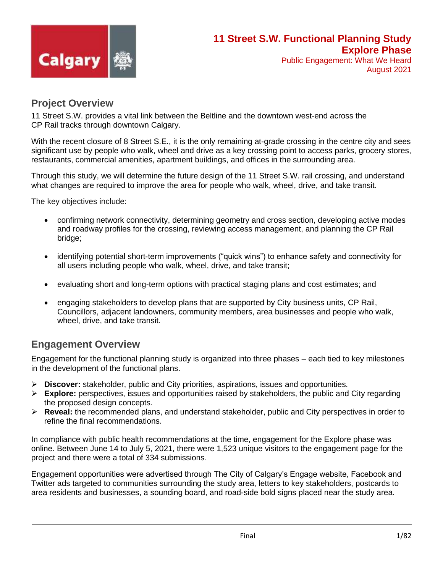

## **Project Overview**

11 Street S.W. provides a vital link between the Beltline and the downtown west-end across the CP Rail tracks through downtown Calgary.

With the recent closure of 8 Street S.E., it is the only remaining at-grade crossing in the centre city and sees significant use by people who walk, wheel and drive as a key crossing point to access parks, grocery stores, restaurants, commercial amenities, apartment buildings, and offices in the surrounding area.

Through this study, we will determine the future design of the 11 Street S.W. rail crossing, and understand what changes are required to improve the area for people who walk, wheel, drive, and take transit.

The key objectives include:

- confirming network connectivity, determining geometry and cross section, developing active modes and roadway profiles for the crossing, reviewing access management, and planning the CP Rail bridge;
- identifying potential short-term improvements ("quick wins") to enhance safety and connectivity for all users including people who walk, wheel, drive, and take transit;
- evaluating short and long-term options with practical staging plans and cost estimates; and
- engaging stakeholders to develop plans that are supported by City business units, CP Rail, Councillors, adjacent landowners, community members, area businesses and people who walk, wheel, drive, and take transit.

## **Engagement Overview**

Engagement for the functional planning study is organized into three phases – each tied to key milestones in the development of the functional plans.

- ➢ **Discover:** stakeholder, public and City priorities, aspirations, issues and opportunities.
- ➢ **Explore:** perspectives, issues and opportunities raised by stakeholders, the public and City regarding the proposed design concepts.
- ➢ **Reveal:** the recommended plans, and understand stakeholder, public and City perspectives in order to refine the final recommendations.

In compliance with public health recommendations at the time, engagement for the Explore phase was online. Between June 14 to July 5, 2021, there were 1,523 unique visitors to the engagement page for the project and there were a total of 334 submissions.

Engagement opportunities were advertised through The City of Calgary's Engage website, Facebook and Twitter ads targeted to communities surrounding the study area, letters to key stakeholders, postcards to area residents and businesses, a sounding board, and road-side bold signs placed near the study area.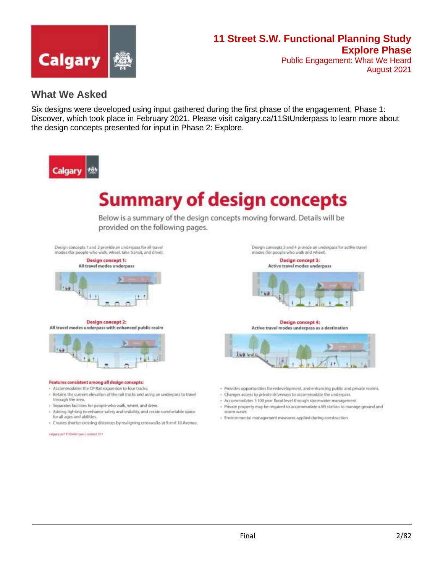

## **What We Asked**

Six designs were developed using input gathered during the first phase of the engagement, Phase 1: Discover, which took place in February 2021. Please visit calgary.ca/11StUnderpass to learn more about the design concepts presented for input in Phase 2: Explore.



# **Summary of design concepts**

Below is a summary of the design concepts moving forward. Details will be provided on the following pages.

Design concepts 1 and 2 provide an underpass for all travel modes (for people who walk, wheel, take transit, and drive).



Design concept 2: All travel modes underpass with enhanced public realm



#### Features consistent among all design concepts:

- Accommodates the CP Rail expansion to four tracks.
- Retains the current elevation of the rail tracks and using an underpass to travel through the area.
- Separates facilities for people who walk, wheel, and drive.
- Adding lighting to enhance safety and visibility, and create comfortable space for all ages and abilities
- · Creates shorter crossing distances by realigning crosswalks at 9 and 10 Avenue.

Design concepts 3 and 4 provide an underpass for active travel modes (for people who walk and wheel).

> **Design concept 3: Active travel modes underpass**



**Design concept 4:** Active travel modes underpass as a destination



- Provides opportunities for redevelopment, and enhancing public and private realms.
- Changes access to private driveways to accommodate the underpass.
- Accommodates 1:100 year flood level through stormiwater management.
- + Private property may be required to accommodate a lift station to manage ground and storm water
- Environmental management measures applied during construction.

subpey.ca/11333/ederpani contact 311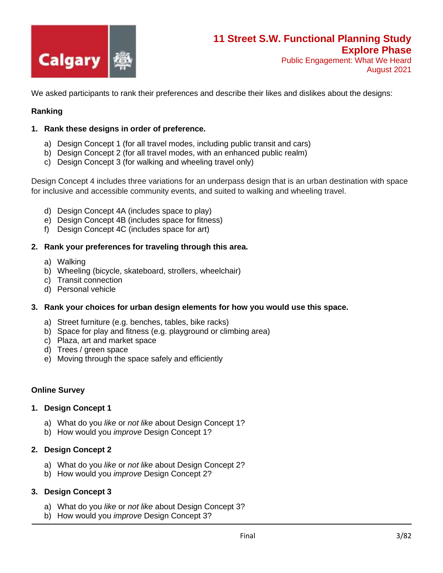

We asked participants to rank their preferences and describe their likes and dislikes about the designs:

#### **Ranking**

#### **1. Rank these designs in order of preference.**

- a) Design Concept 1 (for all travel modes, including public transit and cars)
- b) Design Concept 2 (for all travel modes, with an enhanced public realm)
- c) Design Concept 3 (for walking and wheeling travel only)

Design Concept 4 includes three variations for an underpass design that is an urban destination with space for inclusive and accessible community events, and suited to walking and wheeling travel.

- d) Design Concept 4A (includes space to play)
- e) Design Concept 4B (includes space for fitness)
- f) Design Concept 4C (includes space for art)

#### **2. Rank your preferences for traveling through this area.**

- a) Walking
- b) Wheeling (bicycle, skateboard, strollers, wheelchair)
- c) Transit connection
- d) Personal vehicle

#### **3. Rank your choices for urban design elements for how you would use this space.**

- a) Street furniture (e.g. benches, tables, bike racks)
- b) Space for play and fitness (e.g. playground or climbing area)
- c) Plaza, art and market space
- d) Trees / green space
- e) Moving through the space safely and efficiently

#### **Online Survey**

#### **1. Design Concept 1**

- a) What do you *like* or *not like* about Design Concept 1?
- b) How would you *improve* Design Concept 1?

#### **2. Design Concept 2**

- a) What do you *like* or *not like* about Design Concept 2?
- b) How would you *improve* Design Concept 2?

#### **3. Design Concept 3**

- a) What do you *like* or *not like* about Design Concept 3?
- b) How would you *improve* Design Concept 3?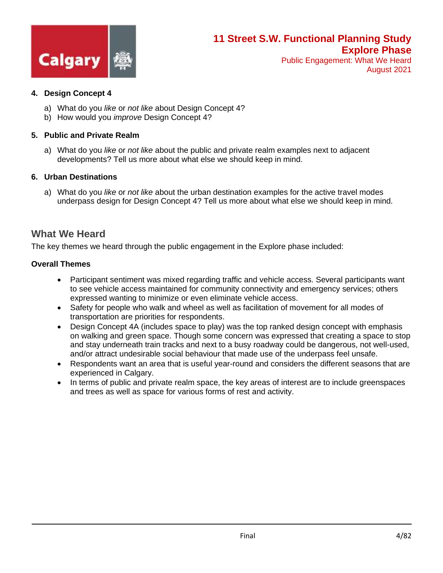

#### **4. Design Concept 4**

- a) What do you *like* or *not like* about Design Concept 4?
- b) How would you *improve* Design Concept 4?

#### **5. Public and Private Realm**

a) What do you *like* or *not like* about the public and private realm examples next to adjacent developments? Tell us more about what else we should keep in mind.

#### **6. Urban Destinations**

a) What do you *like* or *not like* about the urban destination examples for the active travel modes underpass design for Design Concept 4? Tell us more about what else we should keep in mind.

## **What We Heard**

The key themes we heard through the public engagement in the Explore phase included:

#### **Overall Themes**

- Participant sentiment was mixed regarding traffic and vehicle access. Several participants want to see vehicle access maintained for community connectivity and emergency services; others expressed wanting to minimize or even eliminate vehicle access.
- Safety for people who walk and wheel as well as facilitation of movement for all modes of transportation are priorities for respondents.
- Design Concept 4A (includes space to play) was the top ranked design concept with emphasis on walking and green space. Though some concern was expressed that creating a space to stop and stay underneath train tracks and next to a busy roadway could be dangerous, not well-used, and/or attract undesirable social behaviour that made use of the underpass feel unsafe.
- Respondents want an area that is useful year-round and considers the different seasons that are experienced in Calgary.
- In terms of public and private realm space, the key areas of interest are to include greenspaces and trees as well as space for various forms of rest and activity.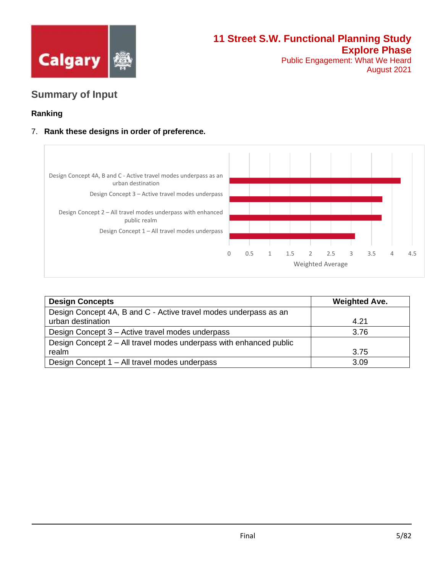

August 2021

## **Summary of Input**

### **Ranking**

### 7. **Rank these designs in order of preference.**



| <b>Design Concepts</b>                                             | <b>Weighted Ave.</b> |
|--------------------------------------------------------------------|----------------------|
| Design Concept 4A, B and C - Active travel modes underpass as an   |                      |
| urban destination                                                  | 4.21                 |
| Design Concept 3 – Active travel modes underpass                   | 3.76                 |
| Design Concept 2 - All travel modes underpass with enhanced public |                      |
| realm                                                              | 3.75                 |
| Design Concept 1 - All travel modes underpass                      | 3.09                 |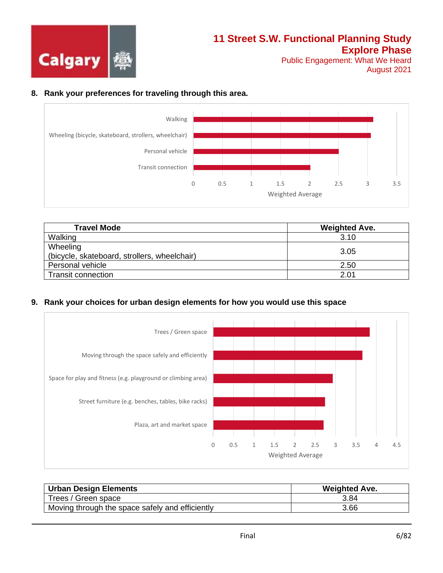

August 2021

#### **8. Rank your preferences for traveling through this area.**



| <b>Travel Mode</b>                                       | <b>Weighted Ave.</b> |
|----------------------------------------------------------|----------------------|
| Walking                                                  | 3.10                 |
| Wheeling<br>(bicycle, skateboard, strollers, wheelchair) | 3.05                 |
| Personal vehicle                                         | 2.50                 |
| <b>Transit connection</b>                                | 2.01                 |

#### **9. Rank your choices for urban design elements for how you would use this space**



| <b>Urban Design Elements</b>                    | <b>Weighted Ave.</b> |
|-------------------------------------------------|----------------------|
| Trees / Green space                             | 3.84                 |
| Moving through the space safely and efficiently | 3.66                 |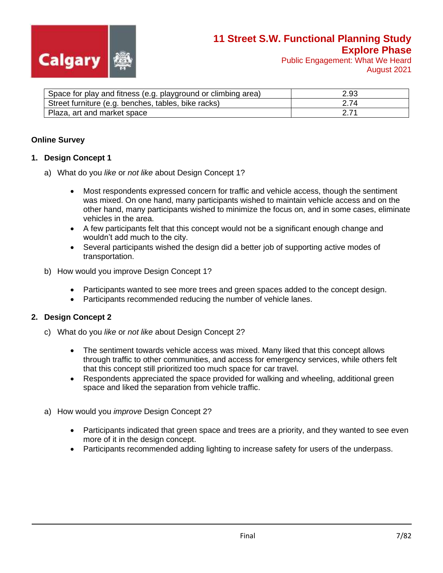

August 2021

| Space for play and fitness (e.g. playground or climbing area) | 2.93 |
|---------------------------------------------------------------|------|
| Street furniture (e.g. benches, tables, bike racks)           | 2.74 |
| Plaza, art and market space                                   |      |

#### **Online Survey**

#### **1. Design Concept 1**

- a) What do you *like* or *not like* about Design Concept 1?
	- Most respondents expressed concern for traffic and vehicle access, though the sentiment was mixed. On one hand, many participants wished to maintain vehicle access and on the other hand, many participants wished to minimize the focus on, and in some cases, eliminate vehicles in the area.
	- A few participants felt that this concept would not be a significant enough change and wouldn't add much to the city.
	- Several participants wished the design did a better job of supporting active modes of transportation.
- b) How would you improve Design Concept 1?
	- Participants wanted to see more trees and green spaces added to the concept design.
	- Participants recommended reducing the number of vehicle lanes.

#### **2. Design Concept 2**

- c) What do you *like* or *not like* about Design Concept 2?
	- The sentiment towards vehicle access was mixed. Many liked that this concept allows through traffic to other communities, and access for emergency services, while others felt that this concept still prioritized too much space for car travel.
	- Respondents appreciated the space provided for walking and wheeling, additional green space and liked the separation from vehicle traffic.
- a) How would you *improve* Design Concept 2?
	- Participants indicated that green space and trees are a priority, and they wanted to see even more of it in the design concept.
	- Participants recommended adding lighting to increase safety for users of the underpass.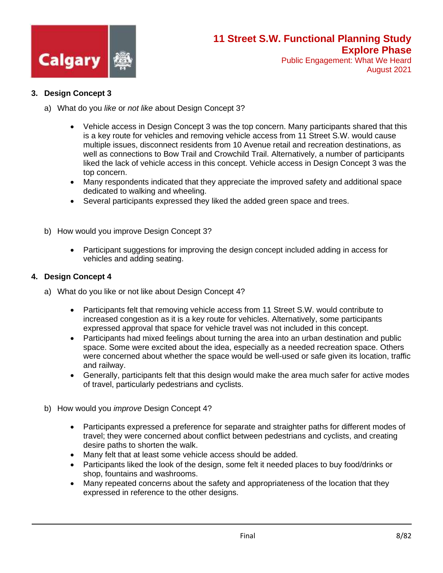

#### **3. Design Concept 3**

- a) What do you *like* or *not like* about Design Concept 3?
	- Vehicle access in Design Concept 3 was the top concern. Many participants shared that this is a key route for vehicles and removing vehicle access from 11 Street S.W. would cause multiple issues, disconnect residents from 10 Avenue retail and recreation destinations, as well as connections to Bow Trail and Crowchild Trail. Alternatively, a number of participants liked the lack of vehicle access in this concept. Vehicle access in Design Concept 3 was the top concern.
	- Many respondents indicated that they appreciate the improved safety and additional space dedicated to walking and wheeling.
	- Several participants expressed they liked the added green space and trees.
- b) How would you improve Design Concept 3?
	- Participant suggestions for improving the design concept included adding in access for vehicles and adding seating.

#### **4. Design Concept 4**

- a) What do you like or not like about Design Concept 4?
	- Participants felt that removing vehicle access from 11 Street S.W. would contribute to increased congestion as it is a key route for vehicles. Alternatively, some participants expressed approval that space for vehicle travel was not included in this concept.
	- Participants had mixed feelings about turning the area into an urban destination and public space. Some were excited about the idea, especially as a needed recreation space. Others were concerned about whether the space would be well-used or safe given its location, traffic and railway.
	- Generally, participants felt that this design would make the area much safer for active modes of travel, particularly pedestrians and cyclists.
- b) How would you *improve* Design Concept 4?
	- Participants expressed a preference for separate and straighter paths for different modes of travel; they were concerned about conflict between pedestrians and cyclists, and creating desire paths to shorten the walk.
	- Many felt that at least some vehicle access should be added.
	- Participants liked the look of the design, some felt it needed places to buy food/drinks or shop, fountains and washrooms.
	- Many repeated concerns about the safety and appropriateness of the location that they expressed in reference to the other designs.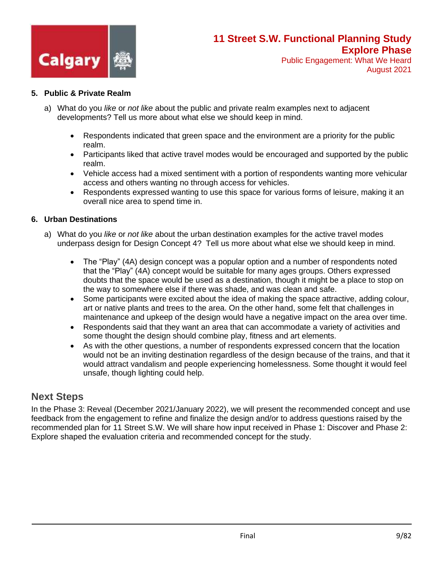

Public Engagement: What We Heard August 2021

#### **5. Public & Private Realm**

- a) What do you *like* or *not like* about the public and private realm examples next to adjacent developments? Tell us more about what else we should keep in mind.
	- Respondents indicated that green space and the environment are a priority for the public realm.
	- Participants liked that active travel modes would be encouraged and supported by the public realm.
	- Vehicle access had a mixed sentiment with a portion of respondents wanting more vehicular access and others wanting no through access for vehicles.
	- Respondents expressed wanting to use this space for various forms of leisure, making it an overall nice area to spend time in.

#### **6. Urban Destinations**

- a) What do you *like* or *not like* about the urban destination examples for the active travel modes underpass design for Design Concept 4? Tell us more about what else we should keep in mind.
	- The "Play" (4A) design concept was a popular option and a number of respondents noted that the "Play" (4A) concept would be suitable for many ages groups. Others expressed doubts that the space would be used as a destination, though it might be a place to stop on the way to somewhere else if there was shade, and was clean and safe.
	- Some participants were excited about the idea of making the space attractive, adding colour, art or native plants and trees to the area. On the other hand, some felt that challenges in maintenance and upkeep of the design would have a negative impact on the area over time.
	- Respondents said that they want an area that can accommodate a variety of activities and some thought the design should combine play, fitness and art elements.
	- As with the other questions, a number of respondents expressed concern that the location would not be an inviting destination regardless of the design because of the trains, and that it would attract vandalism and people experiencing homelessness. Some thought it would feel unsafe, though lighting could help.

## **Next Steps**

In the Phase 3: Reveal (December 2021/January 2022), we will present the recommended concept and use feedback from the engagement to refine and finalize the design and/or to address questions raised by the recommended plan for 11 Street S.W. We will share how input received in Phase 1: Discover and Phase 2: Explore shaped the evaluation criteria and recommended concept for the study.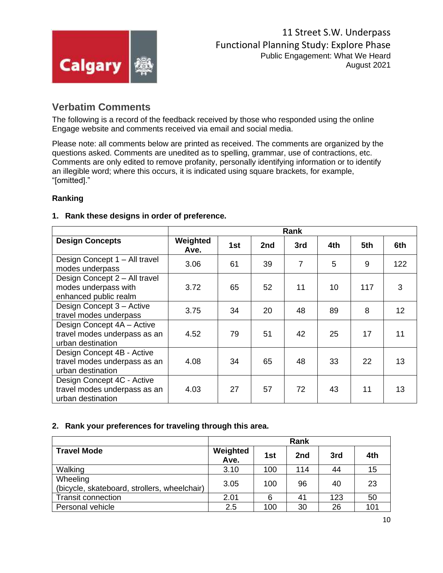

## **Verbatim Comments**

The following is a record of the feedback received by those who responded using the online Engage website and comments received via email and social media.

Please note: all comments below are printed as received. The comments are organized by the questions asked. Comments are unedited as to spelling, grammar, use of contractions, etc. Comments are only edited to remove profanity, personally identifying information or to identify an illegible word; where this occurs, it is indicated using square brackets, for example, "[omitted]."

#### **Ranking**

#### **1. Rank these designs in order of preference.**

|                                                                                 | Rank             |     |     |                |     |     |     |
|---------------------------------------------------------------------------------|------------------|-----|-----|----------------|-----|-----|-----|
| <b>Design Concepts</b>                                                          | Weighted<br>Ave. | 1st | 2nd | 3rd            | 4th | 5th | 6th |
| Design Concept 1 - All travel<br>modes underpass                                | 3.06             | 61  | 39  | $\overline{7}$ | 5   | 9   | 122 |
| Design Concept 2 - All travel<br>modes underpass with<br>enhanced public realm  | 3.72             | 65  | 52  | 11             | 10  | 117 | 3   |
| Design Concept 3 - Active<br>travel modes underpass                             | 3.75             | 34  | 20  | 48             | 89  | 8   | 12  |
| Design Concept 4A - Active<br>travel modes underpass as an<br>urban destination | 4.52             | 79  | 51  | 42             | 25  | 17  | 11  |
| Design Concept 4B - Active<br>travel modes underpass as an<br>urban destination | 4.08             | 34  | 65  | 48             | 33  | 22  | 13  |
| Design Concept 4C - Active<br>travel modes underpass as an<br>urban destination | 4.03             | 27  | 57  | 72             | 43  | 11  | 13  |

#### **2. Rank your preferences for traveling through this area.**

|                                                          | Rank             |     |     |     |     |
|----------------------------------------------------------|------------------|-----|-----|-----|-----|
| <b>Travel Mode</b>                                       | Weighted<br>Ave. | 1st | 2nd | 3rd | 4th |
| Walking                                                  | 3.10             | 100 | 114 | 44  | 15  |
| Wheeling<br>(bicycle, skateboard, strollers, wheelchair) | 3.05             | 100 | 96  | 40  | 23  |
| <b>Transit connection</b>                                | 2.01             | 6   | 41  | 123 | 50  |
| Personal vehicle                                         | 2.5              | 100 | 30  | 26  | 101 |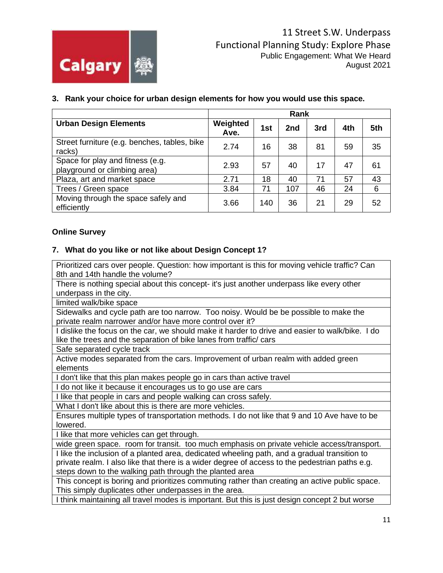

|  |  |  | 3. Rank your choice for urban design elements for how you would use this space. |
|--|--|--|---------------------------------------------------------------------------------|

|                                                                  | Rank             |     |     |     |     |     |
|------------------------------------------------------------------|------------------|-----|-----|-----|-----|-----|
| <b>Urban Design Elements</b>                                     | Weighted<br>Ave. | 1st | 2nd | 3rd | 4th | 5th |
| Street furniture (e.g. benches, tables, bike<br>racks)           | 2.74             | 16  | 38  | 81  | 59  | 35  |
| Space for play and fitness (e.g.<br>playground or climbing area) | 2.93             | 57  | 40  | 17  | 47  | 61  |
| Plaza, art and market space                                      | 2.71             | 18  | 40  | 71  | 57  | 43  |
| Trees / Green space                                              | 3.84             | 71  | 107 | 46  | 24  | 6   |
| Moving through the space safely and<br>efficiently               | 3.66             | 140 | 36  | 21  | 29  | 52  |

#### **Online Survey**

#### **7. What do you like or not like about Design Concept 1?**

Prioritized cars over people. Question: how important is this for moving vehicle traffic? Can 8th and 14th handle the volume?

There is nothing special about this concept- it's just another underpass like every other underpass in the city.

limited walk/bike space

Sidewalks and cycle path are too narrow. Too noisy. Would be be possible to make the private realm narrower and/or have more control over it?

I dislike the focus on the car, we should make it harder to drive and easier to walk/bike. I do like the trees and the separation of bike lanes from traffic/ cars

Safe separated cycle track

Active modes separated from the cars. Improvement of urban realm with added green elements

I don't like that this plan makes people go in cars than active travel

I do not like it because it encourages us to go use are cars

I like that people in cars and people walking can cross safely.

What I don't like about this is there are more vehicles.

Ensures multiple types of transportation methods. I do not like that 9 and 10 Ave have to be lowered.

I like that more vehicles can get through.

wide green space. room for transit. too much emphasis on private vehicle access/transport.

I like the inclusion of a planted area, dedicated wheeling path, and a gradual transition to private realm. I also like that there is a wider degree of access to the pedestrian paths e.g. steps down to the walking path through the planted area

This concept is boring and prioritizes commuting rather than creating an active public space. This simply duplicates other underpasses in the area.

I think maintaining all travel modes is important. But this is just design concept 2 but worse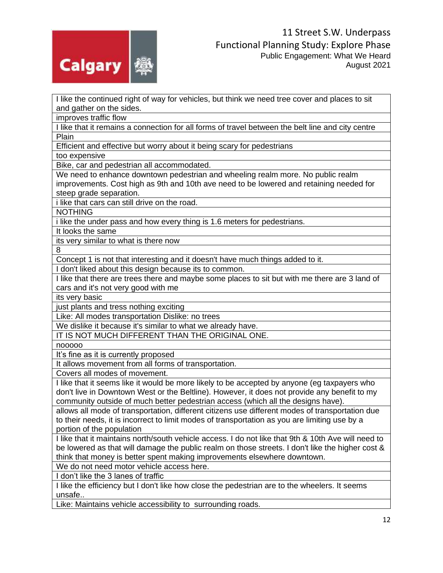

I like the continued right of way for vehicles, but think we need tree cover and places to sit and gather on the sides.

improves traffic flow

I like that it remains a connection for all forms of travel between the belt line and city centre Plain

Efficient and effective but worry about it being scary for pedestrians

too expensive

Bike, car and pedestrian all accommodated.

We need to enhance downtown pedestrian and wheeling realm more. No public realm improvements. Cost high as 9th and 10th ave need to be lowered and retaining needed for steep grade separation.

i like that cars can still drive on the road.

NOTHING

i like the under pass and how every thing is 1.6 meters for pedestrians.

It looks the same

its very similar to what is there now

8

Concept 1 is not that interesting and it doesn't have much things added to it.

I don't liked about this design because its to common.

I like that there are trees there and maybe some places to sit but with me there are 3 land of cars and it's not very good with me

its very basic

just plants and tress nothing exciting

Like: All modes transportation Dislike: no trees

We dislike it because it's similar to what we already have.

IT IS NOT MUCH DIFFERENT THAN THE ORIGINAL ONE.

nooooo

It's fine as it is currently proposed

It allows movement from all forms of transportation.

Covers all modes of movement.

I like that it seems like it would be more likely to be accepted by anyone (eg taxpayers who don't live in Downtown West or the Beltline). However, it does not provide any benefit to my community outside of much better pedestrian access (which all the designs have).

allows all mode of transportation, different citizens use different modes of transportation due to their needs, it is incorrect to limit modes of transportation as you are limiting use by a portion of the population

I like that it maintains north/south vehicle access. I do not like that 9th & 10th Ave will need to be lowered as that will damage the public realm on those streets. I don't like the higher cost & think that money is better spent making improvements elsewhere downtown.

We do not need motor vehicle access here.

I don't like the 3 lanes of traffic

I like the efficiency but I don't like how close the pedestrian are to the wheelers. It seems unsafe..

Like: Maintains vehicle accessibility to surrounding roads.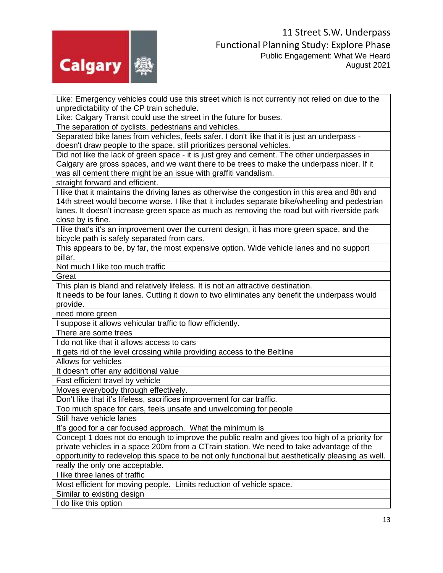

Like: Emergency vehicles could use this street which is not currently not relied on due to the unpredictability of the CP train schedule.

Like: Calgary Transit could use the street in the future for buses.

The separation of cyclists, pedestrians and vehicles.

Separated bike lanes from vehicles, feels safer. I don't like that it is just an underpass doesn't draw people to the space, still prioritizes personal vehicles.

Did not like the lack of green space - it is just grey and cement. The other underpasses in Calgary are gross spaces, and we want there to be trees to make the underpass nicer. If it was all cement there might be an issue with graffiti vandalism.

straight forward and efficient.

I like that it maintains the driving lanes as otherwise the congestion in this area and 8th and 14th street would become worse. I like that it includes separate bike/wheeling and pedestrian lanes. It doesn't increase green space as much as removing the road but with riverside park close by is fine.

I like that's it's an improvement over the current design, it has more green space, and the bicycle path is safely separated from cars.

This appears to be, by far, the most expensive option. Wide vehicle lanes and no support pillar.

Not much I like too much traffic

**Great** 

This plan is bland and relatively lifeless. It is not an attractive destination.

It needs to be four lanes. Cutting it down to two eliminates any benefit the underpass would provide.

need more green

I suppose it allows vehicular traffic to flow efficiently.

There are some trees

I do not like that it allows access to cars

It gets rid of the level crossing while providing access to the Beltline

Allows for vehicles

It doesn't offer any additional value

Fast efficient travel by vehicle

Moves everybody through effectively.

Don't like that it's lifeless, sacrifices improvement for car traffic.

Too much space for cars, feels unsafe and unwelcoming for people

Still have vehicle lanes

It's good for a car focused approach. What the minimum is

Concept 1 does not do enough to improve the public realm and gives too high of a priority for private vehicles in a space 200m from a CTrain station. We need to take advantage of the opportunity to redevelop this space to be not only functional but aesthetically pleasing as well.

really the only one acceptable.

I like three lanes of traffic

Most efficient for moving people. Limits reduction of vehicle space.

Similar to existing design

I do like this option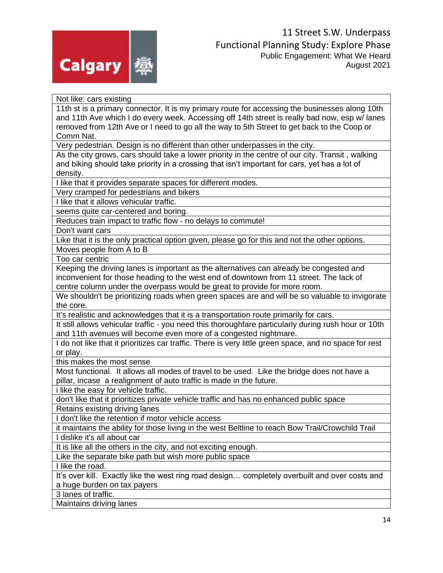

Not like: cars existing 11th st is a primary connector. It is my primary route for accessing the businesses along 10th and 11th Ave which I do every week. Accessing off 14th street is really bad now, esp w/ lanes removed from 12th Ave or I need to go all the way to 5th Street to get back to the Coop or Comm Nat. Very pedestrian. Design is no different than other underpasses in the city. As the city grows, cars should take a lower priority in the centre of our city. Transit , walking and biking should take priority in a crossing that isn't important for cars, yet has a lot of density. I like that it provides separate spaces for different modes. Very cramped for pedestrians and bikers I like that it allows vehicular traffic. seems quite car-centered and boring. Reduces train impact to traffic flow - no delays to commute! Don't want cars Like that it is the only practical option given, please go for this and not the other options. Moves people from A to B Too car centric Keeping the driving lanes is important as the alternatives can already be congested and inconvenient for those heading to the west end of downtown from 11 street. The lack of centre column under the overpass would be great to provide for more room. We shouldn't be prioritizing roads when green spaces are and will be so valuable to invigorate the core. It's realistic and acknowledges that it is a transportation route primarily for cars. It still allows vehicular traffic - you need this thoroughfare particularly during rush hour or 10th and 11th avenues will become even more of a congested nightmare. I do not like that it prioritizes car traffic. There is very little green space, and no space for rest or play. this makes the most sense Most functional. It allows all modes of travel to be used. Like the bridge does not have a pillar, incase a realignment of auto traffic is made in the future. i like the easy for vehicle traffic. don't like that it prioritizes private vehicle traffic and has no enhanced public space Retains existing driving lanes I don't like the retention if motor vehicle access it maintains the ability for those living in the west Beltline to reach Bow Trail/Crowchild Trail I dislike it's all about car It is like all the others in the city, and not exciting enough. Like the separate bike path but wish more public space I like the road. It's over kill. Exactly like the west ring road design… completely overbuilt and over costs and a huge burden on tax payers 3 lanes of traffic. Maintains driving lanes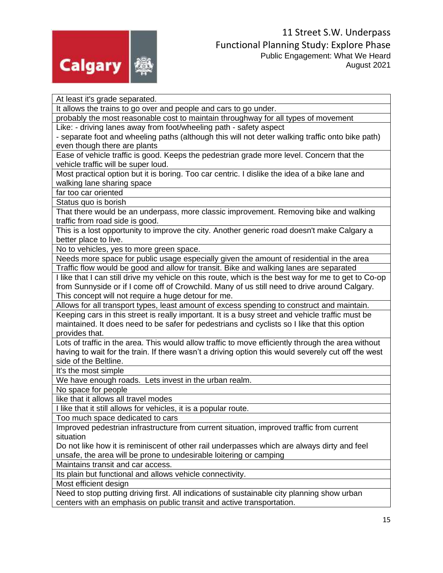

At least it's grade separated. It allows the trains to go over and people and cars to go under. probably the most reasonable cost to maintain throughway for all types of movement Like: - driving lanes away from foot/wheeling path - safety aspect - separate foot and wheeling paths (although this will not deter walking traffic onto bike path) even though there are plants Ease of vehicle traffic is good. Keeps the pedestrian grade more level. Concern that the vehicle traffic will be super loud. Most practical option but it is boring. Too car centric. I dislike the idea of a bike lane and walking lane sharing space far too car oriented Status quo is borish That there would be an underpass, more classic improvement. Removing bike and walking traffic from road side is good. This is a lost opportunity to improve the city. Another generic road doesn't make Calgary a better place to live. No to vehicles, yes to more green space. Needs more space for public usage especially given the amount of residential in the area Traffic flow would be good and allow for transit. Bike and walking lanes are separated I like that I can still drive my vehicle on this route, which is the best way for me to get to Co-op from Sunnyside or if I come off of Crowchild. Many of us still need to drive around Calgary. This concept will not require a huge detour for me. Allows for all transport types, least amount of excess spending to construct and maintain. Keeping cars in this street is really important. It is a busy street and vehicle traffic must be maintained. It does need to be safer for pedestrians and cyclists so I like that this option provides that. Lots of traffic in the area. This would allow traffic to move efficiently through the area without having to wait for the train. If there wasn't a driving option this would severely cut off the west side of the Beltline. It's the most simple We have enough roads. Lets invest in the urban realm. No space for people like that it allows all travel modes I like that it still allows for vehicles, it is a popular route. Too much space dedicated to cars Improved pedestrian infrastructure from current situation, improved traffic from current situation Do not like how it is reminiscent of other rail underpasses which are always dirty and feel unsafe, the area will be prone to undesirable loitering or camping Maintains transit and car access. Its plain but functional and allows vehicle connectivity. Most efficient design Need to stop putting driving first. All indications of sustainable city planning show urban centers with an emphasis on public transit and active transportation.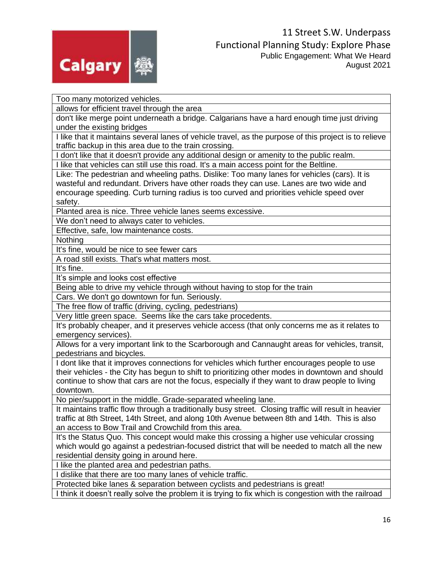

Too many motorized vehicles.

allows for efficient travel through the area

don't like merge point underneath a bridge. Calgarians have a hard enough time just driving under the existing bridges

I like that it maintains several lanes of vehicle travel, as the purpose of this project is to relieve traffic backup in this area due to the train crossing.

I don't like that it doesn't provide any additional design or amenity to the public realm.

I like that vehicles can still use this road. It's a main access point for the Beltline.

Like: The pedestrian and wheeling paths. Dislike: Too many lanes for vehicles (cars). It is wasteful and redundant. Drivers have other roads they can use. Lanes are two wide and encourage speeding. Curb turning radius is too curved and priorities vehicle speed over safety.

Planted area is nice. Three vehicle lanes seems excessive.

We don't need to always cater to vehicles.

Effective, safe, low maintenance costs.

Nothing

It's fine, would be nice to see fewer cars

A road still exists. That's what matters most.

It's fine.

It's simple and looks cost effective

Being able to drive my vehicle through without having to stop for the train

Cars. We don't go downtown for fun. Seriously.

The free flow of traffic (driving, cycling, pedestrians)

Very little green space. Seems like the cars take procedents.

It's probably cheaper, and it preserves vehicle access (that only concerns me as it relates to emergency services).

Allows for a very important link to the Scarborough and Cannaught areas for vehicles, transit, pedestrians and bicycles.

I dont like that it improves connections for vehicles which further encourages people to use their vehicles - the City has begun to shift to prioritizing other modes in downtown and should continue to show that cars are not the focus, especially if they want to draw people to living downtown.

No pier/support in the middle. Grade-separated wheeling lane.

It maintains traffic flow through a traditionally busy street. Closing traffic will result in heavier traffic at 8th Street, 14th Street, and along 10th Avenue between 8th and 14th. This is also an access to Bow Trail and Crowchild from this area.

It's the Status Quo. This concept would make this crossing a higher use vehicular crossing which would go against a pedestrian-focused district that will be needed to match all the new residential density going in around here.

I like the planted area and pedestrian paths.

I dislike that there are too many lanes of vehicle traffic.

Protected bike lanes & separation between cyclists and pedestrians is great!

I think it doesn't really solve the problem it is trying to fix which is congestion with the railroad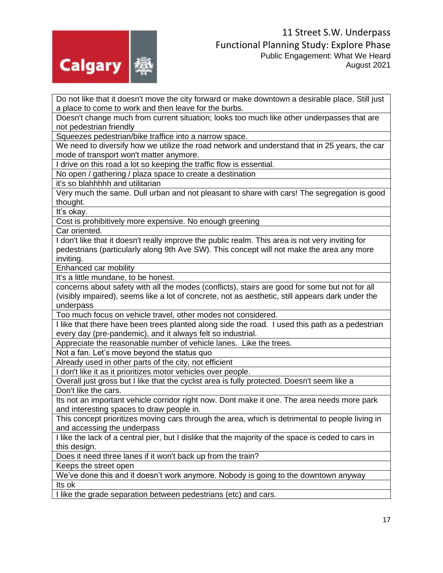

Do not like that it doesn't move the city forward or make downtown a desirable place. Still just a place to come to work and then leave for the burbs.

Doesn't change much from current situation; looks too much like other underpasses that are not pedestrian friendly

Squeezes pedestrian/bike traffice into a narrow space.

We need to diversify how we utilize the road network and understand that in 25 years, the car mode of transport won't matter anymore.

I drive on this road a lot so keeping the traffic flow is essential.

No open / gathering / plaza space to create a destination

it's so blahhhhh and utilitarian

Very much the same. Dull urban and not pleasant to share with cars! The segregation is good thought.

It's okay.

Cost is prohibitively more expensive. No enough greening

Car oriented.

I don't like that it doesn't really improve the public realm. This area is not very inviting for pedestrians (particularly along 9th Ave SW). This concept will not make the area any more inviting.

Enhanced car mobility

It's a little mundane, to be honest.

concerns about safety with all the modes (conflicts), stairs are good for some but not for all (visibly impaired), seems like a lot of concrete, not as aesthetic, still appears dark under the underpass

Too much focus on vehicle travel, other modes not considered.

I like that there have been trees planted along side the road. I used this path as a pedestrian every day (pre-pandemic), and it always felt so industrial.

Appreciate the reasonable number of vehicle lanes. Like the trees.

Not a fan. Let's move beyond the status quo

Already used in other parts of the city, not efficient

I don't like it as it prioritizes motor vehicles over people.

Overall just gross but I like that the cyclist area is fully protected. Doesn't seem like a Don't like the cars.

Its not an important vehicle corridor right now. Dont make it one. The area needs more park and interesting spaces to draw people in.

This concept prioritizes moving cars through the area, which is detrimental to people living in and accessing the underpass

I like the lack of a central pier, but I dislike that the majority of the space is ceded to cars in this design.

Does it need three lanes if it won't back up from the train?

Keeps the street open

We've done this and it doesn't work anymore. Nobody is going to the downtown anyway Its ok

I like the grade separation between pedestrians (etc) and cars.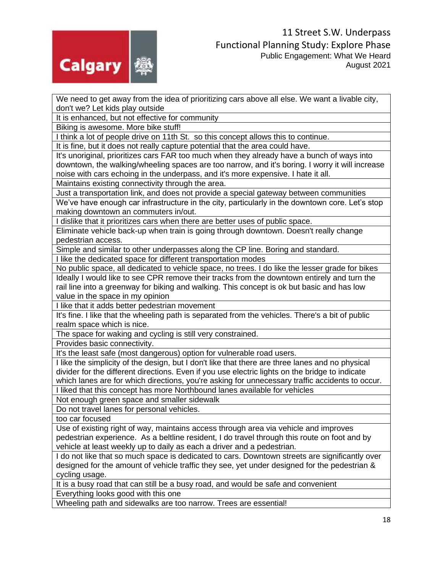

We need to get away from the idea of prioritizing cars above all else. We want a livable city, don't we? Let kids play outside

It is enhanced, but not effective for community

Biking is awesome. More bike stuff!

I think a lot of people drive on 11th St. so this concept allows this to continue.

It is fine, but it does not really capture potential that the area could have.

It's unoriginal, prioritizes cars FAR too much when they already have a bunch of ways into downtown, the walking/wheeling spaces are too narrow, and it's boring. I worry it will increase noise with cars echoing in the underpass, and it's more expensive. I hate it all.

Maintains existing connectivity through the area.

Just a transportation link, and does not provide a special gateway between communities We've have enough car infrastructure in the city, particularly in the downtown core. Let's stop making downtown an commuters in/out.

I dislike that it prioritizes cars when there are better uses of public space.

Eliminate vehicle back-up when train is going through downtown. Doesn't really change pedestrian access.

Simple and similar to other underpasses along the CP line. Boring and standard.

I like the dedicated space for different transportation modes

No public space, all dedicated to vehicle space, no trees. I do like the lesser grade for bikes Ideally I would like to see CPR remove their tracks from the downtown entirely and turn the rail line into a greenway for biking and walking. This concept is ok but basic and has low value in the space in my opinion

I like that it adds better pedestrian movement

It's fine. I like that the wheeling path is separated from the vehicles. There's a bit of public realm space which is nice.

The space for waking and cycling is still very constrained.

Provides basic connectivity.

It's the least safe (most dangerous) option for vulnerable road users.

I like the simplicity of the design, but I don't like that there are three lanes and no physical divider for the different directions. Even if you use electric lights on the bridge to indicate which lanes are for which directions, you're asking for unnecessary traffic accidents to occur.

I liked that this concept has more Northbound lanes available for vehicles

Not enough green space and smaller sidewalk

Do not travel lanes for personal vehicles.

too car focused

Use of existing right of way, maintains access through area via vehicle and improves pedestrian experience. As a beltline resident, I do travel through this route on foot and by vehicle at least weekly up to daily as each a driver and a pedestrian.

I do not like that so much space is dedicated to cars. Downtown streets are significantly over designed for the amount of vehicle traffic they see, yet under designed for the pedestrian & cycling usage.

It is a busy road that can still be a busy road, and would be safe and convenient

Everything looks good with this one

Wheeling path and sidewalks are too narrow. Trees are essential!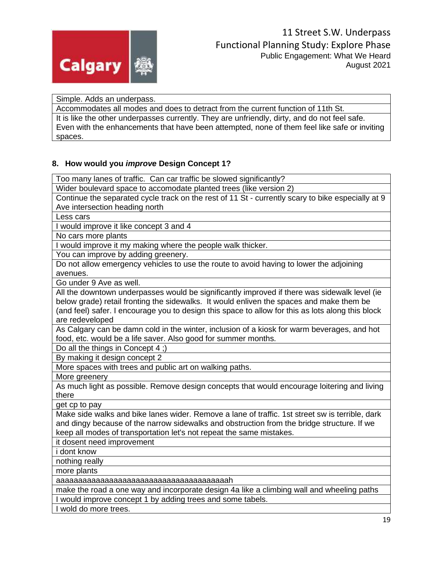

Simple. Adds an underpass.

Accommodates all modes and does to detract from the current function of 11th St. It is like the other underpasses currently. They are unfriendly, dirty, and do not feel safe. Even with the enhancements that have been attempted, none of them feel like safe or inviting spaces.

#### **8. How would you** *improve* **Design Concept 1?**

Too many lanes of traffic. Can car traffic be slowed significantly?

Wider boulevard space to accomodate planted trees (like version 2)

Continue the separated cycle track on the rest of 11 St - currently scary to bike especially at 9 Ave intersection heading north

Less cars

I would improve it like concept 3 and 4

No cars more plants

I would improve it my making where the people walk thicker.

You can improve by adding greenery.

Do not allow emergency vehicles to use the route to avoid having to lower the adjoining avenues.

Go under 9 Ave as well.

All the downtown underpasses would be significantly improved if there was sidewalk level (ie below grade) retail fronting the sidewalks. It would enliven the spaces and make them be (and feel) safer. I encourage you to design this space to allow for this as lots along this block are redeveloped

As Calgary can be damn cold in the winter, inclusion of a kiosk for warm beverages, and hot food, etc. would be a life saver. Also good for summer months.

Do all the things in Concept 4 ;)

By making it design concept 2

More spaces with trees and public art on walking paths.

More greenery

As much light as possible. Remove design concepts that would encourage loitering and living there

get cp to pay

Make side walks and bike lanes wider. Remove a lane of traffic. 1st street sw is terrible, dark and dingy because of the narrow sidewalks and obstruction from the bridge structure. If we keep all modes of transportation let's not repeat the same mistakes.

it dosent need improvement

i dont know

nothing really

more plants

aaaaaaaaaaaaaaaaaaaaaaaaaaaaaaaaaaaaaaah

make the road a one way and incorporate design 4a like a climbing wall and wheeling paths I would improve concept 1 by adding trees and some tabels.

I wold do more trees.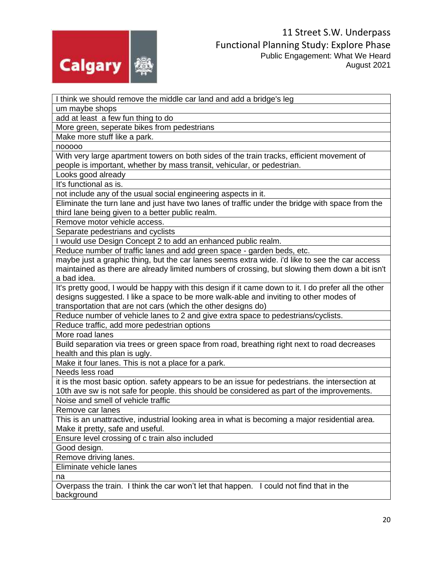

I think we should remove the middle car land and add a bridge's leg um maybe shops add at least a few fun thing to do More green, seperate bikes from pedestrians Make more stuff like a park. nooooo With very large apartment towers on both sides of the train tracks, efficient movement of people is important, whether by mass transit, vehicular, or pedestrian. Looks good already It's functional as is. not include any of the usual social engineering aspects in it. Eliminate the turn lane and just have two lanes of traffic under the bridge with space from the third lane being given to a better public realm. Remove motor vehicle access. Separate pedestrians and cyclists I would use Design Concept 2 to add an enhanced public realm. Reduce number of traffic lanes and add green space - garden beds, etc. maybe just a graphic thing, but the car lanes seems extra wide. i'd like to see the car access maintained as there are already limited numbers of crossing, but slowing them down a bit isn't a bad idea. It's pretty good, I would be happy with this design if it came down to it. I do prefer all the other designs suggested. I like a space to be more walk-able and inviting to other modes of transportation that are not cars (which the other designs do) Reduce number of vehicle lanes to 2 and give extra space to pedestrians/cyclists. Reduce traffic, add more pedestrian options More road lanes Build separation via trees or green space from road, breathing right next to road decreases health and this plan is ugly. Make it four lanes. This is not a place for a park. Needs less road it is the most basic option. safety appears to be an issue for pedestrians. the intersection at 10th ave sw is not safe for people. this should be considered as part of the improvements. Noise and smell of vehicle traffic Remove car lanes This is an unattractive, industrial looking area in what is becoming a major residential area. Make it pretty, safe and useful. Ensure level crossing of c train also included Good design. Remove driving lanes. Eliminate vehicle lanes na Overpass the train. I think the car won't let that happen. I could not find that in the background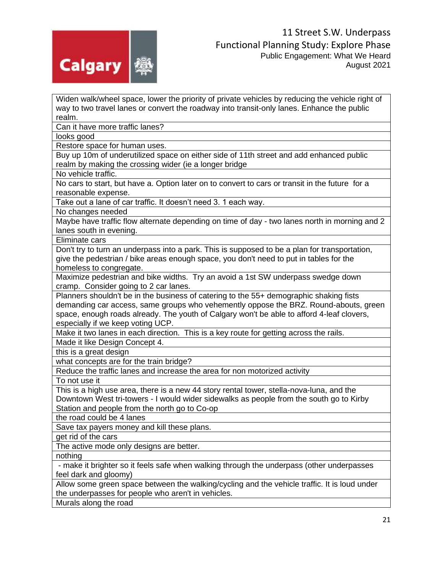

Widen walk/wheel space, lower the priority of private vehicles by reducing the vehicle right of way to two travel lanes or convert the roadway into transit-only lanes. Enhance the public realm.

Can it have more traffic lanes?

looks good

Restore space for human uses.

Buy up 10m of underutilized space on either side of 11th street and add enhanced public realm by making the crossing wider (ie a longer bridge

No vehicle traffic.

No cars to start, but have a. Option later on to convert to cars or transit in the future for a reasonable expense.

Take out a lane of car traffic. It doesn't need 3. 1 each way.

No changes needed

Maybe have traffic flow alternate depending on time of day - two lanes north in morning and 2 lanes south in evening.

Eliminate cars

Don't try to turn an underpass into a park. This is supposed to be a plan for transportation, give the pedestrian / bike areas enough space, you don't need to put in tables for the homeless to congregate.

Maximize pedestrian and bike widths. Try an avoid a 1st SW underpass swedge down cramp. Consider going to 2 car lanes.

Planners shouldn't be in the business of catering to the 55+ demographic shaking fists demanding car access, same groups who vehemently oppose the BRZ. Round-abouts, green space, enough roads already. The youth of Calgary won't be able to afford 4-leaf clovers, especially if we keep voting UCP.

Make it two lanes in each direction. This is a key route for getting across the rails.

Made it like Design Concept 4.

this is a great design

what concepts are for the train bridge?

Reduce the traffic lanes and increase the area for non motorized activity

To not use it

This is a high use area, there is a new 44 story rental tower, stella-nova-luna, and the Downtown West tri-towers - I would wider sidewalks as people from the south go to Kirby Station and people from the north go to Co-op

the road could be 4 lanes

Save tax payers money and kill these plans.

get rid of the cars

The active mode only designs are better.

nothing

- make it brighter so it feels safe when walking through the underpass (other underpasses feel dark and gloomy)

Allow some green space between the walking/cycling and the vehicle traffic. It is loud under the underpasses for people who aren't in vehicles.

Murals along the road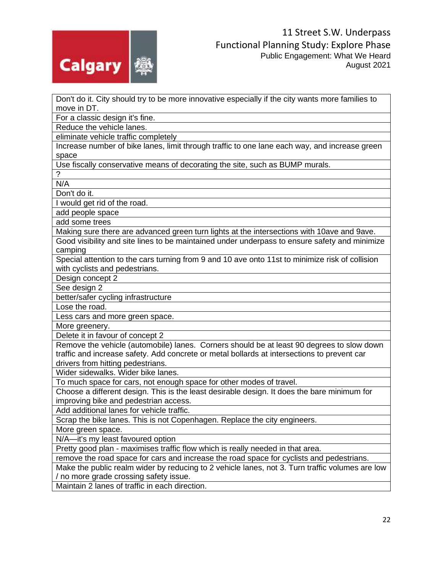

Don't do it. City should try to be more innovative especially if the city wants more families to move in DT.

For a classic design it's fine.

Reduce the vehicle lanes.

eliminate vehicle traffic completely

Increase number of bike lanes, limit through traffic to one lane each way, and increase green space

Use fiscally conservative means of decorating the site, such as BUMP murals.

? N/A

Don't do it.

I would get rid of the road.

add people space

add some trees

Making sure there are advanced green turn lights at the intersections with 10ave and 9ave. Good visibility and site lines to be maintained under underpass to ensure safety and minimize camping

Special attention to the cars turning from 9 and 10 ave onto 11st to minimize risk of collision with cyclists and pedestrians.

Design concept 2

See design 2

better/safer cycling infrastructure

Lose the road.

Less cars and more green space.

More greenery.

Delete it in favour of concept 2

Remove the vehicle (automobile) lanes. Corners should be at least 90 degrees to slow down traffic and increase safety. Add concrete or metal bollards at intersections to prevent car drivers from hitting pedestrians.

Wider sidewalks. Wider bike lanes.

To much space for cars, not enough space for other modes of travel.

Choose a different design. This is the least desirable design. It does the bare minimum for improving bike and pedestrian access.

Add additional lanes for vehicle traffic.

Scrap the bike lanes. This is not Copenhagen. Replace the city engineers.

More green space.

N/A—it's my least favoured option

Pretty good plan - maximises traffic flow which is really needed in that area.

remove the road space for cars and increase the road space for cyclists and pedestrians.

Make the public realm wider by reducing to 2 vehicle lanes, not 3. Turn traffic volumes are low / no more grade crossing safety issue.

Maintain 2 lanes of traffic in each direction.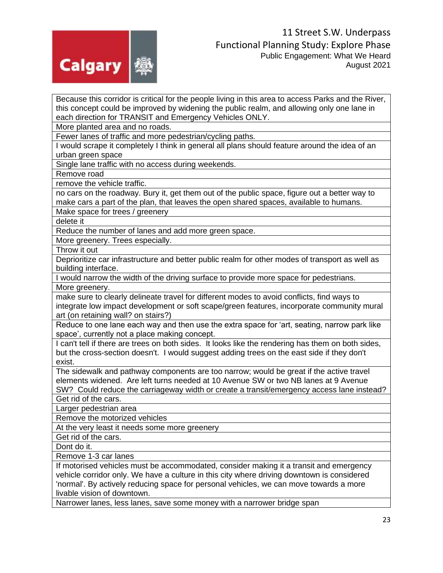

Because this corridor is critical for the people living in this area to access Parks and the River, this concept could be improved by widening the public realm, and allowing only one lane in each direction for TRANSIT and Emergency Vehicles ONLY.

More planted area and no roads.

Fewer lanes of traffic and more pedestrian/cycling paths.

I would scrape it completely I think in general all plans should feature around the idea of an urban green space

Single lane traffic with no access during weekends.

Remove road

remove the vehicle traffic.

no cars on the roadway. Bury it, get them out of the public space, figure out a better way to make cars a part of the plan, that leaves the open shared spaces, available to humans.

Make space for trees / greenery

delete it

Reduce the number of lanes and add more green space.

More greenery. Trees especially.

Throw it out

Deprioritize car infrastructure and better public realm for other modes of transport as well as building interface.

I would narrow the width of the driving surface to provide more space for pedestrians.

More greenery.

make sure to clearly delineate travel for different modes to avoid conflicts, find ways to integrate low impact development or soft scape/green features, incorporate community mural art (on retaining wall? on stairs?)

Reduce to one lane each way and then use the extra space for 'art, seating, narrow park like space', currently not a place making concept.

I can't tell if there are trees on both sides. It looks like the rendering has them on both sides, but the cross-section doesn't. I would suggest adding trees on the east side if they don't exist.

The sidewalk and pathway components are too narrow; would be great if the active travel elements widened. Are left turns needed at 10 Avenue SW or two NB lanes at 9 Avenue SW? Could reduce the carriageway width or create a transit/emergency access lane instead?

Get rid of the cars.

Larger pedestrian area

Remove the motorized vehicles

At the very least it needs some more greenery

Get rid of the cars.

Dont do it.

Remove 1-3 car lanes

If motorised vehicles must be accommodated, consider making it a transit and emergency vehicle corridor only. We have a culture in this city where driving downtown is considered 'normal'. By actively reducing space for personal vehicles, we can move towards a more livable vision of downtown.

Narrower lanes, less lanes, save some money with a narrower bridge span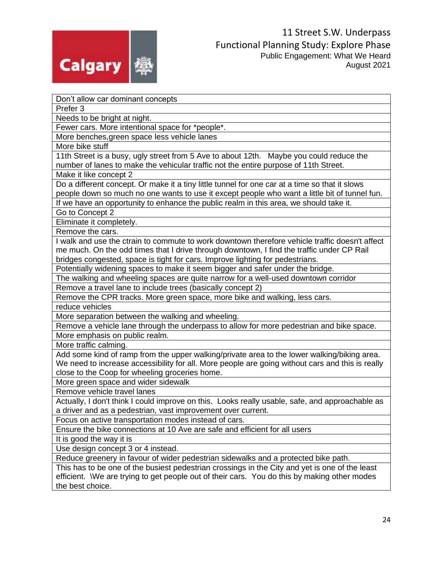

Don't allow car dominant concepts

Prefer 3

Needs to be bright at night.

Fewer cars. More intentional space for \*people\*.

More benches,green space less vehicle lanes

More bike stuff

11th Street is a busy, ugly street from 5 Ave to about 12th. Maybe you could reduce the number of lanes to make the vehicular traffic not the entire purpose of 11th Street.

Make it like concept 2

Do a different concept. Or make it a tiny little tunnel for one car at a time so that it slows people down so much no one wants to use it except people who want a little bit of tunnel fun.

If we have an opportunity to enhance the public realm in this area, we should take it.

Go to Concept 2

Eliminate it completely.

Remove the cars.

I walk and use the ctrain to commute to work downtown therefore vehicle traffic doesn't affect me much. On the odd times that I drive through downtown, I find the traffic under CP Rail bridges congested, space is tight for cars. Improve lighting for pedestrians.

Potentially widening spaces to make it seem bigger and safer under the bridge.

The walking and wheeling spaces are quite narrow for a well-used downtown corridor

Remove a travel lane to include trees (basically concept 2)

Remove the CPR tracks. More green space, more bike and walking, less cars.

reduce vehicles

More separation between the walking and wheeling.

Remove a vehicle lane through the underpass to allow for more pedestrian and bike space. More emphasis on public realm.

More traffic calming.

Add some kind of ramp from the upper walking/private area to the lower walking/biking area. We need to increase accessibility for all. More people are going without cars and this is really close to the Coop for wheeling groceries home.

More green space and wider sidewalk

Remove vehicle travel lanes

Actually, I don't think I could improve on this. Looks really usable, safe, and approachable as a driver and as a pedestrian, vast improvement over current.

Focus on active transportation modes instead of cars.

Ensure the bike connections at 10 Ave are safe and efficient for all users

It is good the way it is

Use design concept 3 or 4 instead.

Reduce greenery in favour of wider pedestrian sidewalks and a protected bike path.

This has to be one of the busiest pedestrian crossings in the City and yet is one of the least efficient. \We are trying to get people out of their cars. You do this by making other modes the best choice.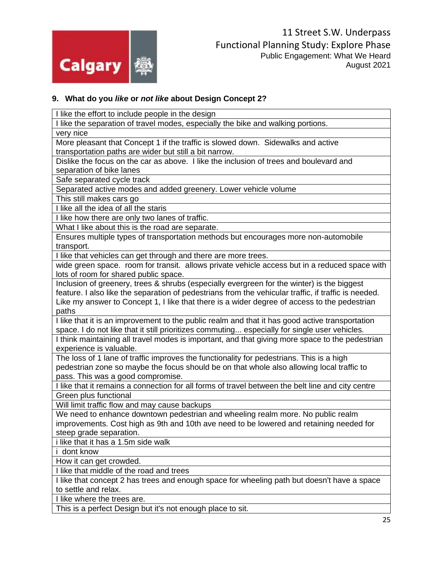

#### **9. What do you** *like* **or** *not like* **about Design Concept 2?**

I like the effort to include people in the design I like the separation of travel modes, especially the bike and walking portions. very nice More pleasant that Concept 1 if the traffic is slowed down. Sidewalks and active transportation paths are wider but still a bit narrow. Dislike the focus on the car as above. I like the inclusion of trees and boulevard and separation of bike lanes Safe separated cycle track Separated active modes and added greenery. Lower vehicle volume This still makes cars go I like all the idea of all the staris I like how there are only two lanes of traffic. What I like about this is the road are separate. Ensures multiple types of transportation methods but encourages more non-automobile transport. I like that vehicles can get through and there are more trees. wide green space. room for transit. allows private vehicle access but in a reduced space with lots of room for shared public space. Inclusion of greenery, trees & shrubs (especially evergreen for the winter) is the biggest feature. I also like the separation of pedestrians from the vehicular traffic, if traffic is needed. Like my answer to Concept 1, I like that there is a wider degree of access to the pedestrian paths I like that it is an improvement to the public realm and that it has good active transportation space. I do not like that it still prioritizes commuting... especially for single user vehicles. I think maintaining all travel modes is important, and that giving more space to the pedestrian experience is valuable. The loss of 1 lane of traffic improves the functionality for pedestrians. This is a high pedestrian zone so maybe the focus should be on that whole also allowing local traffic to pass. This was a good compromise. I like that it remains a connection for all forms of travel between the belt line and city centre Green plus functional Will limit traffic flow and may cause backups We need to enhance downtown pedestrian and wheeling realm more. No public realm improvements. Cost high as 9th and 10th ave need to be lowered and retaining needed for steep grade separation. i like that it has a 1.5m side walk i dont know How it can get crowded. I like that middle of the road and trees I like that concept 2 has trees and enough space for wheeling path but doesn't have a space to settle and relax. I like where the trees are.

This is a perfect Design but it's not enough place to sit.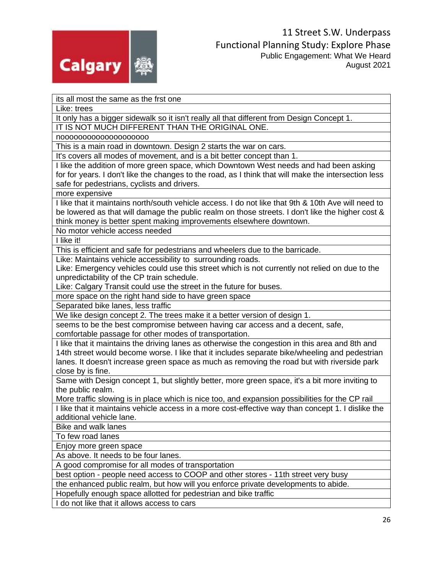

its all most the same as the frst one

Like: trees

It only has a bigger sidewalk so it isn't really all that different from Design Concept 1. IT IS NOT MUCH DIFFERENT THAN THE ORIGINAL ONE.

noooooooooooooooooooo

This is a main road in downtown. Design 2 starts the war on cars.

It's covers all modes of movement, and is a bit better concept than 1.

I like the addition of more green space, which Downtown West needs and had been asking for for years. I don't like the changes to the road, as I think that will make the intersection less safe for pedestrians, cyclists and drivers.

more expensive

I like that it maintains north/south vehicle access. I do not like that 9th & 10th Ave will need to be lowered as that will damage the public realm on those streets. I don't like the higher cost & think money is better spent making improvements elsewhere downtown.

No motor vehicle access needed

I like it!

This is efficient and safe for pedestrians and wheelers due to the barricade.

Like: Maintains vehicle accessibility to surrounding roads.

Like: Emergency vehicles could use this street which is not currently not relied on due to the unpredictability of the CP train schedule.

Like: Calgary Transit could use the street in the future for buses.

more space on the right hand side to have green space

Separated bike lanes, less traffic

We like design concept 2. The trees make it a better version of design 1.

seems to be the best compromise between having car access and a decent, safe, comfortable passage for other modes of transportation.

I like that it maintains the driving lanes as otherwise the congestion in this area and 8th and 14th street would become worse. I like that it includes separate bike/wheeling and pedestrian lanes. It doesn't increase green space as much as removing the road but with riverside park close by is fine.

Same with Design concept 1, but slightly better, more green space, it's a bit more inviting to the public realm.

More traffic slowing is in place which is nice too, and expansion possibilities for the CP rail

I like that it maintains vehicle access in a more cost-effective way than concept 1. I dislike the additional vehicle lane.

Bike and walk lanes

To few road lanes

Enjoy more green space

As above. It needs to be four lanes.

A good compromise for all modes of transportation

best option - people need access to COOP and other stores - 11th street very busy

the enhanced public realm, but how will you enforce private developments to abide.

Hopefully enough space allotted for pedestrian and bike traffic

I do not like that it allows access to cars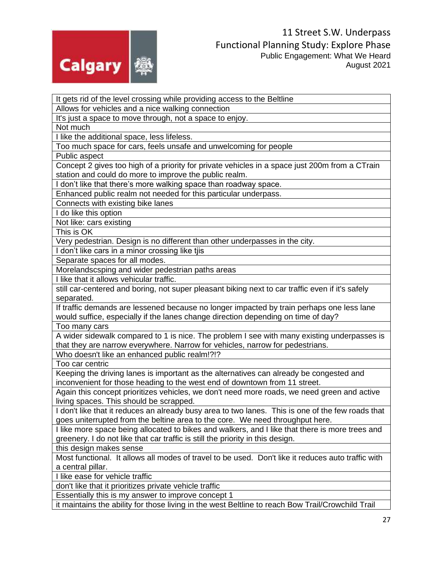

It gets rid of the level crossing while providing access to the Beltline

Allows for vehicles and a nice walking connection

It's just a space to move through, not a space to enjoy.

Not much

I like the additional space, less lifeless.

Too much space for cars, feels unsafe and unwelcoming for people

Public aspect

Concept 2 gives too high of a priority for private vehicles in a space just 200m from a CTrain station and could do more to improve the public realm.

I don't like that there's more walking space than roadway space.

Enhanced public realm not needed for this particular underpass.

Connects with existing bike lanes

I do like this option

Not like: cars existing

This is OK

Very pedestrian. Design is no different than other underpasses in the city.

I don't like cars in a minor crossing like tjis

Separate spaces for all modes.

Morelandscsping and wider pedestrian paths areas

I like that it allows vehicular traffic.

still car-centered and boring, not super pleasant biking next to car traffic even if it's safely separated.

If traffic demands are lessened because no longer impacted by train perhaps one less lane would suffice, especially if the lanes change direction depending on time of day?

Too many cars

A wider sidewalk compared to 1 is nice. The problem I see with many existing underpasses is that they are narrow everywhere. Narrow for vehicles, narrow for pedestrians.

Who doesn't like an enhanced public realm!?!?

Too car centric

Keeping the driving lanes is important as the alternatives can already be congested and inconvenient for those heading to the west end of downtown from 11 street.

Again this concept prioritizes vehicles, we don't need more roads, we need green and active living spaces. This should be scrapped.

I don't like that it reduces an already busy area to two lanes. This is one of the few roads that goes uniterrupted from the beltine area to the core. We need throughput here.

I like more space being allocated to bikes and walkers, and I like that there is more trees and greenery. I do not like that car traffic is still the priority in this design.

this design makes sense

Most functional. It allows all modes of travel to be used. Don't like it reduces auto traffic with a central pillar.

I like ease for vehicle traffic

don't like that it prioritizes private vehicle traffic

Essentially this is my answer to improve concept 1

it maintains the ability for those living in the west Beltline to reach Bow Trail/Crowchild Trail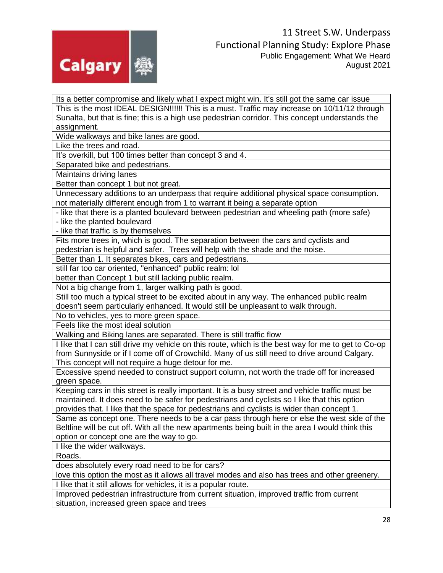

Its a better compromise and likely what I expect might win. It's still got the same car issue This is the most IDEAL DESIGN!!!!!! This is a must. Traffic may increase on 10/11/12 through Sunalta, but that is fine; this is a high use pedestrian corridor. This concept understands the assignment.

Wide walkways and bike lanes are good.

Like the trees and road.

It's overkill, but 100 times better than concept 3 and 4.

Separated bike and pedestrians.

Maintains driving lanes

Better than concept 1 but not great.

Unnecessary additions to an underpass that require additional physical space consumption. not materially different enough from 1 to warrant it being a separate option

- like that there is a planted boulevard between pedestrian and wheeling path (more safe)

- like the planted boulevard

- like that traffic is by themselves

Fits more trees in, which is good. The separation between the cars and cyclists and pedestrian is helpful and safer. Trees will help with the shade and the noise.

Better than 1. It separates bikes, cars and pedestrians.

still far too car oriented, "enhanced" public realm: lol

better than Concept 1 but still lacking public realm.

Not a big change from 1, larger walking path is good.

Still too much a typical street to be excited about in any way. The enhanced public realm doesn't seem particularly enhanced. It would still be unpleasant to walk through.

No to vehicles, yes to more green space.

Feels like the most ideal solution

Walking and Biking lanes are separated. There is still traffic flow

I like that I can still drive my vehicle on this route, which is the best way for me to get to Co-op from Sunnyside or if I come off of Crowchild. Many of us still need to drive around Calgary. This concept will not require a huge detour for me.

Excessive spend needed to construct support column, not worth the trade off for increased green space.

Keeping cars in this street is really important. It is a busy street and vehicle traffic must be maintained. It does need to be safer for pedestrians and cyclists so I like that this option provides that. I like that the space for pedestrians and cyclists is wider than concept 1.

Same as concept one. There needs to be a car pass through here or else the west side of the Beltline will be cut off. With all the new apartments being built in the area I would think this option or concept one are the way to go.

I like the wider walkways.

Roads.

does absolutely every road need to be for cars?

love this option the most as it allows all travel modes and also has trees and other greenery.

I like that it still allows for vehicles, it is a popular route.

Improved pedestrian infrastructure from current situation, improved traffic from current situation, increased green space and trees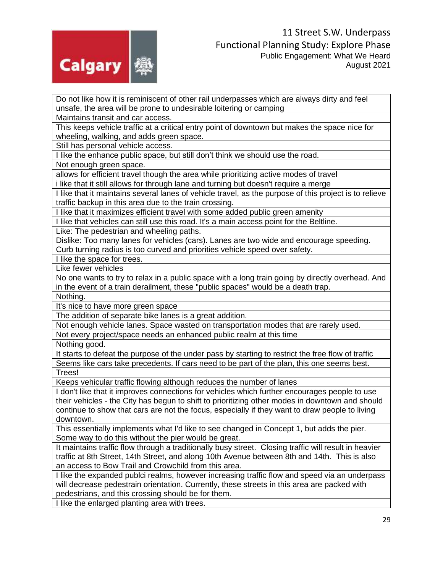

Do not like how it is reminiscent of other rail underpasses which are always dirty and feel unsafe, the area will be prone to undesirable loitering or camping

Maintains transit and car access.

This keeps vehicle traffic at a critical entry point of downtown but makes the space nice for wheeling, walking, and adds green space.

Still has personal vehicle access.

I like the enhance public space, but still don't think we should use the road.

Not enough green space.

allows for efficient travel though the area while prioritizing active modes of travel

i like that it still allows for through lane and turning but doesn't require a merge

I like that it maintains several lanes of vehicle travel, as the purpose of this project is to relieve traffic backup in this area due to the train crossing.

I like that it maximizes efficient travel with some added public green amenity

I like that vehicles can still use this road. It's a main access point for the Beltline.

Like: The pedestrian and wheeling paths.

Dislike: Too many lanes for vehicles (cars). Lanes are two wide and encourage speeding. Curb turning radius is too curved and priorities vehicle speed over safety.

I like the space for trees.

Like fewer vehicles

No one wants to try to relax in a public space with a long train going by directly overhead. And in the event of a train derailment, these "public spaces" would be a death trap.

Nothing.

It's nice to have more green space

The addition of separate bike lanes is a great addition.

Not enough vehicle lanes. Space wasted on transportation modes that are rarely used.

Not every project/space needs an enhanced public realm at this time

Nothing good.

It starts to defeat the purpose of the under pass by starting to restrict the free flow of traffic Seems like cars take precedents. If cars need to be part of the plan, this one seems best. Trees!

Keeps vehicular traffic flowing although reduces the number of lanes

I don't like that it improves connections for vehicles which further encourages people to use their vehicles - the City has begun to shift to prioritizing other modes in downtown and should continue to show that cars are not the focus, especially if they want to draw people to living downtown.

This essentially implements what I'd like to see changed in Concept 1, but adds the pier. Some way to do this without the pier would be great.

It maintains traffic flow through a traditionally busy street. Closing traffic will result in heavier traffic at 8th Street, 14th Street, and along 10th Avenue between 8th and 14th. This is also an access to Bow Trail and Crowchild from this area.

I like the expanded publci realms, however increasing traffic flow and speed via an underpass will decrease pedestrain orientation. Currently, these streets in this area are packed with pedestrians, and this crossing should be for them.

I like the enlarged planting area with trees.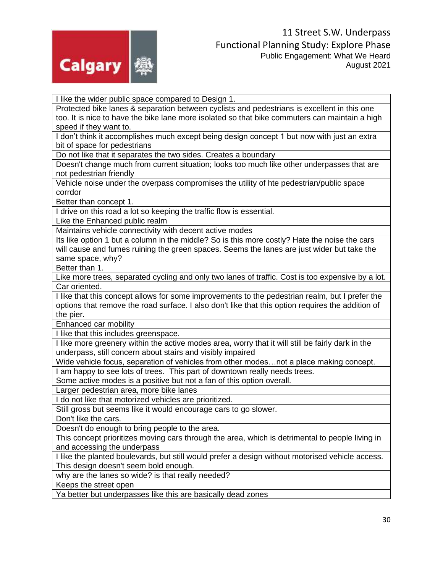

I like the wider public space compared to Design 1.

Protected bike lanes & separation between cyclists and pedestrians is excellent in this one too. It is nice to have the bike lane more isolated so that bike commuters can maintain a high speed if they want to.

I don't think it accomplishes much except being design concept 1 but now with just an extra bit of space for pedestrians

Do not like that it separates the two sides. Creates a boundary

Doesn't change much from current situation; looks too much like other underpasses that are not pedestrian friendly

Vehicle noise under the overpass compromises the utility of hte pedestrian/public space corrdor

Better than concept 1.

I drive on this road a lot so keeping the traffic flow is essential.

Like the Enhanced public realm

Maintains vehicle connectivity with decent active modes

Its like option 1 but a column in the middle? So is this more costly? Hate the noise the cars will cause and fumes ruining the green spaces. Seems the lanes are just wider but take the same space, why?

Better than 1.

Like more trees, separated cycling and only two lanes of traffic. Cost is too expensive by a lot. Car oriented.

I like that this concept allows for some improvements to the pedestrian realm, but I prefer the options that remove the road surface. I also don't like that this option requires the addition of the pier.

Enhanced car mobility

I like that this includes greenspace.

I like more greenery within the active modes area, worry that it will still be fairly dark in the underpass, still concern about stairs and visibly impaired

Wide vehicle focus, separation of vehicles from other modes…not a place making concept.

I am happy to see lots of trees. This part of downtown really needs trees.

Some active modes is a positive but not a fan of this option overall.

Larger pedestrian area, more bike lanes

I do not like that motorized vehicles are prioritized.

Still gross but seems like it would encourage cars to go slower.

Don't like the cars.

Doesn't do enough to bring people to the area.

This concept prioritizes moving cars through the area, which is detrimental to people living in and accessing the underpass

I like the planted boulevards, but still would prefer a design without motorised vehicle access. This design doesn't seem bold enough.

why are the lanes so wide? is that really needed?

Keeps the street open

Ya better but underpasses like this are basically dead zones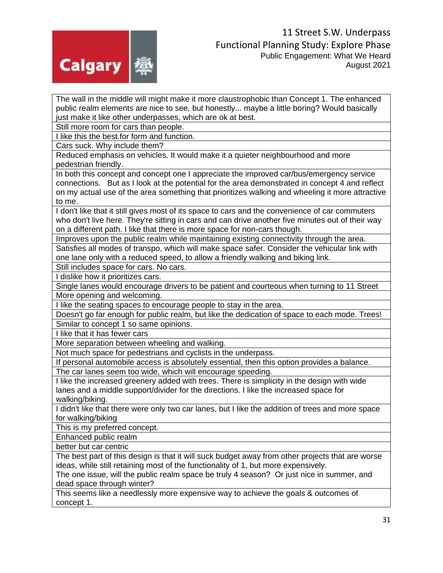

The wall in the middle will might make it more claustrophobic than Concept 1. The enhanced public realm elements are nice to see, but honestly... maybe a little boring? Would basically just make it like other underpasses, which are ok at best.

Still more room for cars than people.

I like this the best.for form and function.

Cars suck. Why include them?

Reduced emphasis on vehicles. It would make it a quieter neighbourhood and more pedestrian friendly.

In both this concept and concept one I appreciate the improved car/bus/emergency service connections. But as I look at the potential for the area demonstrated in concept 4 and reflect on my actual use of the area something that prioritizes walking and wheeling it more attractive to me.

I don't like that it still gives most of its space to cars and the convenience of car commuters who don't live here. They're sitting in cars and can drive another five minutes out of their way on a different path. I like that there is more space for non-cars though.

Improves upon the public realm while maintaining existing connectivity through the area.

Satisfies all modes of transpo, which will make space safer. Consider the vehicular link with one lane only with a reduced speed, to allow a friendly walking and biking link.

Still includes space for cars. No cars.

I dislike how it prioritizes cars.

Single lanes would encourage drivers to be patient and courteous when turning to 11 Street More opening and welcoming.

I like the seating spaces to encourage people to stay in the area.

Doesn't go far enough for public realm, but like the dedication of space to each mode. Trees! Similar to concept 1 so same opinions.

I like that it has fewer cars

More separation between wheeling and walking.

Not much space for pedestrians and cyclists in the underpass.

If personal automobile access is absolutely essential, then this option provides a balance.

The car lanes seem too wide, which will encourage speeding.

I like the increased greenery added with trees. There is simplicity in the design with wide lanes and a middle support/divider for the directions. I like the increased space for walking/biking.

I didn't like that there were only two car lanes, but I like the addition of trees and more space for walking/biking

This is my preferred concept.

Enhanced public realm

better but car centric

The best part of this design is that it will suck budget away from other projects that are worse ideas, while still retaining most of the functionality of 1, but more expensively.

The one issue, will the public realm space be truly 4 season? Or just nice in summer, and dead space through winter?

This seems like a needlessly more expensive way to achieve the goals & outcomes of concept 1.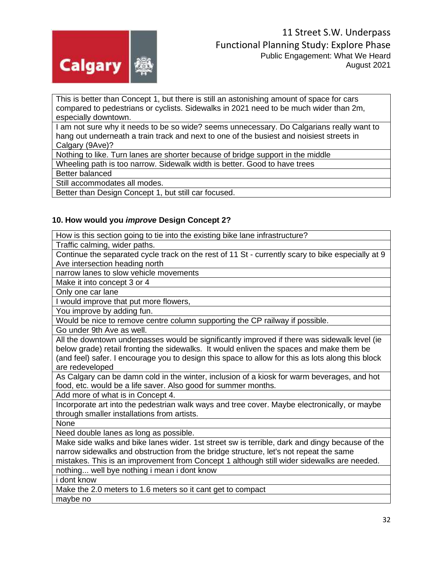

This is better than Concept 1, but there is still an astonishing amount of space for cars compared to pedestrians or cyclists. Sidewalks in 2021 need to be much wider than 2m, especially downtown.

I am not sure why it needs to be so wide? seems unnecessary. Do Calgarians really want to hang out underneath a train track and next to one of the busiest and noisiest streets in Calgary (9Ave)?

Nothing to like. Turn lanes are shorter because of bridge support in the middle

Wheeling path is too narrow. Sidewalk width is better. Good to have trees

Better balanced

Still accommodates all modes.

Better than Design Concept 1, but still car focused.

#### **10. How would you** *improve* **Design Concept 2?**

How is this section going to tie into the existing bike lane infrastructure?

Traffic calming, wider paths.

Continue the separated cycle track on the rest of 11 St - currently scary to bike especially at 9 Ave intersection heading north

narrow lanes to slow vehicle movements

Make it into concept 3 or 4

Only one car lane

I would improve that put more flowers,

You improve by adding fun.

Would be nice to remove centre column supporting the CP railway if possible.

Go under 9th Ave as well.

All the downtown underpasses would be significantly improved if there was sidewalk level (ie below grade) retail fronting the sidewalks. It would enliven the spaces and make them be (and feel) safer. I encourage you to design this space to allow for this as lots along this block are redeveloped

As Calgary can be damn cold in the winter, inclusion of a kiosk for warm beverages, and hot food, etc. would be a life saver. Also good for summer months.

Add more of what is in Concept 4.

Incorporate art into the pedestrian walk ways and tree cover. Maybe electronically, or maybe through smaller installations from artists.

None

Need double lanes as long as possible.

Make side walks and bike lanes wider. 1st street sw is terrible, dark and dingy because of the narrow sidewalks and obstruction from the bridge structure, let's not repeat the same mistakes. This is an improvement from Concept 1 although still wider sidewalks are needed.

nothing... well bye nothing i mean i dont know

i dont know

Make the 2.0 meters to 1.6 meters so it cant get to compact

maybe no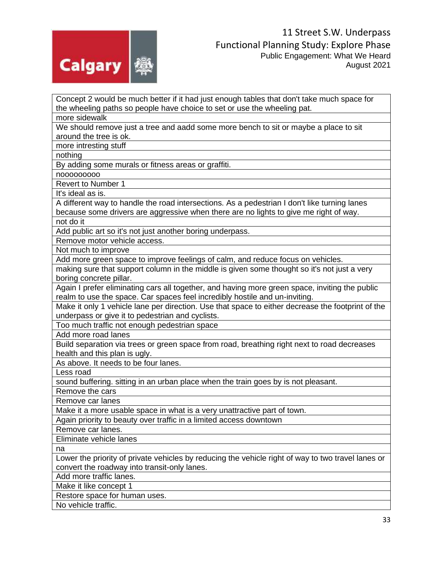

Concept 2 would be much better if it had just enough tables that don't take much space for the wheeling paths so people have choice to set or use the wheeling pat. more sidewalk We should remove just a tree and aadd some more bench to sit or maybe a place to sit around the tree is ok. more intresting stuff nothing By adding some murals or fitness areas or graffiti. nooooooooo Revert to Number 1 It's ideal as is. A different way to handle the road intersections. As a pedestrian I don't like turning lanes because some drivers are aggressive when there are no lights to give me right of way. not do it Add public art so it's not just another boring underpass. Remove motor vehicle access. Not much to improve Add more green space to improve feelings of calm, and reduce focus on vehicles. making sure that support column in the middle is given some thought so it's not just a very boring concrete pillar. Again I prefer eliminating cars all together, and having more green space, inviting the public realm to use the space. Car spaces feel incredibly hostile and un-inviting. Make it only 1 vehicle lane per direction. Use that space to either decrease the footprint of the underpass or give it to pedestrian and cyclists. Too much traffic not enough pedestrian space Add more road lanes Build separation via trees or green space from road, breathing right next to road decreases health and this plan is ugly. As above. It needs to be four lanes. Less road sound buffering. sitting in an urban place when the train goes by is not pleasant. Remove the cars Remove car lanes Make it a more usable space in what is a very unattractive part of town. Again priority to beauty over traffic in a limited access downtown Remove car lanes. Eliminate vehicle lanes na Lower the priority of private vehicles by reducing the vehicle right of way to two travel lanes or convert the roadway into transit-only lanes. Add more traffic lanes. Make it like concept 1 Restore space for human uses. No vehicle traffic.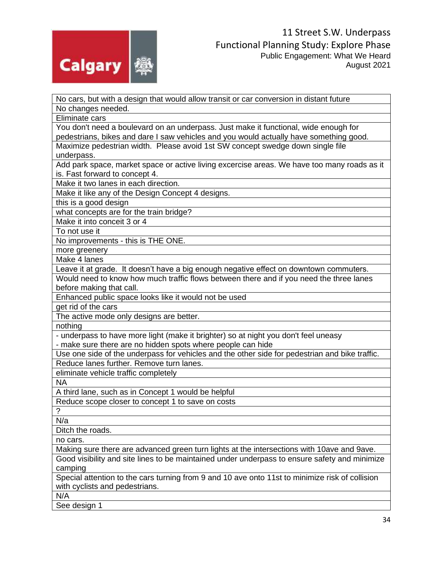

| No cars, but with a design that would allow transit or car conversion in distant future         |
|-------------------------------------------------------------------------------------------------|
| No changes needed.                                                                              |
| Eliminate cars                                                                                  |
| You don't need a boulevard on an underpass. Just make it functional, wide enough for            |
| pedestrians, bikes and dare I saw vehicles and you would actually have something good.          |
| Maximize pedestrian width. Please avoid 1st SW concept swedge down single file                  |
| underpass.                                                                                      |
| Add park space, market space or active living excercise areas. We have too many roads as it     |
| is. Fast forward to concept 4.                                                                  |
| Make it two lanes in each direction.                                                            |
| Make it like any of the Design Concept 4 designs.                                               |
| this is a good design                                                                           |
| what concepts are for the train bridge?                                                         |
| Make it into conceit 3 or 4                                                                     |
| To not use it                                                                                   |
| No improvements - this is THE ONE.                                                              |
| more greenery                                                                                   |
| Make 4 lanes                                                                                    |
| Leave it at grade. It doesn't have a big enough negative effect on downtown commuters.          |
| Would need to know how much traffic flows between there and if you need the three lanes         |
| before making that call.                                                                        |
| Enhanced public space looks like it would not be used                                           |
| get rid of the cars                                                                             |
| The active mode only designs are better.                                                        |
| nothing                                                                                         |
| - underpass to have more light (make it brighter) so at night you don't feel uneasy             |
| - make sure there are no hidden spots where people can hide                                     |
| Use one side of the underpass for vehicles and the other side for pedestrian and bike traffic.  |
| Reduce lanes further. Remove turn lanes.                                                        |
| eliminate vehicle traffic completely                                                            |
| <b>NA</b>                                                                                       |
| A third lane, such as in Concept 1 would be helpful                                             |
| Reduce scope closer to concept 1 to save on costs                                               |
| $\gamma$                                                                                        |
| N/a                                                                                             |
| Ditch the roads.                                                                                |
| no cars.                                                                                        |
| Making sure there are advanced green turn lights at the intersections with 10ave and 9ave.      |
| Good visibility and site lines to be maintained under underpass to ensure safety and minimize   |
| camping                                                                                         |
| Special attention to the cars turning from 9 and 10 ave onto 11st to minimize risk of collision |
| with cyclists and pedestrians.                                                                  |
| N/A                                                                                             |
| See design 1                                                                                    |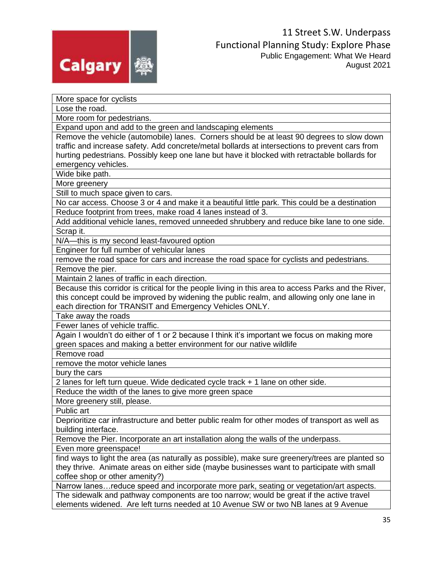

More space for cyclists

Lose the road.

More room for pedestrians.

Expand upon and add to the green and landscaping elements

Remove the vehicle (automobile) lanes. Corners should be at least 90 degrees to slow down traffic and increase safety. Add concrete/metal bollards at intersections to prevent cars from hurting pedestrians. Possibly keep one lane but have it blocked with retractable bollards for emergency vehicles.

Wide bike path.

More greenery

Still to much space given to cars.

No car access. Choose 3 or 4 and make it a beautiful little park. This could be a destination Reduce footprint from trees, make road 4 lanes instead of 3.

Add additional vehicle lanes, removed unneeded shrubbery and reduce bike lane to one side. Scrap it.

N/A—this is my second least-favoured option

Engineer for full number of vehicular lanes

remove the road space for cars and increase the road space for cyclists and pedestrians. Remove the pier.

Maintain 2 lanes of traffic in each direction.

Because this corridor is critical for the people living in this area to access Parks and the River, this concept could be improved by widening the public realm, and allowing only one lane in each direction for TRANSIT and Emergency Vehicles ONLY.

Take away the roads

Fewer lanes of vehicle traffic.

Again I wouldn't do either of 1 or 2 because I think it's important we focus on making more green spaces and making a better environment for our native wildlife

Remove road

remove the motor vehicle lanes

bury the cars

2 lanes for left turn queue. Wide dedicated cycle track + 1 lane on other side.

Reduce the width of the lanes to give more green space

More greenery still, please.

Public art

Deprioritize car infrastructure and better public realm for other modes of transport as well as building interface.

Remove the Pier. Incorporate an art installation along the walls of the underpass.

Even more greenspace!

find ways to light the area (as naturally as possible), make sure greenery/trees are planted so they thrive. Animate areas on either side (maybe businesses want to participate with small coffee shop or other amenity?)

Narrow lanes…reduce speed and incorporate more park, seating or vegetation/art aspects. The sidewalk and pathway components are too narrow; would be great if the active travel elements widened. Are left turns needed at 10 Avenue SW or two NB lanes at 9 Avenue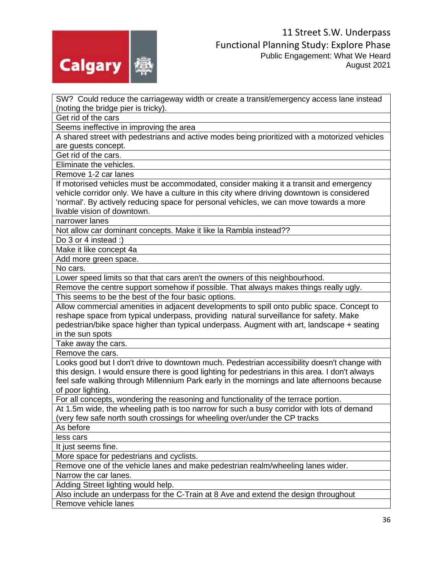

SW? Could reduce the carriageway width or create a transit/emergency access lane instead (noting the bridge pier is tricky).

Get rid of the cars

Seems ineffective in improving the area

A shared street with pedestrians and active modes being prioritized with a motorized vehicles are guests concept.

Get rid of the cars.

Eliminate the vehicles.

Remove 1-2 car lanes

If motorised vehicles must be accommodated, consider making it a transit and emergency vehicle corridor only. We have a culture in this city where driving downtown is considered 'normal'. By actively reducing space for personal vehicles, we can move towards a more livable vision of downtown.

narrower lanes

Not allow car dominant concepts. Make it like la Rambla instead??

Do 3 or 4 instead :)

Make it like concept 4a

Add more green space.

No cars.

Lower speed limits so that that cars aren't the owners of this neighbourhood.

Remove the centre support somehow if possible. That always makes things really ugly.

This seems to be the best of the four basic options.

Allow commercial amenities in adjacent developments to spill onto public space. Concept to reshape space from typical underpass, providing natural surveillance for safety. Make pedestrian/bike space higher than typical underpass. Augment with art, landscape + seating in the sun spots

Take away the cars.

Remove the cars.

Looks good but I don't drive to downtown much. Pedestrian accessibility doesn't change with this design. I would ensure there is good lighting for pedestrians in this area. I don't always feel safe walking through Millennium Park early in the mornings and late afternoons because of poor lighting.

For all concepts, wondering the reasoning and functionality of the terrace portion.

At 1.5m wide, the wheeling path is too narrow for such a busy corridor with lots of demand (very few safe north south crossings for wheeling over/under the CP tracks

As before

less cars

It just seems fine.

More space for pedestrians and cyclists.

Remove one of the vehicle lanes and make pedestrian realm/wheeling lanes wider.

Narrow the car lanes.

Adding Street lighting would help.

Also include an underpass for the C-Train at 8 Ave and extend the design throughout Remove vehicle lanes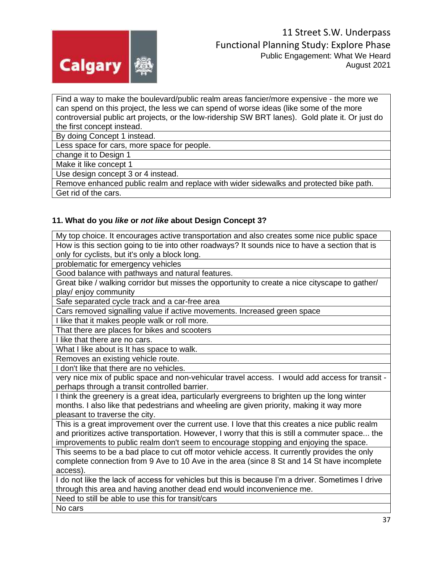

Find a way to make the boulevard/public realm areas fancier/more expensive - the more we can spend on this project, the less we can spend of worse ideas (like some of the more controversial public art projects, or the low-ridership SW BRT lanes). Gold plate it. Or just do the first concept instead.

By doing Concept 1 instead.

Less space for cars, more space for people.

change it to Design 1

Make it like concept 1

Use design concept 3 or 4 instead.

Remove enhanced public realm and replace with wider sidewalks and protected bike path. Get rid of the cars.

### **11. What do you** *like* **or** *not like* **about Design Concept 3?**

My top choice. It encourages active transportation and also creates some nice public space How is this section going to tie into other roadways? It sounds nice to have a section that is only for cyclists, but it's only a block long.

problematic for emergency vehicles

Good balance with pathways and natural features.

Great bike / walking corridor but misses the opportunity to create a nice cityscape to gather/ play/ enjoy community

Safe separated cycle track and a car-free area

Cars removed signalling value if active movements. Increased green space

I like that it makes people walk or roll more.

That there are places for bikes and scooters

I like that there are no cars.

What I like about is It has space to walk.

Removes an existing vehicle route.

I don't like that there are no vehicles.

very nice mix of public space and non-vehicular travel access. I would add access for transit perhaps through a transit controlled barrier.

I think the greenery is a great idea, particularly evergreens to brighten up the long winter months. I also like that pedestrians and wheeling are given priority, making it way more pleasant to traverse the city.

This is a great improvement over the current use. I love that this creates a nice public realm and prioritizes active transportation. However, I worry that this is still a commuter space... the improvements to public realm don't seem to encourage stopping and enjoying the space.

This seems to be a bad place to cut off motor vehicle access. It currently provides the only complete connection from 9 Ave to 10 Ave in the area (since 8 St and 14 St have incomplete access).

I do not like the lack of access for vehicles but this is because I'm a driver. Sometimes I drive through this area and having another dead end would inconvenience me.

Need to still be able to use this for transit/cars

No cars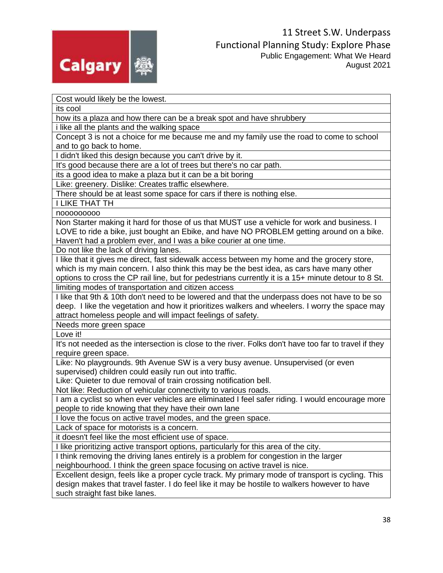

Cost would likely be the lowest.

its cool

how its a plaza and how there can be a break spot and have shrubbery

i like all the plants and the walking space

Concept 3 is not a choice for me because me and my family use the road to come to school and to go back to home.

I didn't liked this design because you can't drive by it.

It's good because there are a lot of trees but there's no car path.

its a good idea to make a plaza but it can be a bit boring

Like: greenery. Dislike: Creates traffic elsewhere.

There should be at least some space for cars if there is nothing else.

I LIKE THAT TH

nooooooooo

Non Starter making it hard for those of us that MUST use a vehicle for work and business. I LOVE to ride a bike, just bought an Ebike, and have NO PROBLEM getting around on a bike. Haven't had a problem ever, and I was a bike courier at one time.

Do not like the lack of driving lanes.

I like that it gives me direct, fast sidewalk access between my home and the grocery store, which is my main concern. I also think this may be the best idea, as cars have many other options to cross the CP rail line, but for pedestrians currently it is a 15+ minute detour to 8 St.

limiting modes of transportation and citizen access

I like that 9th & 10th don't need to be lowered and that the underpass does not have to be so deep. I like the vegetation and how it prioritizes walkers and wheelers. I worry the space may attract homeless people and will impact feelings of safety.

Needs more green space

Love it!

It's not needed as the intersection is close to the river. Folks don't have too far to travel if they require green space.

Like: No playgrounds. 9th Avenue SW is a very busy avenue. Unsupervised (or even supervised) children could easily run out into traffic.

Like: Quieter to due removal of train crossing notification bell.

Not like: Reduction of vehicular connectivity to various roads.

I am a cyclist so when ever vehicles are eliminated I feel safer riding. I would encourage more people to ride knowing that they have their own lane

I love the focus on active travel modes, and the green space.

Lack of space for motorists is a concern.

it doesn't feel like the most efficient use of space.

I like prioritizing active transport options, particularly for this area of the city.

I think removing the driving lanes entirely is a problem for congestion in the larger neighbourhood. I think the green space focusing on active travel is nice.

Excellent design, feels like a proper cycle track. My primary mode of transport is cycling. This design makes that travel faster. I do feel like it may be hostile to walkers however to have such straight fast bike lanes.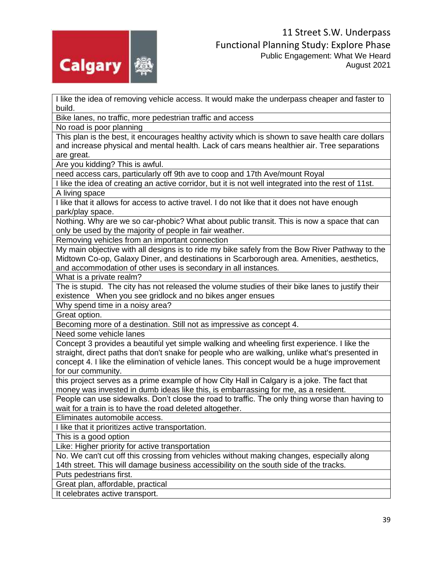

I like the idea of removing vehicle access. It would make the underpass cheaper and faster to build.

Bike lanes, no traffic, more pedestrian traffic and access

No road is poor planning

This plan is the best, it encourages healthy activity which is shown to save health care dollars and increase physical and mental health. Lack of cars means healthier air. Tree separations are great.

Are you kidding? This is awful.

need access cars, particularly off 9th ave to coop and 17th Ave/mount Royal

I like the idea of creating an active corridor, but it is not well integrated into the rest of 11st. A living space

I like that it allows for access to active travel. I do not like that it does not have enough park/play space.

Nothing. Why are we so car-phobic? What about public transit. This is now a space that can only be used by the majority of people in fair weather.

Removing vehicles from an important connection

My main objective with all designs is to ride my bike safely from the Bow River Pathway to the Midtown Co-op, Galaxy Diner, and destinations in Scarborough area. Amenities, aesthetics, and accommodation of other uses is secondary in all instances.

What is a private realm?

The is stupid. The city has not released the volume studies of their bike lanes to justify their existence When you see gridlock and no bikes anger ensues

Why spend time in a noisy area?

Great option.

Becoming more of a destination. Still not as impressive as concept 4.

Need some vehicle lanes

Concept 3 provides a beautiful yet simple walking and wheeling first experience. I like the straight, direct paths that don't snake for people who are walking, unlike what's presented in concept 4. I like the elimination of vehicle lanes. This concept would be a huge improvement for our community.

this project serves as a prime example of how City Hall in Calgary is a joke. The fact that money was invested in dumb ideas like this, is embarrassing for me, as a resident.

People can use sidewalks. Don't close the road to traffic. The only thing worse than having to wait for a train is to have the road deleted altogether.

Eliminates automobile access.

I like that it prioritizes active transportation.

This is a good option

Like: Higher priority for active transportation

No. We can't cut off this crossing from vehicles without making changes, especially along 14th street. This will damage business accessibility on the south side of the tracks.

Puts pedestrians first.

Great plan, affordable, practical

It celebrates active transport.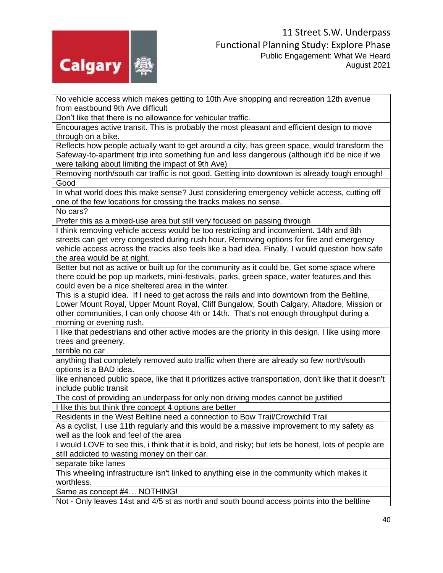

No vehicle access which makes getting to 10th Ave shopping and recreation 12th avenue from eastbound 9th Ave difficult

Don't like that there is no allowance for vehicular traffic.

Encourages active transit. This is probably the most pleasant and efficient design to move through on a bike.

Reflects how people actually want to get around a city, has green space, would transform the Safeway-to-apartment trip into something fun and less dangerous (although it'd be nice if we were talking about limiting the impact of 9th Ave)

Removing north/south car traffic is not good. Getting into downtown is already tough enough! Good

In what world does this make sense? Just considering emergency vehicle access, cutting off one of the few locations for crossing the tracks makes no sense.

No cars?

Prefer this as a mixed-use area but still very focused on passing through

I think removing vehicle access would be too restricting and inconvenient. 14th and 8th streets can get very congested during rush hour. Removing options for fire and emergency vehicle access across the tracks also feels like a bad idea. Finally, I would question how safe the area would be at night.

Better but not as active or built up for the community as it could be. Get some space where there could be pop up markets, mini-festivals, parks, green space, water features and this could even be a nice sheltered area in the winter.

This is a stupid idea. If I need to get across the rails and into downtown from the Beltline, Lower Mount Royal, Upper Mount Royal, Cliff Bungalow, South Calgary, Altadore, Mission or other communities, I can only choose 4th or 14th. That's not enough throughput during a morning or evening rush.

I like that pedestrians and other active modes are the priority in this design. I like using more trees and greenery.

terrible no car

anything that completely removed auto traffic when there are already so few north/south options is a BAD idea.

like enhanced public space, like that it prioritizes active transportation, don't like that it doesn't include public transit

The cost of providing an underpass for only non driving modes cannot be justified I like this but think thre concept 4 options are better

Residents in the West Beltline need a connection to Bow Trail/Crowchild Trail

As a cyclist, I use 11th regularly and this would be a massive improvement to my safety as well as the look and feel of the area

I would LOVE to see this, i think that it is bold, and risky; but lets be honest, lots of people are still addicted to wasting money on their car.

separate bike lanes

This wheeling infrastructure isn't linked to anything else in the community which makes it worthless.

Same as concept #4… NOTHING!

Not - Only leaves 14st and 4/5 st as north and south bound access points into the beltline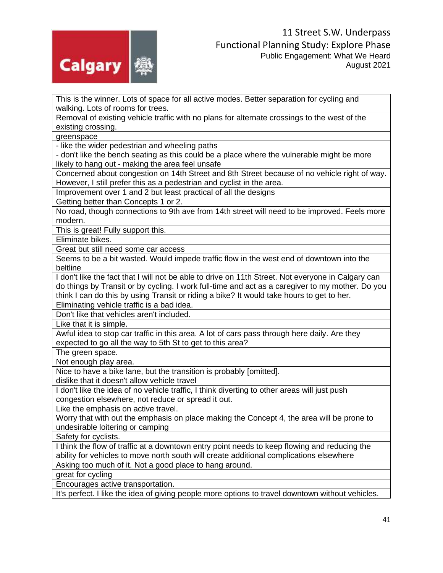

This is the winner. Lots of space for all active modes. Better separation for cycling and walking. Lots of rooms for trees.

Removal of existing vehicle traffic with no plans for alternate crossings to the west of the existing crossing.

greenspace

- like the wider pedestrian and wheeling paths

- don't like the bench seating as this could be a place where the vulnerable might be more likely to hang out - making the area feel unsafe

Concerned about congestion on 14th Street and 8th Street because of no vehicle right of way. However, I still prefer this as a pedestrian and cyclist in the area.

Improvement over 1 and 2 but least practical of all the designs

Getting better than Concepts 1 or 2.

No road, though connections to 9th ave from 14th street will need to be improved. Feels more modern.

This is great! Fully support this.

Eliminate bikes.

Great but still need some car access

Seems to be a bit wasted. Would impede traffic flow in the west end of downtown into the beltline

I don't like the fact that I will not be able to drive on 11th Street. Not everyone in Calgary can do things by Transit or by cycling. I work full-time and act as a caregiver to my mother. Do you think I can do this by using Transit or riding a bike? It would take hours to get to her.

Eliminating vehicle traffic is a bad idea.

Don't like that vehicles aren't included.

Like that it is simple.

Awful idea to stop car traffic in this area. A lot of cars pass through here daily. Are they expected to go all the way to 5th St to get to this area?

The green space.

Not enough play area.

Nice to have a bike lane, but the transition is probably [omitted].

dislike that it doesn't allow vehicle travel

I don't like the idea of no vehicle traffic, I think diverting to other areas will just push congestion elsewhere, not reduce or spread it out.

Like the emphasis on active travel.

Worry that with out the emphasis on place making the Concept 4, the area will be prone to undesirable loitering or camping

Safety for cyclists.

I think the flow of traffic at a downtown entry point needs to keep flowing and reducing the ability for vehicles to move north south will create additional complications elsewhere

Asking too much of it. Not a good place to hang around.

great for cycling

Encourages active transportation.

It's perfect. I like the idea of giving people more options to travel downtown without vehicles.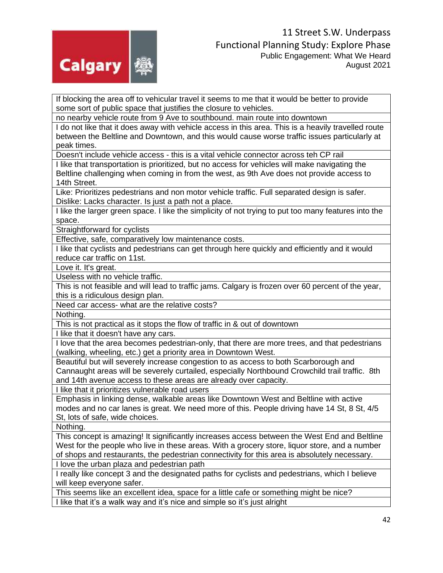

If blocking the area off to vehicular travel it seems to me that it would be better to provide some sort of public space that justifies the closure to vehicles.

no nearby vehicle route from 9 Ave to southbound. main route into downtown

I do not like that it does away with vehicle access in this area. This is a heavily travelled route between the Beltline and Downtown, and this would cause worse traffic issues particularly at peak times.

Doesn't include vehicle access - this is a vital vehicle connector across teh CP rail

I like that transportation is prioritized, but no access for vehicles will make navigating the Beltline challenging when coming in from the west, as 9th Ave does not provide access to 14th Street.

Like: Prioritizes pedestrians and non motor vehicle traffic. Full separated design is safer. Dislike: Lacks character. Is just a path not a place.

I like the larger green space. I like the simplicity of not trying to put too many features into the space.

Straightforward for cyclists

Effective, safe, comparatively low maintenance costs.

I like that cyclists and pedestrians can get through here quickly and efficiently and it would reduce car traffic on 11st.

Love it. It's great.

Useless with no vehicle traffic.

This is not feasible and will lead to traffic jams. Calgary is frozen over 60 percent of the year, this is a ridiculous design plan.

Need car access- what are the relative costs?

Nothing.

This is not practical as it stops the flow of traffic in & out of downtown

I like that it doesn't have any cars.

I love that the area becomes pedestrian-only, that there are more trees, and that pedestrians (walking, wheeling, etc.) get a priority area in Downtown West.

Beautiful but will severely increase congestion to as access to both Scarborough and Cannaught areas will be severely curtailed, especially Northbound Crowchild trail traffic. 8th and 14th avenue access to these areas are already over capacity.

I like that it prioritizes vulnerable road users

Emphasis in linking dense, walkable areas like Downtown West and Beltline with active modes and no car lanes is great. We need more of this. People driving have 14 St, 8 St, 4/5 St, lots of safe, wide choices.

Nothing.

This concept is amazing! It significantly increases access between the West End and Beltline West for the people who live in these areas. With a grocery store, liquor store, and a number of shops and restaurants, the pedestrian connectivity for this area is absolutely necessary.

I love the urban plaza and pedestrian path

I really like concept 3 and the designated paths for cyclists and pedestrians, which I believe will keep everyone safer.

This seems like an excellent idea, space for a little cafe or something might be nice? I like that it's a walk way and it's nice and simple so it's just alright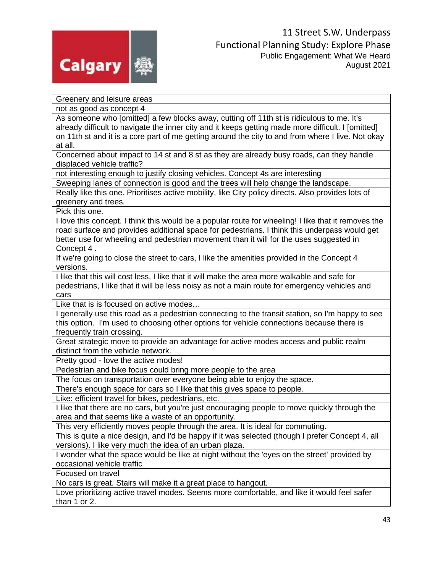

Greenery and leisure areas not as good as concept 4 As someone who [omitted] a few blocks away, cutting off 11th st is ridiculous to me. It's already difficult to navigate the inner city and it keeps getting made more difficult. I [omitted] on 11th st and it is a core part of me getting around the city to and from where I live. Not okay at all. Concerned about impact to 14 st and 8 st as they are already busy roads, can they handle displaced vehicle traffic? not interesting enough to justify closing vehicles. Concept 4s are interesting Sweeping lanes of connection is good and the trees will help change the landscape. Really like this one. Prioritises active mobility, like City policy directs. Also provides lots of greenery and trees. Pick this one. I love this concept. I think this would be a popular route for wheeling! I like that it removes the road surface and provides additional space for pedestrians. I think this underpass would get better use for wheeling and pedestrian movement than it will for the uses suggested in Concept 4 . If we're going to close the street to cars, I like the amenities provided in the Concept 4 versions. I like that this will cost less, I like that it will make the area more walkable and safe for pedestrians, I like that it will be less noisy as not a main route for emergency vehicles and cars Like that is is focused on active modes… I generally use this road as a pedestrian connecting to the transit station, so I'm happy to see this option. I'm used to choosing other options for vehicle connections because there is frequently train crossing. Great strategic move to provide an advantage for active modes access and public realm distinct from the vehicle network. Pretty good - love the active modes! Pedestrian and bike focus could bring more people to the area The focus on transportation over everyone being able to enjoy the space. There's enough space for cars so I like that this gives space to people. Like: efficient travel for bikes, pedestrians, etc. I like that there are no cars, but you're just encouraging people to move quickly through the area and that seems like a waste of an opportunity. This very efficiently moves people through the area. It is ideal for commuting. This is quite a nice design, and I'd be happy if it was selected (though I prefer Concept 4, all versions). I like very much the idea of an urban plaza. I wonder what the space would be like at night without the 'eyes on the street' provided by occasional vehicle traffic Focused on travel No cars is great. Stairs will make it a great place to hangout. Love prioritizing active travel modes. Seems more comfortable, and like it would feel safer than 1 or 2.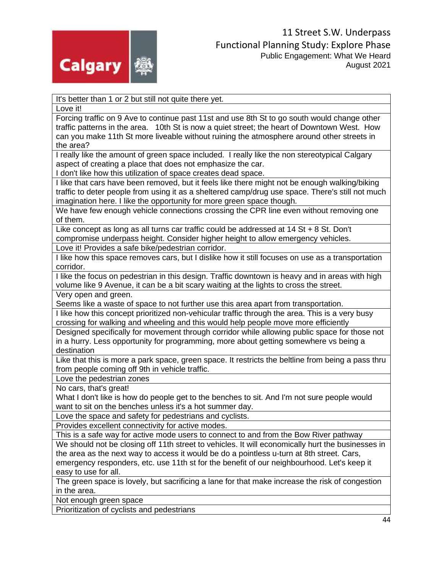

It's better than 1 or 2 but still not quite there yet.

Love it!

Forcing traffic on 9 Ave to continue past 11st and use 8th St to go south would change other traffic patterns in the area. 10th St is now a quiet street; the heart of Downtown West. How can you make 11th St more liveable without ruining the atmosphere around other streets in the area?

I really like the amount of green space included. I really like the non stereotypical Calgary aspect of creating a place that does not emphasize the car.

I don't like how this utilization of space creates dead space.

I like that cars have been removed, but it feels like there might not be enough walking/biking traffic to deter people from using it as a sheltered camp/drug use space. There's still not much imagination here. I like the opportunity for more green space though.

We have few enough vehicle connections crossing the CPR line even without removing one of them.

Like concept as long as all turns car traffic could be addressed at 14 St + 8 St. Don't compromise underpass height. Consider higher height to allow emergency vehicles.

Love it! Provides a safe bike/pedestrian corridor.

I like how this space removes cars, but I dislike how it still focuses on use as a transportation corridor.

I like the focus on pedestrian in this design. Traffic downtown is heavy and in areas with high volume like 9 Avenue, it can be a bit scary waiting at the lights to cross the street.

Very open and green.

Seems like a waste of space to not further use this area apart from transportation.

I like how this concept prioritized non-vehicular traffic through the area. This is a very busy crossing for walking and wheeling and this would help people move more efficiently

Designed specifically for movement through corridor while allowing public space for those not in a hurry. Less opportunity for programming, more about getting somewhere vs being a destination

Like that this is more a park space, green space. It restricts the beltline from being a pass thru from people coming off 9th in vehicle traffic.

Love the pedestrian zones

No cars, that's great!

What I don't like is how do people get to the benches to sit. And I'm not sure people would want to sit on the benches unless it's a hot summer day.

Love the space and safety for pedestrians and cyclists.

Provides excellent connectivity for active modes.

This is a safe way for active mode users to connect to and from the Bow River pathway

We should not be closing off 11th street to vehicles. It will economically hurt the businesses in the area as the next way to access it would be do a pointless u-turn at 8th street. Cars, emergency responders, etc. use 11th st for the benefit of our neighbourhood. Let's keep it easy to use for all.

The green space is lovely, but sacrificing a lane for that make increase the risk of congestion in the area.

Not enough green space

Prioritization of cyclists and pedestrians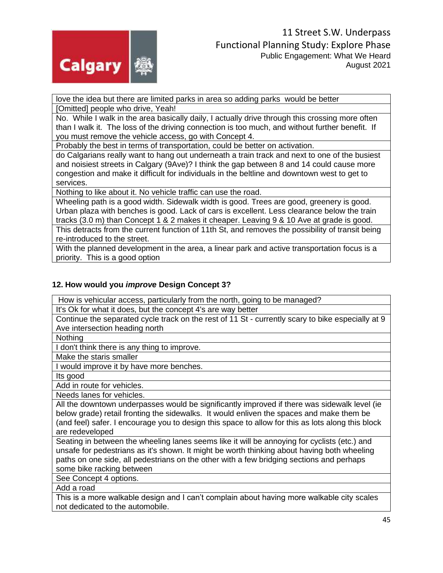

love the idea but there are limited parks in area so adding parks would be better [Omitted] people who drive, Yeah!

No. While I walk in the area basically daily, I actually drive through this crossing more often than I walk it. The loss of the driving connection is too much, and without further benefit. If you must remove the vehicle access, go with Concept 4.

Probably the best in terms of transportation, could be better on activation.

do Calgarians really want to hang out underneath a train track and next to one of the busiest and noisiest streets in Calgary (9Ave)? I think the gap between 8 and 14 could cause more congestion and make it difficult for individuals in the beltline and downtown west to get to services.

Nothing to like about it. No vehicle traffic can use the road.

Wheeling path is a good width. Sidewalk width is good. Trees are good, greenery is good. Urban plaza with benches is good. Lack of cars is excellent. Less clearance below the train tracks (3.0 m) than Concept 1 & 2 makes it cheaper. Leaving 9 & 10 Ave at grade is good.

This detracts from the current function of 11th St, and removes the possibility of transit being re-introduced to the street.

With the planned development in the area, a linear park and active transportation focus is a priority. This is a good option

## **12. How would you** *improve* **Design Concept 3?**

How is vehicular access, particularly from the north, going to be managed?

It's Ok for what it does, but the concept 4's are way better

Continue the separated cycle track on the rest of 11 St - currently scary to bike especially at 9 Ave intersection heading north

Nothing

I don't think there is any thing to improve.

Make the staris smaller

I would improve it by have more benches.

Its good

Add in route for vehicles.

Needs lanes for vehicles.

All the downtown underpasses would be significantly improved if there was sidewalk level (ie below grade) retail fronting the sidewalks. It would enliven the spaces and make them be (and feel) safer. I encourage you to design this space to allow for this as lots along this block are redeveloped

Seating in between the wheeling lanes seems like it will be annoying for cyclists (etc.) and unsafe for pedestrians as it's shown. It might be worth thinking about having both wheeling paths on one side, all pedestrians on the other with a few bridging sections and perhaps some bike racking between

See Concept 4 options.

Add a road

This is a more walkable design and I can't complain about having more walkable city scales not dedicated to the automobile.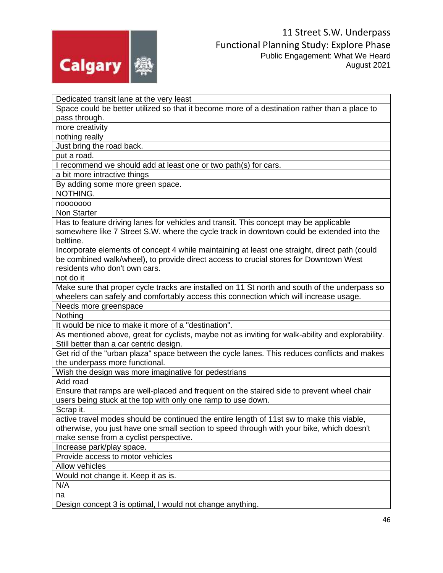

| Dedicated transit lane at the very least                                                                                                                                                                                |
|-------------------------------------------------------------------------------------------------------------------------------------------------------------------------------------------------------------------------|
| Space could be better utilized so that it become more of a destination rather than a place to                                                                                                                           |
| pass through.                                                                                                                                                                                                           |
| more creativity                                                                                                                                                                                                         |
| nothing really                                                                                                                                                                                                          |
| Just bring the road back.                                                                                                                                                                                               |
| put a road.                                                                                                                                                                                                             |
| I recommend we should add at least one or two path(s) for cars.                                                                                                                                                         |
| a bit more intractive things                                                                                                                                                                                            |
| By adding some more green space.                                                                                                                                                                                        |
| NOTHING.                                                                                                                                                                                                                |
| nooooooo                                                                                                                                                                                                                |
| <b>Non Starter</b>                                                                                                                                                                                                      |
| Has to feature driving lanes for vehicles and transit. This concept may be applicable<br>somewhere like 7 Street S.W. where the cycle track in downtown could be extended into the                                      |
| beltline.                                                                                                                                                                                                               |
| Incorporate elements of concept 4 while maintaining at least one straight, direct path (could<br>be combined walk/wheel), to provide direct access to crucial stores for Downtown West<br>residents who don't own cars. |
| not do it                                                                                                                                                                                                               |
| Make sure that proper cycle tracks are installed on 11 St north and south of the underpass so<br>wheelers can safely and comfortably access this connection which will increase usage.                                  |
| Needs more greenspace                                                                                                                                                                                                   |
| Nothing                                                                                                                                                                                                                 |
| It would be nice to make it more of a "destination".                                                                                                                                                                    |
| As mentioned above, great for cyclists, maybe not as inviting for walk-ability and explorability.                                                                                                                       |
| Still better than a car centric design.                                                                                                                                                                                 |
| Get rid of the "urban plaza" space between the cycle lanes. This reduces conflicts and makes<br>the underpass more functional.                                                                                          |
| Wish the design was more imaginative for pedestrians                                                                                                                                                                    |
| Add road                                                                                                                                                                                                                |
| Ensure that ramps are well-placed and frequent on the staired side to prevent wheel chair                                                                                                                               |
| users being stuck at the top with only one ramp to use down.                                                                                                                                                            |
| Scrap it.                                                                                                                                                                                                               |
| active travel modes should be continued the entire length of 11st sw to make this viable,                                                                                                                               |
| otherwise, you just have one small section to speed through with your bike, which doesn't                                                                                                                               |
| make sense from a cyclist perspective.                                                                                                                                                                                  |
| Increase park/play space.                                                                                                                                                                                               |
|                                                                                                                                                                                                                         |
|                                                                                                                                                                                                                         |
| Provide access to motor vehicles<br><b>Allow vehicles</b>                                                                                                                                                               |
|                                                                                                                                                                                                                         |
| Would not change it. Keep it as is.<br>N/A                                                                                                                                                                              |
| na                                                                                                                                                                                                                      |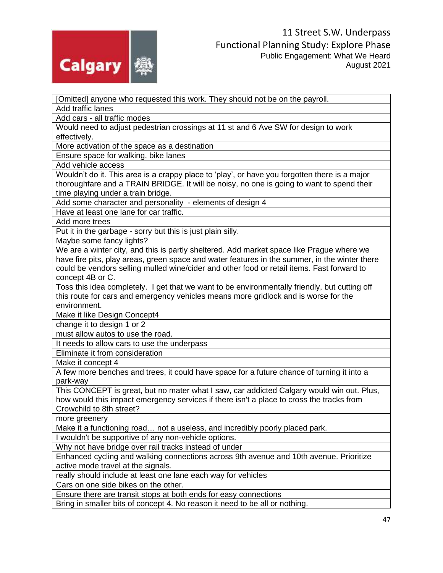

[Omitted] anyone who requested this work. They should not be on the payroll. Add traffic lanes Add cars - all traffic modes Would need to adjust pedestrian crossings at 11 st and 6 Ave SW for design to work effectively. More activation of the space as a destination Ensure space for walking, bike lanes Add vehicle access Wouldn't do it. This area is a crappy place to 'play', or have you forgotten there is a major thoroughfare and a TRAIN BRIDGE. It will be noisy, no one is going to want to spend their time playing under a train bridge. Add some character and personality - elements of design 4 Have at least one lane for car traffic. Add more trees Put it in the garbage - sorry but this is just plain silly. Maybe some fancy lights? We are a winter city, and this is partly sheltered. Add market space like Prague where we have fire pits, play areas, green space and water features in the summer, in the winter there could be vendors selling mulled wine/cider and other food or retail items. Fast forward to concept 4B or C. Toss this idea completely. I get that we want to be environmentally friendly, but cutting off this route for cars and emergency vehicles means more gridlock and is worse for the environment. Make it like Design Concept4 change it to design 1 or 2 must allow autos to use the road. It needs to allow cars to use the underpass Eliminate it from consideration Make it concept 4 A few more benches and trees, it could have space for a future chance of turning it into a park-way This CONCEPT is great, but no mater what I saw, car addicted Calgary would win out. Plus, how would this impact emergency services if there isn't a place to cross the tracks from Crowchild to 8th street? more greenery Make it a functioning road… not a useless, and incredibly poorly placed park. I wouldn't be supportive of any non-vehicle options. Why not have bridge over rail tracks instead of under Enhanced cycling and walking connections across 9th avenue and 10th avenue. Prioritize active mode travel at the signals. really should include at least one lane each way for vehicles Cars on one side bikes on the other. Ensure there are transit stops at both ends for easy connections Bring in smaller bits of concept 4. No reason it need to be all or nothing.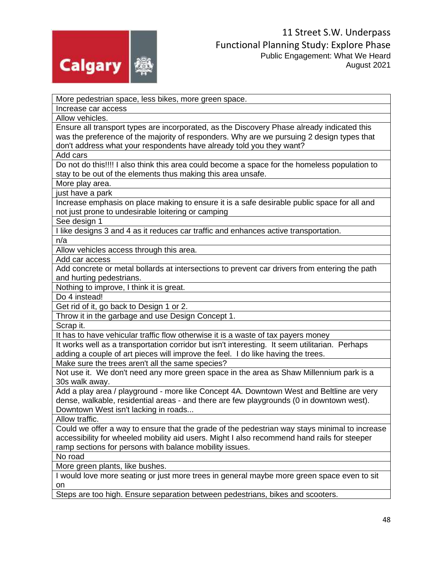

More pedestrian space, less bikes, more green space.

Increase car access

Allow vehicles.

Ensure all transport types are incorporated, as the Discovery Phase already indicated this was the preference of the majority of responders. Why are we pursuing 2 design types that don't address what your respondents have already told you they want?

Add cars

Do not do this!!!! I also think this area could become a space for the homeless population to stay to be out of the elements thus making this area unsafe.

More play area.

just have a park

Increase emphasis on place making to ensure it is a safe desirable public space for all and not just prone to undesirable loitering or camping

See design 1

I like designs 3 and 4 as it reduces car traffic and enhances active transportation.

n/a

Allow vehicles access through this area.

Add car access

Add concrete or metal bollards at intersections to prevent car drivers from entering the path and hurting pedestrians.

Nothing to improve, I think it is great.

Do 4 instead!

Get rid of it, go back to Design 1 or 2.

Throw it in the garbage and use Design Concept 1.

Scrap it.

It has to have vehicular traffic flow otherwise it is a waste of tax payers money

It works well as a transportation corridor but isn't interesting. It seem utilitarian. Perhaps adding a couple of art pieces will improve the feel. I do like having the trees.

Make sure the trees aren't all the same species?

Not use it. We don't need any more green space in the area as Shaw Millennium park is a 30s walk away.

Add a play area / playground - more like Concept 4A. Downtown West and Beltline are very dense, walkable, residential areas - and there are few playgrounds (0 in downtown west). Downtown West isn't lacking in roads...

Allow traffic.

Could we offer a way to ensure that the grade of the pedestrian way stays minimal to increase accessibility for wheeled mobility aid users. Might I also recommend hand rails for steeper ramp sections for persons with balance mobility issues.

No road

More green plants, like bushes.

I would love more seating or just more trees in general maybe more green space even to sit on

Steps are too high. Ensure separation between pedestrians, bikes and scooters.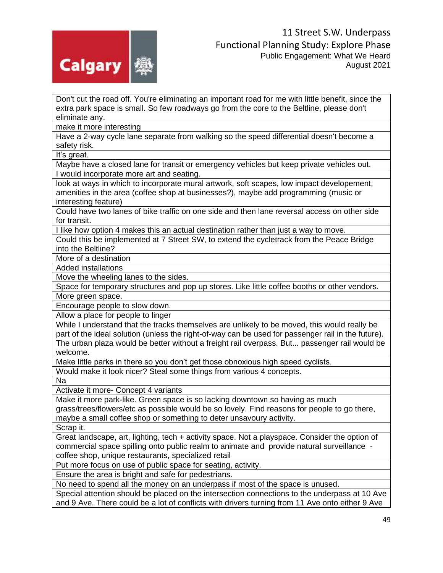

Don't cut the road off. You're eliminating an important road for me with little benefit, since the extra park space is small. So few roadways go from the core to the Beltline, please don't eliminate any.

make it more interesting

Have a 2-way cycle lane separate from walking so the speed differential doesn't become a safety risk.

It's great.

Maybe have a closed lane for transit or emergency vehicles but keep private vehicles out. I would incorporate more art and seating.

look at ways in which to incorporate mural artwork, soft scapes, low impact developement, amenities in the area (coffee shop at businesses?), maybe add programming (music or interesting feature)

Could have two lanes of bike traffic on one side and then lane reversal access on other side for transit.

I like how option 4 makes this an actual destination rather than just a way to move.

Could this be implemented at 7 Street SW, to extend the cycletrack from the Peace Bridge into the Beltline?

More of a destination

Added installations

Move the wheeling lanes to the sides.

Space for temporary structures and pop up stores. Like little coffee booths or other vendors. More green space.

Encourage people to slow down.

Allow a place for people to linger

While I understand that the tracks themselves are unlikely to be moved, this would really be part of the ideal solution (unless the right-of-way can be used for passenger rail in the future). The urban plaza would be better without a freight rail overpass. But... passenger rail would be welcome.

Make little parks in there so you don't get those obnoxious high speed cyclists.

Would make it look nicer? Steal some things from various 4 concepts.

Na

Activate it more- Concept 4 variants

Make it more park-like. Green space is so lacking downtown so having as much grass/trees/flowers/etc as possible would be so lovely. Find reasons for people to go there, maybe a small coffee shop or something to deter unsavoury activity.

Scrap it.

Great landscape, art, lighting, tech + activity space. Not a playspace. Consider the option of commercial space spilling onto public realm to animate and provide natural surveillance coffee shop, unique restaurants, specialized retail

Put more focus on use of public space for seating, activity.

Ensure the area is bright and safe for pedestrians.

No need to spend all the money on an underpass if most of the space is unused.

Special attention should be placed on the intersection connections to the underpass at 10 Ave and 9 Ave. There could be a lot of conflicts with drivers turning from 11 Ave onto either 9 Ave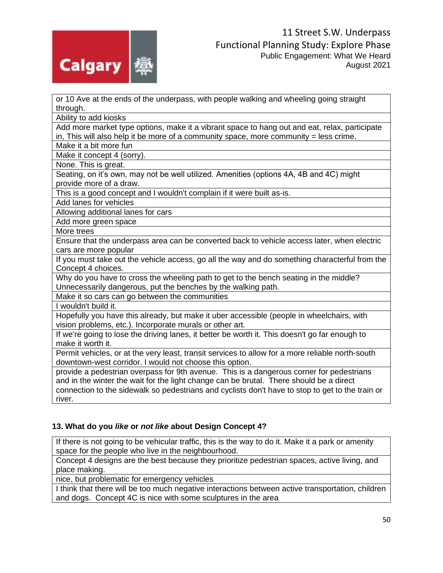

or 10 Ave at the ends of the underpass, with people walking and wheeling going straight through.

Ability to add kiosks

Add more market type options, make it a vibrant space to hang out and eat, relax, participate in, This will also help it be more of a community space, more community = less crime.

Make it a bit more fun

Make it concept 4 (sorry).

None. This is great.

Seating, on it's own, may not be well utilized. Amenities (options 4A, 4B and 4C) might provide more of a draw.

This is a good concept and I wouldn't complain if it were built as-is.

Add lanes for vehicles

Allowing additional lanes for cars

Add more green space

More trees

Ensure that the underpass area can be converted back to vehicle access later, when electric cars are more popular

If you must take out the vehicle access, go all the way and do something characterful from the Concept 4 choices.

Why do you have to cross the wheeling path to get to the bench seating in the middle? Unnecessarily dangerous, put the benches by the walking path.

Make it so cars can go between the communities

I wouldn't build it.

Hopefully you have this already, but make it uber accessible (people in wheelchairs, with vision problems, etc.). Incorporate murals or other art.

If we're going to lose the driving lanes, it better be worth it. This doesn't go far enough to make it worth it.

Permit vehicles, or at the very least, transit services to allow for a more reliable north-south downtown-west corridor. I would not choose this option.

provide a pedestrian overpass for 9th avenue. This is a dangerous corner for pedestrians and in the winter the wait for the light change can be brutal. There should be a direct connection to the sidewalk so pedestrians and cyclists don't have to stop to get to the train or river.

### **13. What do you** *like* **or** *not like* **about Design Concept 4?**

If there is not going to be vehicular traffic, this is the way to do it. Make it a park or amenity space for the people who live in the neighbourhood.

Concept 4 designs are the best because they prioritize pedestrian spaces, active living, and place making.

nice, but problematic for emergency vehicles

I think that there will be too much negative interactions between active transportation, children and dogs. Concept 4C is nice with some sculptures in the area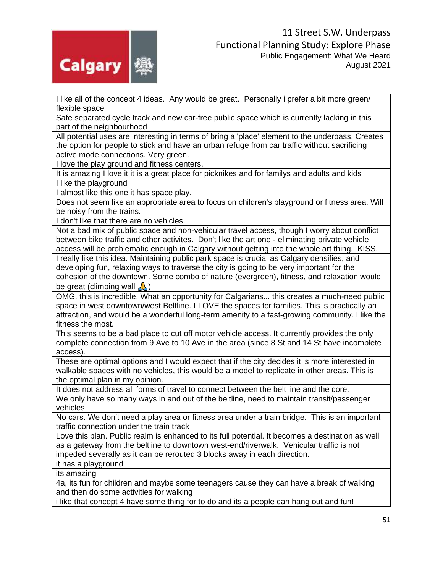

I like all of the concept 4 ideas. Any would be great. Personally i prefer a bit more green/ flexible space

Safe separated cycle track and new car-free public space which is currently lacking in this part of the neighbourhood

All potential uses are interesting in terms of bring a 'place' element to the underpass. Creates the option for people to stick and have an urban refuge from car traffic without sacrificing active mode connections. Very green.

I love the play ground and fitness centers.

It is amazing I love it it is a great place for picknikes and for familys and adults and kids I like the playground

I almost like this one it has space play.

Does not seem like an appropriate area to focus on children's playground or fitness area. Will be noisy from the trains.

I don't like that there are no vehicles.

Not a bad mix of public space and non-vehicular travel access, though I worry about conflict between bike traffic and other activites. Don't like the art one - eliminating private vehicle access will be problematic enough in Calgary without getting into the whole art thing. KISS.

I really like this idea. Maintaining public park space is crucial as Calgary densifies, and developing fun, relaxing ways to traverse the city is going to be very important for the cohesion of the downtown. Some combo of nature (evergreen), fitness, and relaxation would be great (climbing wall  $\bigwedge$ )

OMG, this is incredible. What an opportunity for Calgarians... this creates a much-need public space in west downtown/west Beltline. I LOVE the spaces for families. This is practically an attraction, and would be a wonderful long-term amenity to a fast-growing community. I like the fitness the most.

This seems to be a bad place to cut off motor vehicle access. It currently provides the only complete connection from 9 Ave to 10 Ave in the area (since 8 St and 14 St have incomplete access).

These are optimal options and I would expect that if the city decides it is more interested in walkable spaces with no vehicles, this would be a model to replicate in other areas. This is the optimal plan in my opinion.

It does not address all forms of travel to connect between the belt line and the core.

We only have so many ways in and out of the beltline, need to maintain transit/passenger vehicles

No cars. We don't need a play area or fitness area under a train bridge. This is an important traffic connection under the train track

Love this plan. Public realm is enhanced to its full potential. It becomes a destination as well as a gateway from the beltline to downtown west-end/riverwalk. Vehicular traffic is not impeded severally as it can be rerouted 3 blocks away in each direction.

it has a playground

its amazing

4a, its fun for children and maybe some teenagers cause they can have a break of walking and then do some activities for walking

i like that concept 4 have some thing for to do and its a people can hang out and fun!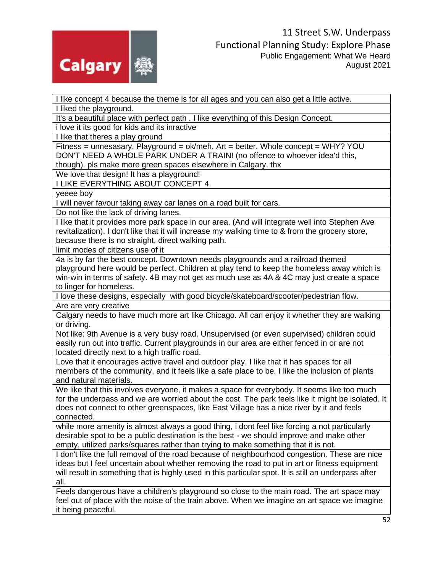

I like concept 4 because the theme is for all ages and you can also get a little active.

I liked the playground.

It's a beautiful place with perfect path . I like everything of this Design Concept.

i love it its good for kids and its inractive

I like that theres a play ground

Fitness = unnesasary. Playground = ok/meh. Art = better. Whole concept = WHY? YOU DON'T NEED A WHOLE PARK UNDER A TRAIN! (no offence to whoever idea'd this, though). pls make more green spaces elsewhere in Calgary. thx

We love that design! It has a playground!

I LIKE EVERYTHING ABOUT CONCEPT 4.

yeeee boy

I will never favour taking away car lanes on a road built for cars.

Do not like the lack of driving lanes.

I like that it provides more park space in our area. (And will integrate well into Stephen Ave revitalization). I don't like that it will increase my walking time to & from the grocery store, because there is no straight, direct walking path.

limit modes of citizens use of it

4a is by far the best concept. Downtown needs playgrounds and a railroad themed playground here would be perfect. Children at play tend to keep the homeless away which is win-win in terms of safety. 4B may not get as much use as 4A & 4C may just create a space to linger for homeless.

I love these designs, especially with good bicycle/skateboard/scooter/pedestrian flow. Are are very creative

Calgary needs to have much more art like Chicago. All can enjoy it whether they are walking or driving.

Not like: 9th Avenue is a very busy road. Unsupervised (or even supervised) children could easily run out into traffic. Current playgrounds in our area are either fenced in or are not located directly next to a high traffic road.

Love that it encourages active travel and outdoor play. I like that it has spaces for all members of the community, and it feels like a safe place to be. I like the inclusion of plants and natural materials.

We like that this involves everyone, it makes a space for everybody. It seems like too much for the underpass and we are worried about the cost. The park feels like it might be isolated. It does not connect to other greenspaces, like East Village has a nice river by it and feels connected.

while more amenity is almost always a good thing, i dont feel like forcing a not particularly desirable spot to be a public destination is the best - we should improve and make other empty, utilized parks/squares rather than trying to make something that it is not.

I don't like the full removal of the road because of neighbourhood congestion. These are nice ideas but I feel uncertain about whether removing the road to put in art or fitness equipment will result in something that is highly used in this particular spot. It is still an underpass after all.

Feels dangerous have a children's playground so close to the main road. The art space may feel out of place with the noise of the train above. When we imagine an art space we imagine it being peaceful.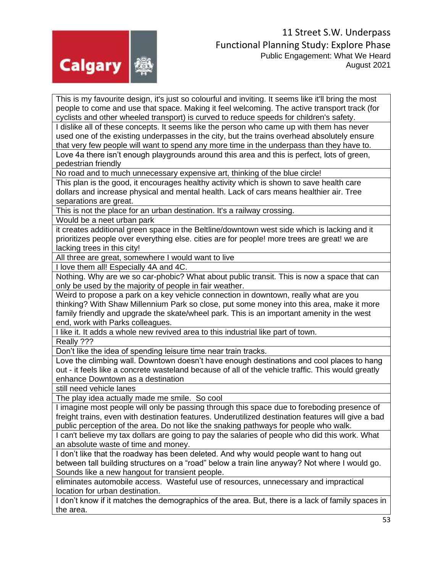

This is my favourite design, it's just so colourful and inviting. It seems like it'll bring the most people to come and use that space. Making it feel welcoming. The active transport track (for cyclists and other wheeled transport) is curved to reduce speeds for children's safety.

I dislike all of these concepts. It seems like the person who came up with them has never used one of the existing underpasses in the city, but the trains overhead absolutely ensure that very few people will want to spend any more time in the underpass than they have to.

Love 4a there isn't enough playgrounds around this area and this is perfect, lots of green, pedestrian friendly

No road and to much unnecessary expensive art, thinking of the blue circle!

This plan is the good, it encourages healthy activity which is shown to save health care dollars and increase physical and mental health. Lack of cars means healthier air. Tree separations are great.

This is not the place for an urban destination. It's a railway crossing.

Would be a neet urban park

it creates additional green space in the Beltline/downtown west side which is lacking and it prioritizes people over everything else. cities are for people! more trees are great! we are lacking trees in this city!

All three are great, somewhere I would want to live

I love them all! Especially 4A and 4C.

Nothing. Why are we so car-phobic? What about public transit. This is now a space that can only be used by the majority of people in fair weather.

Weird to propose a park on a key vehicle connection in downtown, really what are you thinking? With Shaw Millennium Park so close, put some money into this area, make it more family friendly and upgrade the skate/wheel park. This is an important amenity in the west end, work with Parks colleagues.

I like it. It adds a whole new revived area to this industrial like part of town.

Really ???

Don't like the idea of spending leisure time near train tracks.

Love the climbing wall. Downtown doesn't have enough destinations and cool places to hang out - it feels like a concrete wasteland because of all of the vehicle traffic. This would greatly enhance Downtown as a destination

still need vehicle lanes

The play idea actually made me smile. So cool

I imagine most people will only be passing through this space due to foreboding presence of freight trains, even with destination features. Underutilized destination features will give a bad public perception of the area. Do not like the snaking pathways for people who walk.

I can't believe my tax dollars are going to pay the salaries of people who did this work. What an absolute waste of time and money.

I don't like that the roadway has been deleted. And why would people want to hang out between tall building structures on a "road" below a train line anyway? Not where I would go. Sounds like a new hangout for transient people.

eliminates automobile access. Wasteful use of resources, unnecessary and impractical location for urban destination.

I don't know if it matches the demographics of the area. But, there is a lack of family spaces in the area.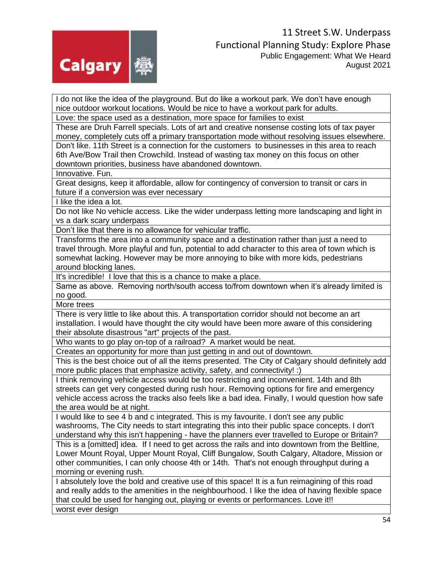

I do not like the idea of the playground. But do like a workout park. We don't have enough nice outdoor workout locations. Would be nice to have a workout park for adults.

Love: the space used as a destination, more space for families to exist

These are Druh Farrell specials. Lots of art and creative nonsense costing lots of tax payer money, completely cuts off a primary transportation mode without resolving issues elsewhere.

Don't like. 11th Street is a connection for the customers to businesses in this area to reach 6th Ave/Bow Trail then Crowchild. Instead of wasting tax money on this focus on other downtown priorities, business have abandoned downtown.

Innovative. Fun.

Great designs, keep it affordable, allow for contingency of conversion to transit or cars in future if a conversion was ever necessary

I like the idea a lot.

Do not like No vehicle access. Like the wider underpass letting more landscaping and light in vs a dark scary underpass

Don't like that there is no allowance for vehicular traffic.

Transforms the area into a community space and a destination rather than just a need to travel through. More playful and fun, potential to add character to this area of town which is somewhat lacking. However may be more annoying to bike with more kids, pedestrians around blocking lanes.

It's incredible! I love that this is a chance to make a place.

Same as above. Removing north/south access to/from downtown when it's already limited is no good.

More trees

There is very little to like about this. A transportation corridor should not become an art installation. I would have thought the city would have been more aware of this considering their absolute disastrous "art" projects of the past.

Who wants to go play on-top of a railroad? A market would be neat.

Creates an opportunity for more than just getting in and out of downtown.

This is the best choice out of all the items presented. The City of Calgary should definitely add more public places that emphasize activity, safety, and connectivity! :)

I think removing vehicle access would be too restricting and inconvenient. 14th and 8th streets can get very congested during rush hour. Removing options for fire and emergency vehicle access across the tracks also feels like a bad idea. Finally, I would question how safe the area would be at night.

I would like to see 4 b and c integrated. This is my favourite. I don't see any public washrooms, The City needs to start integrating this into their public space concepts. I don't understand why this isn't happening - have the planners ever travelled to Europe or Britain?

This is a [omitted] idea. If I need to get across the rails and into downtown from the Beltline, Lower Mount Royal, Upper Mount Royal, Cliff Bungalow, South Calgary, Altadore, Mission or other communities, I can only choose 4th or 14th. That's not enough throughput during a morning or evening rush.

I absolutely love the bold and creative use of this space! It is a fun reimagining of this road and really adds to the amenities in the neighbourhood. I like the idea of having flexible space that could be used for hanging out, playing or events or performances. Love it!! worst ever design

54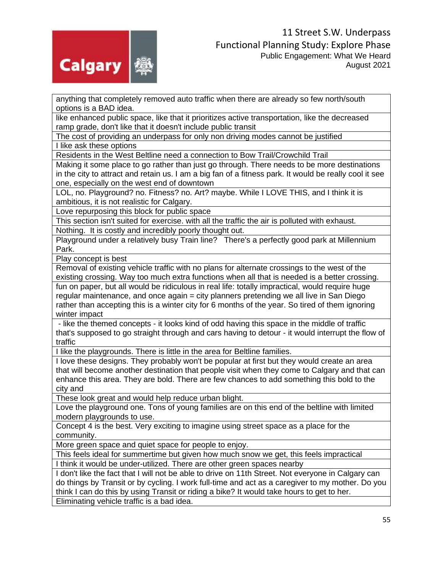

anything that completely removed auto traffic when there are already so few north/south options is a BAD idea.

like enhanced public space, like that it prioritizes active transportation, like the decreased ramp grade, don't like that it doesn't include public transit

The cost of providing an underpass for only non driving modes cannot be justified I like ask these options

Residents in the West Beltline need a connection to Bow Trail/Crowchild Trail

Making it some place to go rather than just go through. There needs to be more destinations in the city to attract and retain us. I am a big fan of a fitness park. It would be really cool it see one, especially on the west end of downtown

LOL, no. Playground? no. Fitness? no. Art? maybe. While I LOVE THIS, and I think it is ambitious, it is not realistic for Calgary.

Love repurposing this block for public space

This section isn't suited for exercise. with all the traffic the air is polluted with exhaust. Nothing. It is costly and incredibly poorly thought out.

Playground under a relatively busy Train line? There's a perfectly good park at Millennium Park.

Play concept is best

Removal of existing vehicle traffic with no plans for alternate crossings to the west of the existing crossing. Way too much extra functions when all that is needed is a better crossing.

fun on paper, but all would be ridiculous in real life: totally impractical, would require huge regular maintenance, and once again = city planners pretending we all live in San Diego rather than accepting this is a winter city for 6 months of the year. So tired of them ignoring winter impact

- like the themed concepts - it looks kind of odd having this space in the middle of traffic that's supposed to go straight through and cars having to detour - it would interrupt the flow of traffic

I like the playgrounds. There is little in the area for Beltline families.

I love these designs. They probably won't be popular at first but they would create an area that will become another destination that people visit when they come to Calgary and that can enhance this area. They are bold. There are few chances to add something this bold to the city and

These look great and would help reduce urban blight.

Love the playground one. Tons of young families are on this end of the beltline with limited modern playgrounds to use.

Concept 4 is the best. Very exciting to imagine using street space as a place for the community.

More green space and quiet space for people to enjoy.

This feels ideal for summertime but given how much snow we get, this feels impractical I think it would be under-utilized. There are other green spaces nearby

I don't like the fact that I will not be able to drive on 11th Street. Not everyone in Calgary can do things by Transit or by cycling. I work full-time and act as a caregiver to my mother. Do you think I can do this by using Transit or riding a bike? It would take hours to get to her.

Eliminating vehicle traffic is a bad idea.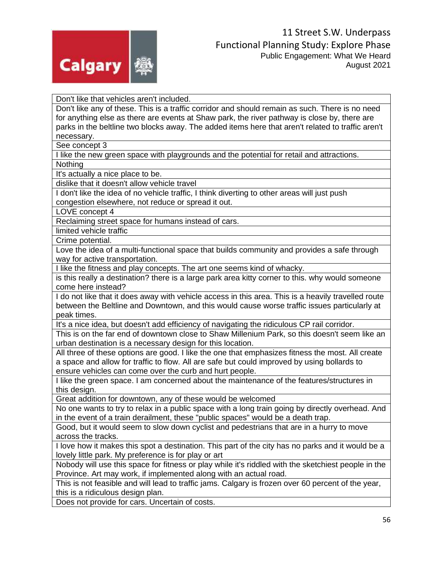

Don't like that vehicles aren't included.

Don't like any of these. This is a traffic corridor and should remain as such. There is no need for anything else as there are events at Shaw park, the river pathway is close by, there are parks in the beltline two blocks away. The added items here that aren't related to traffic aren't necessary.

See concept 3

I like the new green space with playgrounds and the potential for retail and attractions. Nothing

It's actually a nice place to be.

dislike that it doesn't allow vehicle travel

I don't like the idea of no vehicle traffic, I think diverting to other areas will just push congestion elsewhere, not reduce or spread it out.

LOVE concept 4

Reclaiming street space for humans instead of cars.

limited vehicle traffic

Crime potential.

Love the idea of a multi-functional space that builds community and provides a safe through way for active transportation.

I like the fitness and play concepts. The art one seems kind of whacky.

is this really a destination? there is a large park area kitty corner to this. why would someone come here instead?

I do not like that it does away with vehicle access in this area. This is a heavily travelled route between the Beltline and Downtown, and this would cause worse traffic issues particularly at peak times.

It's a nice idea, but doesn't add efficiency of navigating the ridiculous CP rail corridor.

This is on the far end of downtown close to Shaw Millenium Park, so this doesn't seem like an urban destination is a necessary design for this location.

All three of these options are good. I like the one that emphasizes fitness the most. All create a space and allow for traffic to flow. All are safe but could improved by using bollards to ensure vehicles can come over the curb and hurt people.

I like the green space. I am concerned about the maintenance of the features/structures in this design.

Great addition for downtown, any of these would be welcomed

No one wants to try to relax in a public space with a long train going by directly overhead. And in the event of a train derailment, these "public spaces" would be a death trap.

Good, but it would seem to slow down cyclist and pedestrians that are in a hurry to move across the tracks.

I love how it makes this spot a destination. This part of the city has no parks and it would be a lovely little park. My preference is for play or art

Nobody will use this space for fitness or play while it's riddled with the sketchiest people in the Province. Art may work, if implemented along with an actual road.

This is not feasible and will lead to traffic jams. Calgary is frozen over 60 percent of the year, this is a ridiculous design plan.

Does not provide for cars. Uncertain of costs.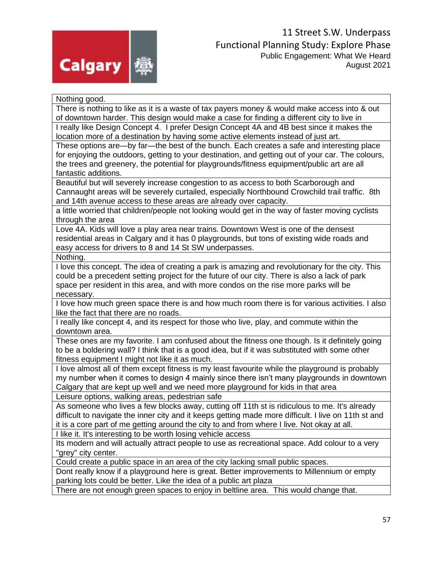

Nothing good. There is nothing to like as it is a waste of tax payers money & would make access into & out of downtown harder. This design would make a case for finding a different city to live in I really like Design Concept 4. I prefer Design Concept 4A and 4B best since it makes the location more of a destination by having some active elements instead of just art. These options are—by far—the best of the bunch. Each creates a safe and interesting place for enjoying the outdoors, getting to your destination, and getting out of your car. The colours, the trees and greenery, the potential for playgrounds/fitness equipment/public art are all fantastic additions. Beautiful but will severely increase congestion to as access to both Scarborough and Cannaught areas will be severely curtailed, especially Northbound Crowchild trail traffic. 8th and 14th avenue access to these areas are already over capacity. a little worried that children/people not looking would get in the way of faster moving cyclists through the area Love 4A. Kids will love a play area near trains. Downtown West is one of the densest residential areas in Calgary and it has 0 playgrounds, but tons of existing wide roads and easy access for drivers to 8 and 14 St SW underpasses. Nothing. I love this concept. The idea of creating a park is amazing and revolutionary for the city. This could be a precedent setting project for the future of our city. There is also a lack of park space per resident in this area, and with more condos on the rise more parks will be necessary. I love how much green space there is and how much room there is for various activities. I also like the fact that there are no roads. I really like concept 4, and its respect for those who live, play, and commute within the downtown area. These ones are my favorite. I am confused about the fitness one though. Is it definitely going to be a boldering wall? I think that is a good idea, but if it was substituted with some other fitness equipment I might not like it as much. I love almost all of them except fitness is my least favourite while the playground is probably my number when it comes to design 4 mainly since there isn't many playgrounds in downtown Calgary that are kept up well and we need more playground for kids in that area Leisure options, walking areas, pedestrian safe As someone who lives a few blocks away, cutting off 11th st is ridiculous to me. It's already difficult to navigate the inner city and it keeps getting made more difficult. I live on 11th st and it is a core part of me getting around the city to and from where I live. Not okay at all. I like it. It's interesting to be worth losing vehicle access Its modern and will actually attract people to use as recreational space. Add colour to a very "grey" city center. Could create a public space in an area of the city lacking small public spaces. Dont really know if a playground here is great. Better improvements to Millennium or empty parking lots could be better. Like the idea of a public art plaza

There are not enough green spaces to enjoy in beltline area. This would change that.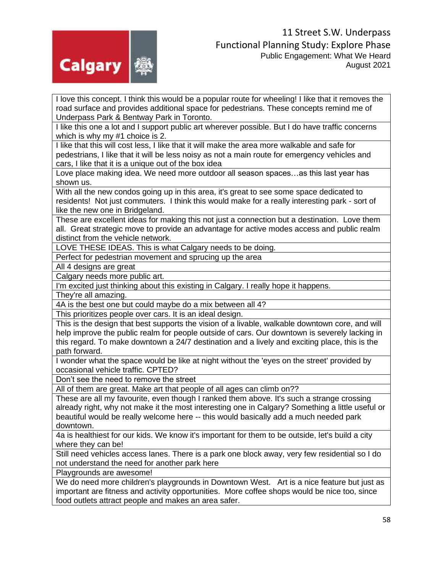

I love this concept. I think this would be a popular route for wheeling! I like that it removes the road surface and provides additional space for pedestrians. These concepts remind me of Underpass Park & Bentway Park in Toronto.

I like this one a lot and I support public art wherever possible. But I do have traffic concerns which is why my #1 choice is 2.

I like that this will cost less, I like that it will make the area more walkable and safe for pedestrians, I like that it will be less noisy as not a main route for emergency vehicles and cars, I like that it is a unique out of the box idea

Love place making idea. We need more outdoor all season spaces…as this last year has shown us.

With all the new condos going up in this area, it's great to see some space dedicated to residents! Not just commuters. I think this would make for a really interesting park - sort of like the new one in Bridgeland.

These are excellent ideas for making this not just a connection but a destination. Love them all. Great strategic move to provide an advantage for active modes access and public realm distinct from the vehicle network.

LOVE THESE IDEAS. This is what Calgary needs to be doing.

Perfect for pedestrian movement and sprucing up the area

All 4 designs are great

Calgary needs more public art.

I'm excited just thinking about this existing in Calgary. I really hope it happens.

They're all amazing.

4A is the best one but could maybe do a mix between all 4?

This prioritizes people over cars. It is an ideal design.

This is the design that best supports the vision of a livable, walkable downtown core, and will help improve the public realm for people outside of cars. Our downtown is severely lacking in this regard. To make downtown a 24/7 destination and a lively and exciting place, this is the path forward.

I wonder what the space would be like at night without the 'eyes on the street' provided by occasional vehicle traffic. CPTED?

Don't see the need to remove the street

All of them are great. Make art that people of all ages can climb on??

These are all my favourite, even though I ranked them above. It's such a strange crossing already right, why not make it the most interesting one in Calgary? Something a little useful or beautiful would be really welcome here -- this would basically add a much needed park downtown.

4a is healthiest for our kids. We know it's important for them to be outside, let's build a city where they can be!

Still need vehicles access lanes. There is a park one block away, very few residential so I do not understand the need for another park here

Playgrounds are awesome!

We do need more children's playgrounds in Downtown West. Art is a nice feature but just as important are fitness and activity opportunities. More coffee shops would be nice too, since food outlets attract people and makes an area safer.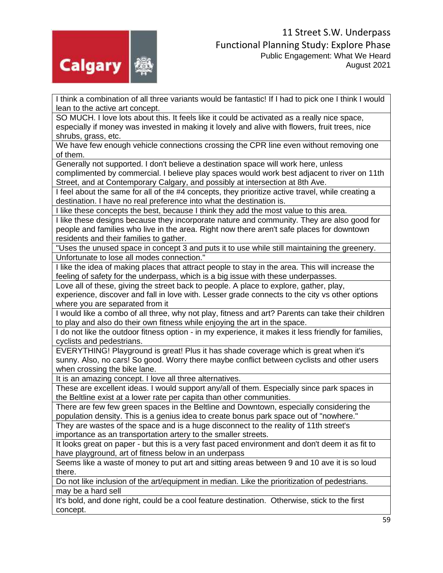

I think a combination of all three variants would be fantastic! If I had to pick one I think I would lean to the active art concept.

SO MUCH. I love lots about this. It feels like it could be activated as a really nice space, especially if money was invested in making it lovely and alive with flowers, fruit trees, nice shrubs, grass, etc.

We have few enough vehicle connections crossing the CPR line even without removing one of them.

Generally not supported. I don't believe a destination space will work here, unless

complimented by commercial. I believe play spaces would work best adjacent to river on 11th Street, and at Contemporary Calgary, and possibly at intersection at 8th Ave.

I feel about the same for all of the #4 concepts, they prioritize active travel, while creating a destination. I have no real preference into what the destination is.

I like these concepts the best, because I think they add the most value to this area.

I like these designs because they incorporate nature and community. They are also good for people and families who live in the area. Right now there aren't safe places for downtown residents and their families to gather.

"Uses the unused space in concept 3 and puts it to use while still maintaining the greenery. Unfortunate to lose all modes connection."

I like the idea of making places that attract people to stay in the area. This will increase the feeling of safety for the underpass, which is a big issue with these underpasses.

Love all of these, giving the street back to people. A place to explore, gather, play,

experience, discover and fall in love with. Lesser grade connects to the city vs other options where you are separated from it

I would like a combo of all three, why not play, fitness and art? Parents can take their children to play and also do their own fitness while enjoying the art in the space.

I do not like the outdoor fitness option - in my experience, it makes it less friendly for families, cyclists and pedestrians.

EVERYTHING! Playground is great! Plus it has shade coverage which is great when it's sunny. Also, no cars! So good. Worry there maybe conflict between cyclists and other users when crossing the bike lane.

It is an amazing concept. I love all three alternatives.

These are excellent ideas. I would support any/all of them. Especially since park spaces in the Beltline exist at a lower rate per capita than other communities.

There are few few green spaces in the Beltline and Downtown, especially considering the population density. This is a genius idea to create bonus park space out of "nowhere."

They are wastes of the space and is a huge disconnect to the reality of 11th street's importance as an transportation artery to the smaller streets.

It looks great on paper - but this is a very fast paced environment and don't deem it as fit to have playground, art of fitness below in an underpass

Seems like a waste of money to put art and sitting areas between 9 and 10 ave it is so loud there.

Do not like inclusion of the art/equipment in median. Like the prioritization of pedestrians. may be a hard sell

It's bold, and done right, could be a cool feature destination. Otherwise, stick to the first concept.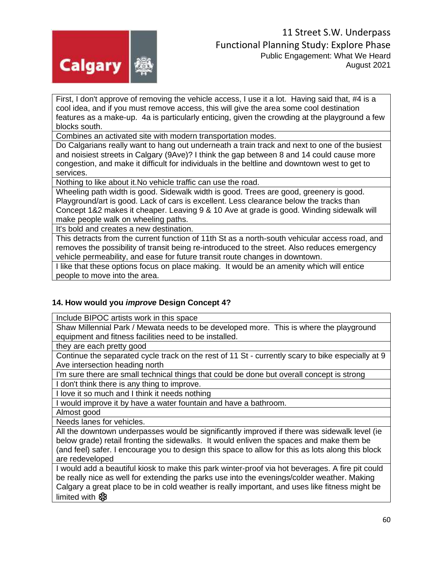

First, I don't approve of removing the vehicle access, I use it a lot. Having said that, #4 is a cool idea, and if you must remove access, this will give the area some cool destination features as a make-up. 4a is particularly enticing, given the crowding at the playground a few blocks south.

Combines an activated site with modern transportation modes.

Do Calgarians really want to hang out underneath a train track and next to one of the busiest and noisiest streets in Calgary (9Ave)? I think the gap between 8 and 14 could cause more congestion, and make it difficult for individuals in the beltline and downtown west to get to services.

Nothing to like about it.No vehicle traffic can use the road.

Wheeling path width is good. Sidewalk width is good. Trees are good, greenery is good. Playground/art is good. Lack of cars is excellent. Less clearance below the tracks than Concept 1&2 makes it cheaper. Leaving 9 & 10 Ave at grade is good. Winding sidewalk will make people walk on wheeling paths.

It's bold and creates a new destination.

This detracts from the current function of 11th St as a north-south vehicular access road, and removes the possibility of transit being re-introduced to the street. Also reduces emergency vehicle permeability, and ease for future transit route changes in downtown.

I like that these options focus on place making. It would be an amenity which will entice people to move into the area.

# **14. How would you** *improve* **Design Concept 4?**

Include BIPOC artists work in this space

Shaw Millennial Park / Mewata needs to be developed more. This is where the playground equipment and fitness facilities need to be installed.

they are each pretty good

Continue the separated cycle track on the rest of 11 St - currently scary to bike especially at 9 Ave intersection heading north

I'm sure there are small technical things that could be done but overall concept is strong

I don't think there is any thing to improve.

I love it so much and I think it needs nothing

I would improve it by have a water fountain and have a bathroom.

Almost good

Needs lanes for vehicles.

All the downtown underpasses would be significantly improved if there was sidewalk level (ie below grade) retail fronting the sidewalks. It would enliven the spaces and make them be (and feel) safer. I encourage you to design this space to allow for this as lots along this block are redeveloped

I would add a beautiful kiosk to make this park winter-proof via hot beverages. A fire pit could be really nice as well for extending the parks use into the evenings/colder weather. Making Calgary a great place to be in cold weather is really important, and uses like fitness might be limited with  $\mathbf{\circledast}$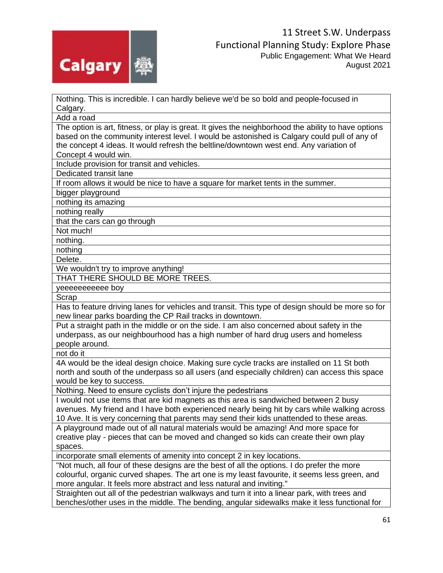

Nothing. This is incredible. I can hardly believe we'd be so bold and people-focused in Calgary.

Add a road

The option is art, fitness, or play is great. It gives the neighborhood the ability to have options based on the community interest level. I would be astonished is Calgary could pull of any of the concept 4 ideas. It would refresh the beltline/downtown west end. Any variation of Concept 4 would win.

Include provision for transit and vehicles.

Dedicated transit lane

If room allows it would be nice to have a square for market tents in the summer.

bigger playground

nothing its amazing

nothing really

that the cars can go through

Not much!

nothing.

nothing

Delete.

We wouldn't try to improve anything!

THAT THERE SHOULD BE MORE TREES.

yeeeeeeeeeee boy

Scrap

Has to feature driving lanes for vehicles and transit. This type of design should be more so for new linear parks boarding the CP Rail tracks in downtown.

Put a straight path in the middle or on the side. I am also concerned about safety in the underpass, as our neighbourhood has a high number of hard drug users and homeless people around.

not do it

4A would be the ideal design choice. Making sure cycle tracks are installed on 11 St both north and south of the underpass so all users (and especially children) can access this space would be key to success.

Nothing. Need to ensure cyclists don't injure the pedestrians

I would not use items that are kid magnets as this area is sandwiched between 2 busy avenues. My friend and I have both experienced nearly being hit by cars while walking across 10 Ave. It is very concerning that parents may send their kids unattended to these areas.

A playground made out of all natural materials would be amazing! And more space for creative play - pieces that can be moved and changed so kids can create their own play spaces.

incorporate small elements of amenity into concept 2 in key locations.

"Not much, all four of these designs are the best of all the options. I do prefer the more colourful, organic curved shapes. The art one is my least favourite, it seems less green, and more angular. It feels more abstract and less natural and inviting."

Straighten out all of the pedestrian walkways and turn it into a linear park, with trees and benches/other uses in the middle. The bending, angular sidewalks make it less functional for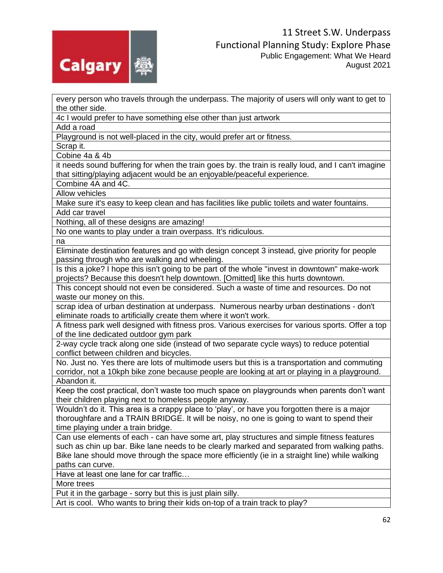

every person who travels through the underpass. The majority of users will only want to get to the other side.

4c I would prefer to have something else other than just artwork

Add a road

Playground is not well-placed in the city, would prefer art or fitness.

Scrap it.

Cobine 4a & 4b

it needs sound buffering for when the train goes by. the train is really loud, and I can't imagine that sitting/playing adjacent would be an enjoyable/peaceful experience.

Combine 4A and 4C.

Allow vehicles

Make sure it's easy to keep clean and has facilities like public toilets and water fountains. Add car travel

Nothing, all of these designs are amazing!

No one wants to play under a train overpass. It's ridiculous.

na

Eliminate destination features and go with design concept 3 instead, give priority for people passing through who are walking and wheeling.

Is this a joke? I hope this isn't going to be part of the whole "invest in downtown" make-work projects? Because this doesn't help downtown. [Omitted] like this hurts downtown.

This concept should not even be considered. Such a waste of time and resources. Do not waste our money on this.

scrap idea of urban destination at underpass. Numerous nearby urban destinations - don't eliminate roads to artificially create them where it won't work.

A fitness park well designed with fitness pros. Various exercises for various sports. Offer a top of the line dedicated outdoor gym park

2-way cycle track along one side (instead of two separate cycle ways) to reduce potential conflict between children and bicycles.

No. Just no. Yes there are lots of multimode users but this is a transportation and commuting corridor, not a 10kph bike zone because people are looking at art or playing in a playground. Abandon it.

Keep the cost practical, don't waste too much space on playgrounds when parents don't want their children playing next to homeless people anyway.

Wouldn't do it. This area is a crappy place to 'play', or have you forgotten there is a major thoroughfare and a TRAIN BRIDGE. It will be noisy, no one is going to want to spend their time playing under a train bridge.

Can use elements of each - can have some art, play structures and simple fitness features such as chin up bar. Bike lane needs to be clearly marked and separated from walking paths. Bike lane should move through the space more efficiently (ie in a straight line) while walking paths can curve.

Have at least one lane for car traffic…

More trees

Put it in the garbage - sorry but this is just plain silly.

Art is cool. Who wants to bring their kids on-top of a train track to play?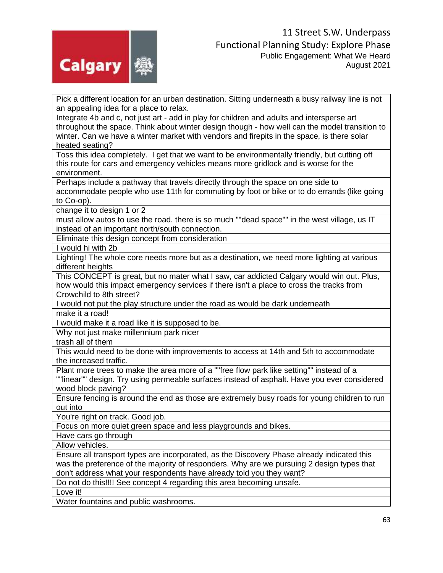

Pick a different location for an urban destination. Sitting underneath a busy railway line is not an appealing idea for a place to relax.

Integrate 4b and c, not just art - add in play for children and adults and intersperse art throughout the space. Think about winter design though - how well can the model transition to winter. Can we have a winter market with vendors and firepits in the space, is there solar heated seating?

Toss this idea completely. I get that we want to be environmentally friendly, but cutting off this route for cars and emergency vehicles means more gridlock and is worse for the environment.

Perhaps include a pathway that travels directly through the space on one side to accommodate people who use 11th for commuting by foot or bike or to do errands (like going to Co-op).

change it to design 1 or 2

must allow autos to use the road. there is so much ""dead space"" in the west village, us IT instead of an important north/south connection.

Eliminate this design concept from consideration

I would hi with 2b

Lighting! The whole core needs more but as a destination, we need more lighting at various different heights

This CONCEPT is great, but no mater what I saw, car addicted Calgary would win out. Plus, how would this impact emergency services if there isn't a place to cross the tracks from Crowchild to 8th street?

I would not put the play structure under the road as would be dark underneath

make it a road!

I would make it a road like it is supposed to be.

Why not just make millennium park nicer

trash all of them

This would need to be done with improvements to access at 14th and 5th to accommodate the increased traffic.

Plant more trees to make the area more of a ""free flow park like setting"" instead of a ""linear"" design. Try using permeable surfaces instead of asphalt. Have you ever considered wood block paving?

Ensure fencing is around the end as those are extremely busy roads for young children to run out into

You're right on track. Good job.

Focus on more quiet green space and less playgrounds and bikes.

Have cars go through

Allow vehicles.

Ensure all transport types are incorporated, as the Discovery Phase already indicated this was the preference of the majority of responders. Why are we pursuing 2 design types that don't address what your respondents have already told you they want?

Do not do this!!!! See concept 4 regarding this area becoming unsafe.

Love it!

Water fountains and public washrooms.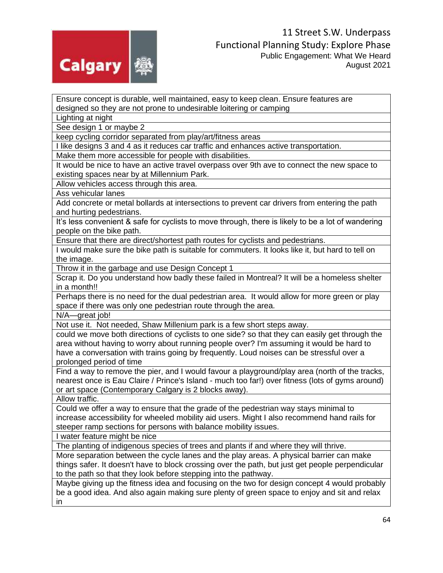

Ensure concept is durable, well maintained, easy to keep clean. Ensure features are designed so they are not prone to undesirable loitering or camping

Lighting at night

See design 1 or maybe 2

keep cycling corridor separated from play/art/fitness areas

I like designs 3 and 4 as it reduces car traffic and enhances active transportation.

Make them more accessible for people with disabilities.

It would be nice to have an active travel overpass over 9th ave to connect the new space to existing spaces near by at Millennium Park.

Allow vehicles access through this area.

Ass vehicular lanes

Add concrete or metal bollards at intersections to prevent car drivers from entering the path and hurting pedestrians.

It's less convenient & safe for cyclists to move through, there is likely to be a lot of wandering people on the bike path.

Ensure that there are direct/shortest path routes for cyclists and pedestrians.

I would make sure the bike path is suitable for commuters. It looks like it, but hard to tell on the image.

Throw it in the garbage and use Design Concept 1

Scrap it. Do you understand how badly these failed in Montreal? It will be a homeless shelter in a month!!

Perhaps there is no need for the dual pedestrian area. It would allow for more green or play space if there was only one pedestrian route through the area.

N/A—great job!

Not use it. Not needed, Shaw Millenium park is a few short steps away.

could we move both directions of cyclists to one side? so that they can easily get through the area without having to worry about running people over? I'm assuming it would be hard to have a conversation with trains going by frequently. Loud noises can be stressful over a prolonged period of time

Find a way to remove the pier, and I would favour a playground/play area (north of the tracks, nearest once is Eau Claire / Prince's Island - much too far!) over fitness (lots of gyms around) or art space (Contemporary Calgary is 2 blocks away).

Allow traffic.

Could we offer a way to ensure that the grade of the pedestrian way stays minimal to increase accessibility for wheeled mobility aid users. Might I also recommend hand rails for steeper ramp sections for persons with balance mobility issues.

I water feature might be nice

The planting of indigenous species of trees and plants if and where they will thrive.

More separation between the cycle lanes and the play areas. A physical barrier can make things safer. It doesn't have to block crossing over the path, but just get people perpendicular to the path so that they look before stepping into the pathway.

Maybe giving up the fitness idea and focusing on the two for design concept 4 would probably be a good idea. And also again making sure plenty of green space to enjoy and sit and relax in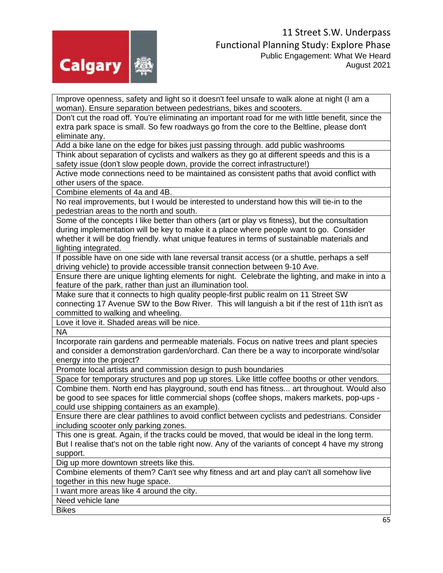

Improve openness, safety and light so it doesn't feel unsafe to walk alone at night (I am a woman). Ensure separation between pedestrians, bikes and scooters.

Don't cut the road off. You're eliminating an important road for me with little benefit, since the extra park space is small. So few roadways go from the core to the Beltline, please don't eliminate any.

Add a bike lane on the edge for bikes just passing through. add public washrooms

Think about separation of cyclists and walkers as they go at different speeds and this is a safety issue (don't slow people down, provide the correct infrastructure!)

Active mode connections need to be maintained as consistent paths that avoid conflict with other users of the space.

Combine elements of 4a and 4B.

No real improvements, but I would be interested to understand how this will tie-in to the pedestrian areas to the north and south.

Some of the concepts I like better than others (art or play vs fitness), but the consultation during implementation will be key to make it a place where people want to go. Consider whether it will be dog friendly. what unique features in terms of sustainable materials and lighting integrated.

If possible have on one side with lane reversal transit access (or a shuttle, perhaps a self driving vehicle) to provide accessible transit connection between 9-10 Ave.

Ensure there are unique lighting elements for night. Celebrate the lighting, and make in into a feature of the park, rather than just an illumination tool.

Make sure that it connects to high quality people-first public realm on 11 Street SW connecting 17 Avenue SW to the Bow River. This will languish a bit if the rest of 11th isn't as committed to walking and wheeling.

Love it love it. Shaded areas will be nice.

NA

Incorporate rain gardens and permeable materials. Focus on native trees and plant species and consider a demonstration garden/orchard. Can there be a way to incorporate wind/solar energy into the project?

Promote local artists and commission design to push boundaries

Space for temporary structures and pop up stores. Like little coffee booths or other vendors.

Combine them. North end has playground, south end has fitness... art throughout. Would also be good to see spaces for little commercial shops (coffee shops, makers markets, pop-ups could use shipping containers as an example).

Ensure there are clear pathlines to avoid conflict between cyclists and pedestrians. Consider including scooter only parking zones.

This one is great. Again, if the tracks could be moved, that would be ideal in the long term. But I realise that's not on the table right now. Any of the variants of concept 4 have my strong support.

Dig up more downtown streets like this.

Combine elements of them? Can't see why fitness and art and play can't all somehow live together in this new huge space.

I want more areas like 4 around the city.

Need vehicle lane

**Bikes**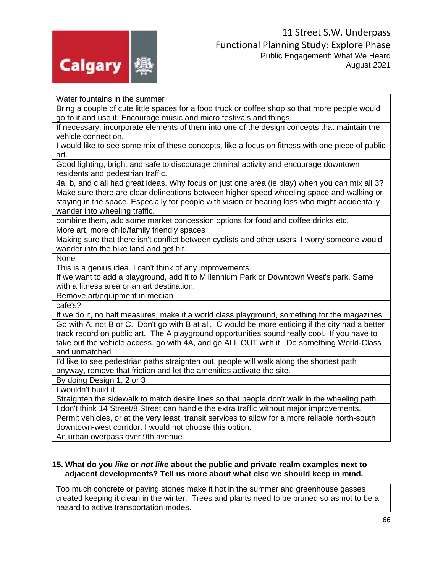

Water fountains in the summer

Bring a couple of cute little spaces for a food truck or coffee shop so that more people would go to it and use it. Encourage music and micro festivals and things.

If necessary, incorporate elements of them into one of the design concepts that maintain the vehicle connection.

I would like to see some mix of these concepts, like a focus on fitness with one piece of public art.

Good lighting, bright and safe to discourage criminal activity and encourage downtown residents and pedestrian traffic.

4a, b, and c all had great ideas. Why focus on just one area (ie play) when you can mix all 3? Make sure there are clear delineations between higher speed wheeling space and walking or staying in the space. Especially for people with vision or hearing loss who might accidentally wander into wheeling traffic.

combine them, add some market concession options for food and coffee drinks etc.

More art, more child/family friendly spaces

Making sure that there isn't conflict between cyclists and other users. I worry someone would wander into the bike land and get hit.

None

This is a genius idea. I can't think of any improvements.

If we want to add a playground, add it to Millennium Park or Downtown West's park. Same with a fitness area or an art destination.

Remove art/equipment in median

cafe's?

If we do it, no half measures, make it a world class playground, something for the magazines. Go with A, not B or C. Don't go with B at all. C would be more enticing if the city had a better track record on public art. The A playground opportunities sound really cool. If you have to take out the vehicle access, go with 4A, and go ALL OUT with it. Do something World-Class and unmatched.

I'd like to see pedestrian paths straighten out, people will walk along the shortest path anyway, remove that friction and let the amenities activate the site.

By doing Design 1, 2 or 3

I wouldn't build it.

Straighten the sidewalk to match desire lines so that people don't walk in the wheeling path. I don't think 14 Street/8 Street can handle the extra traffic without major improvements.

Permit vehicles, or at the very least, transit services to allow for a more reliable north-south downtown-west corridor. I would not choose this option.

An urban overpass over 9th avenue.

#### **15. What do you** *like* **or** *not like* **about the public and private realm examples next to adjacent developments? Tell us more about what else we should keep in mind.**

Too much concrete or paving stones make it hot in the summer and greenhouse gasses created keeping it clean in the winter. Trees and plants need to be pruned so as not to be a hazard to active transportation modes.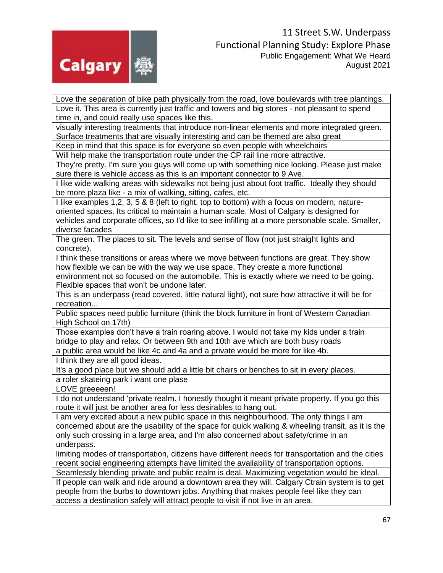

Love the separation of bike path physically from the road, love boulevards with tree plantings. Love it. This area is currently just traffic and towers and big stores - not pleasant to spend time in, and could really use spaces like this.

visually interesting treatments that introduce non-linear elements and more integrated green. Surface treatments that are visually interesting and can be themed are also great

Keep in mind that this space is for everyone so even people with wheelchairs

Will help make the transportation route under the CP rail line more attractive.

They're pretty. I'm sure you guys will come up with something nice looking. Please just make sure there is vehicle access as this is an important connector to 9 Ave.

I like wide walking areas with sidewalks not being just about foot traffic. Ideally they should be more plaza like - a mix of walking, sitting, cafes, etc.

I like examples 1,2, 3, 5 & 8 (left to right, top to bottom) with a focus on modern, natureoriented spaces. Its critical to maintain a human scale. Most of Calgary is designed for vehicles and corporate offices, so I'd like to see infilling at a more personable scale. Smaller, diverse facades

The green. The places to sit. The levels and sense of flow (not just straight lights and concrete).

I think these transitions or areas where we move between functions are great. They show how flexible we can be with the way we use space. They create a more functional environment not so focused on the automobile. This is exactly where we need to be going. Flexible spaces that won't be undone later.

This is an underpass (read covered, little natural light), not sure how attractive it will be for recreation...

Public spaces need public furniture (think the block furniture in front of Western Canadian High School on 17th)

Those examples don't have a train roaring above. I would not take my kids under a train bridge to play and relax. Or between 9th and 10th ave which are both busy roads

a public area would be like 4c and 4a and a private would be more for like 4b.

I think they are all good ideas.

It's a good place but we should add a little bit chairs or benches to sit in every places. a roler skateing park i want one plase

LOVE greeeeen!

I do not understand 'private realm. I honestly thought it meant private property. If you go this route it will just be another area for less desirables to hang out.

I am very excited about a new public space in this neighbourhood. The only things I am concerned about are the usability of the space for quick walking & wheeling transit, as it is the only such crossing in a large area, and I'm also concerned about safety/crime in an underpass.

limiting modes of transportation, citizens have different needs for transportation and the cities recent social engineering attempts have limited the availability of transportation options. Seamlessly blending private and public realm is deal. Maximizing vegetation would be ideal.

If people can walk and ride around a downtown area they will. Calgary Ctrain system is to get people from the burbs to downtown jobs. Anything that makes people feel like they can access a destination safely will attract people to visit if not live in an area.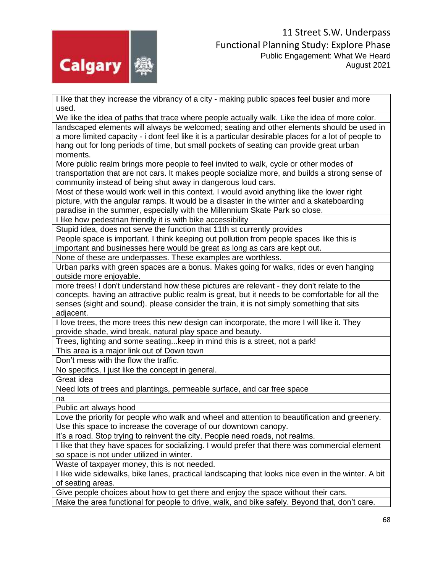

I like that they increase the vibrancy of a city - making public spaces feel busier and more used.

We like the idea of paths that trace where people actually walk. Like the idea of more color. landscaped elements will always be welcomed; seating and other elements should be used in a more limited capacity - i dont feel like it is a particular desirable places for a lot of people to hang out for long periods of time, but small pockets of seating can provide great urban moments.

More public realm brings more people to feel invited to walk, cycle or other modes of transportation that are not cars. It makes people socialize more, and builds a strong sense of community instead of being shut away in dangerous loud cars.

Most of these would work well in this context. I would avoid anything like the lower right picture, with the angular ramps. It would be a disaster in the winter and a skateboarding paradise in the summer, especially with the Millennium Skate Park so close.

I like how pedestrian friendly it is with bike accessibility

Stupid idea, does not serve the function that 11th st currently provides

People space is important. I think keeping out pollution from people spaces like this is important and businesses here would be great as long as cars are kept out.

None of these are underpasses. These examples are worthless.

Urban parks with green spaces are a bonus. Makes going for walks, rides or even hanging outside more enjoyable.

more trees! I don't understand how these pictures are relevant - they don't relate to the concepts. having an attractive public realm is great, but it needs to be comfortable for all the senses (sight and sound). please consider the train, it is not simply something that sits adjacent.

I love trees, the more trees this new design can incorporate, the more I will like it. They provide shade, wind break, natural play space and beauty.

Trees, lighting and some seating...keep in mind this is a street, not a park!

This area is a major link out of Down town

Don't mess with the flow the traffic.

No specifics, I just like the concept in general.

Great idea

Need lots of trees and plantings, permeable surface, and car free space

na

Public art always hood

Love the priority for people who walk and wheel and attention to beautification and greenery. Use this space to increase the coverage of our downtown canopy.

It's a road. Stop trying to reinvent the city. People need roads, not realms.

I like that they have spaces for socializing. I would prefer that there was commercial element so space is not under utilized in winter.

Waste of taxpayer money, this is not needed.

I like wide sidewalks, bike lanes, practical landscaping that looks nice even in the winter. A bit of seating areas.

Give people choices about how to get there and enjoy the space without their cars.

Make the area functional for people to drive, walk, and bike safely. Beyond that, don't care.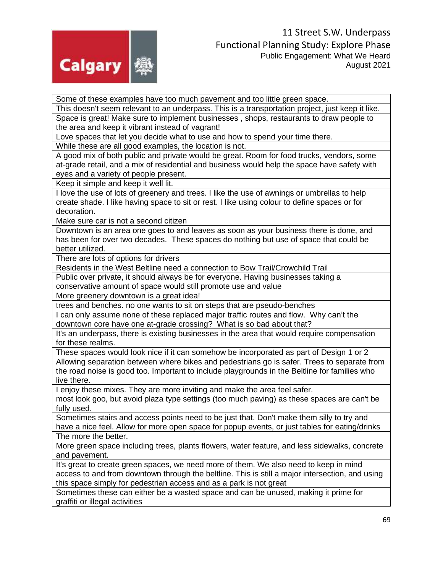

Some of these examples have too much pavement and too little green space.

This doesn't seem relevant to an underpass. This is a transportation project, just keep it like. Space is great! Make sure to implement businesses , shops, restaurants to draw people to the area and keep it vibrant instead of vagrant!

Love spaces that let you decide what to use and how to spend your time there.

While these are all good examples, the location is not.

A good mix of both public and private would be great. Room for food trucks, vendors, some at-grade retail, and a mix of residential and business would help the space have safety with eyes and a variety of people present.

Keep it simple and keep it well lit.

I love the use of lots of greenery and trees. I like the use of awnings or umbrellas to help create shade. I like having space to sit or rest. I like using colour to define spaces or for decoration.

Make sure car is not a second citizen

Downtown is an area one goes to and leaves as soon as your business there is done, and has been for over two decades. These spaces do nothing but use of space that could be better utilized.

There are lots of options for drivers

Residents in the West Beltline need a connection to Bow Trail/Crowchild Trail

Public over private, it should always be for everyone. Having businesses taking a conservative amount of space would still promote use and value

More greenery downtown is a great idea!

trees and benches. no one wants to sit on steps that are pseudo-benches

I can only assume none of these replaced major traffic routes and flow. Why can't the downtown core have one at-grade crossing? What is so bad about that?

It's an underpass, there is existing businesses in the area that would require compensation for these realms.

These spaces would look nice if it can somehow be incorporated as part of Design 1 or 2

Allowing separation between where bikes and pedestrians go is safer. Trees to separate from the road noise is good too. Important to include playgrounds in the Beltline for families who live there.

I enjoy these mixes. They are more inviting and make the area feel safer.

most look goo, but avoid plaza type settings (too much paving) as these spaces are can't be fully used.

Sometimes stairs and access points need to be just that. Don't make them silly to try and have a nice feel. Allow for more open space for popup events, or just tables for eating/drinks The more the better.

More green space including trees, plants flowers, water feature, and less sidewalks, concrete and pavement.

It's great to create green spaces, we need more of them. We also need to keep in mind access to and from downtown through the beltline. This is still a major intersection, and using this space simply for pedestrian access and as a park is not great

Sometimes these can either be a wasted space and can be unused, making it prime for graffiti or illegal activities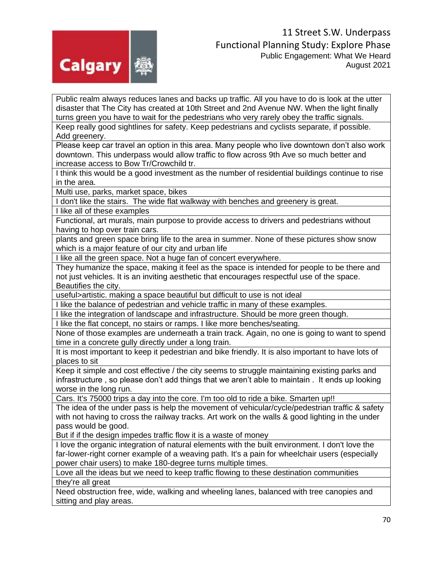

Public realm always reduces lanes and backs up traffic. All you have to do is look at the utter disaster that The City has created at 10th Street and 2nd Avenue NW. When the light finally turns green you have to wait for the pedestrians who very rarely obey the traffic signals.

Keep really good sightlines for safety. Keep pedestrians and cyclists separate, if possible. Add greenery.

Please keep car travel an option in this area. Many people who live downtown don't also work downtown. This underpass would allow traffic to flow across 9th Ave so much better and increase access to Bow Tr/Crowchild tr.

I think this would be a good investment as the number of residential buildings continue to rise in the area.

Multi use, parks, market space, bikes

I don't like the stairs. The wide flat walkway with benches and greenery is great.

I like all of these examples

Functional, art murals, main purpose to provide access to drivers and pedestrians without having to hop over train cars.

plants and green space bring life to the area in summer. None of these pictures show snow which is a major feature of our city and urban life

I like all the green space. Not a huge fan of concert everywhere.

They humanize the space, making it feel as the space is intended for people to be there and not just vehicles. It is an inviting aesthetic that encourages respectful use of the space. Beautifies the city.

useful>artistic. making a space beautiful but difficult to use is not ideal

I like the balance of pedestrian and vehicle traffic in many of these examples.

I like the integration of landscape and infrastructure. Should be more green though.

I like the flat concept, no stairs or ramps. I like more benches/seating.

None of those examples are underneath a train track. Again, no one is going to want to spend time in a concrete gully directly under a long train.

It is most important to keep it pedestrian and bike friendly. It is also important to have lots of places to sit

Keep it simple and cost effective / the city seems to struggle maintaining existing parks and infrastructure , so please don't add things that we aren't able to maintain . It ends up looking worse in the long run.

Cars. It's 75000 trips a day into the core. I'm too old to ride a bike. Smarten up!!

The idea of the under pass is help the movement of vehicular/cycle/pedestrian traffic & safety with not having to cross the railway tracks. Art work on the walls & good lighting in the under pass would be good.

But if if the design impedes traffic flow it is a waste of money

I love the organic integration of natural elements with the built environment. I don't love the far-lower-right corner example of a weaving path. It's a pain for wheelchair users (especially power chair users) to make 180-degree turns multiple times.

Love all the ideas but we need to keep traffic flowing to these destination communities they're all great

Need obstruction free, wide, walking and wheeling lanes, balanced with tree canopies and sitting and play areas.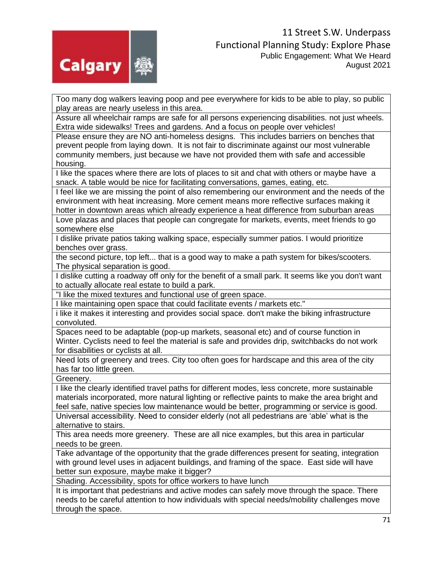

Too many dog walkers leaving poop and pee everywhere for kids to be able to play, so public play areas are nearly useless in this area.

Assure all wheelchair ramps are safe for all persons experiencing disabilities. not just wheels. Extra wide sidewalks! Trees and gardens. And a focus on people over vehicles!

Please ensure they are NO anti-homeless designs. This includes barriers on benches that prevent people from laying down. It is not fair to discriminate against our most vulnerable community members, just because we have not provided them with safe and accessible housing.

I like the spaces where there are lots of places to sit and chat with others or maybe have a snack. A table would be nice for facilitating conversations, games, eating, etc.

I feel like we are missing the point of also remembering our environment and the needs of the environment with heat increasing. More cement means more reflective surfaces making it hotter in downtown areas which already experience a heat difference from suburban areas

Love plazas and places that people can congregate for markets, events, meet friends to go somewhere else

I dislike private patios taking walking space, especially summer patios. I would prioritize benches over grass.

the second picture, top left... that is a good way to make a path system for bikes/scooters. The physical separation is good.

I dislike cutting a roadway off only for the benefit of a small park. It seems like you don't want to actually allocate real estate to build a park.

"I like the mixed textures and functional use of green space.

I like maintaining open space that could facilitate events / markets etc."

i like it makes it interesting and provides social space. don't make the biking infrastructure convoluted.

Spaces need to be adaptable (pop-up markets, seasonal etc) and of course function in Winter. Cyclists need to feel the material is safe and provides drip, switchbacks do not work for disabilities or cyclists at all.

Need lots of greenery and trees. City too often goes for hardscape and this area of the city has far too little green.

Greenery.

I like the clearly identified travel paths for different modes, less concrete, more sustainable materials incorporated, more natural lighting or reflective paints to make the area bright and feel safe, native species low maintenance would be better, programming or service is good.

Universal accessibility. Need to consider elderly (not all pedestrians are 'able' what is the alternative to stairs.

This area needs more greenery. These are all nice examples, but this area in particular needs to be green.

Take advantage of the opportunity that the grade differences present for seating, integration with ground level uses in adjacent buildings, and framing of the space. East side will have better sun exposure, maybe make it bigger?

Shading. Accessibility, spots for office workers to have lunch

It is important that pedestrians and active modes can safely move through the space. There needs to be careful attention to how individuals with special needs/mobility challenges move through the space.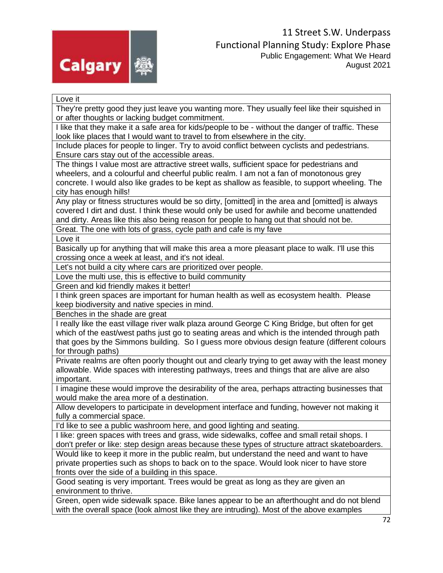

Love it

They're pretty good they just leave you wanting more. They usually feel like their squished in or after thoughts or lacking budget commitment.

I like that they make it a safe area for kids/people to be - without the danger of traffic. These look like places that I would want to travel to from elsewhere in the city.

Include places for people to linger. Try to avoid conflict between cyclists and pedestrians. Ensure cars stay out of the accessible areas.

The things I value most are attractive street walls, sufficient space for pedestrians and wheelers, and a colourful and cheerful public realm. I am not a fan of monotonous grey concrete. I would also like grades to be kept as shallow as feasible, to support wheeling. The city has enough hills!

Any play or fitness structures would be so dirty, [omitted] in the area and [omitted] is always covered I dirt and dust. I think these would only be used for awhile and become unattended and dirty. Areas like this also being reason for people to hang out that should not be.

Great. The one with lots of grass, cycle path and cafe is my fave

Love it

Basically up for anything that will make this area a more pleasant place to walk. I'll use this crossing once a week at least, and it's not ideal.

Let's not build a city where cars are prioritized over people.

Love the multi use, this is effective to build community

Green and kid friendly makes it better!

I think green spaces are important for human health as well as ecosystem health. Please keep biodiversity and native species in mind.

Benches in the shade are great

I really like the east village river walk plaza around George C King Bridge, but often for get which of the east/west paths just go to seating areas and which is the intended through path that goes by the Simmons building. So I guess more obvious design feature (different colours for through paths)

Private realms are often poorly thought out and clearly trying to get away with the least money allowable. Wide spaces with interesting pathways, trees and things that are alive are also important.

I imagine these would improve the desirability of the area, perhaps attracting businesses that would make the area more of a destination.

Allow developers to participate in development interface and funding, however not making it fully a commercial space.

I'd like to see a public washroom here, and good lighting and seating.

I like: green spaces with trees and grass, wide sidewalks, coffee and small retail shops. I don't prefer or like: step design areas because these types of structure attract skateboarders.

Would like to keep it more in the public realm, but understand the need and want to have private properties such as shops to back on to the space. Would look nicer to have store fronts over the side of a building in this space.

Good seating is very important. Trees would be great as long as they are given an environment to thrive.

Green, open wide sidewalk space. Bike lanes appear to be an afterthought and do not blend with the overall space (look almost like they are intruding). Most of the above examples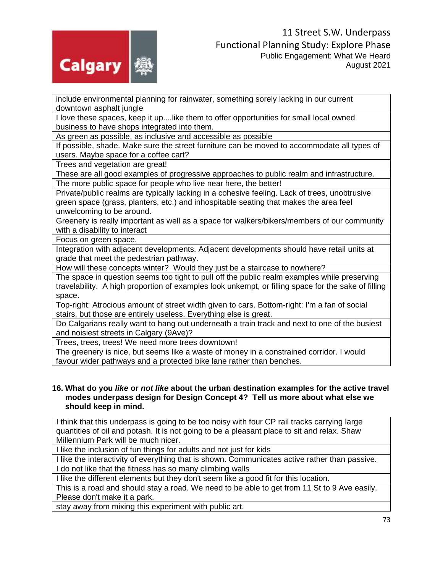

include environmental planning for rainwater, something sorely lacking in our current downtown asphalt jungle

I love these spaces, keep it up....like them to offer opportunities for small local owned business to have shops integrated into them.

As green as possible, as inclusive and accessible as possible

If possible, shade. Make sure the street furniture can be moved to accommodate all types of users. Maybe space for a coffee cart?

Trees and vegetation are great!

These are all good examples of progressive approaches to public realm and infrastructure. The more public space for people who live near here, the better!

Private/public realms are typically lacking in a cohesive feeling. Lack of trees, unobtrusive green space (grass, planters, etc.) and inhospitable seating that makes the area feel unwelcoming to be around.

Greenery is really important as well as a space for walkers/bikers/members of our community with a disability to interact

Focus on green space.

Integration with adjacent developments. Adjacent developments should have retail units at grade that meet the pedestrian pathway.

How will these concepts winter? Would they just be a staircase to nowhere?

The space in question seems too tight to pull off the public realm examples while preserving travelability. A high proportion of examples look unkempt, or filling space for the sake of filling space.

Top-right: Atrocious amount of street width given to cars. Bottom-right: I'm a fan of social stairs, but those are entirely useless. Everything else is great.

Do Calgarians really want to hang out underneath a train track and next to one of the busiest and noisiest streets in Calgary (9Ave)?

Trees, trees, trees! We need more trees downtown!

The greenery is nice, but seems like a waste of money in a constrained corridor. I would favour wider pathways and a protected bike lane rather than benches.

## **16. What do you** *like* **or** *not like* **about the urban destination examples for the active travel modes underpass design for Design Concept 4? Tell us more about what else we should keep in mind.**

I think that this underpass is going to be too noisy with four CP rail tracks carrying large quantities of oil and potash. It is not going to be a pleasant place to sit and relax. Shaw Millennium Park will be much nicer.

I like the inclusion of fun things for adults and not just for kids

I like the interactivity of everything that is shown. Communicates active rather than passive. I do not like that the fitness has so many climbing walls

I like the different elements but they don't seem like a good fit for this location.

This is a road and should stay a road. We need to be able to get from 11 St to 9 Ave easily. Please don't make it a park.

stay away from mixing this experiment with public art.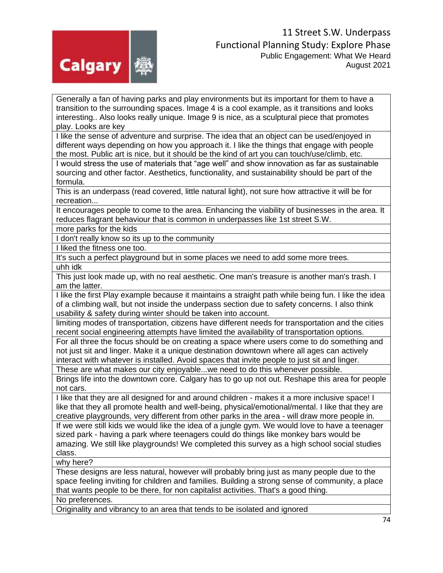

Generally a fan of having parks and play environments but its important for them to have a transition to the surrounding spaces. Image 4 is a cool example, as it transitions and looks interesting.. Also looks really unique. Image 9 is nice, as a sculptural piece that promotes play. Looks are key

I like the sense of adventure and surprise. The idea that an object can be used/enjoyed in different ways depending on how you approach it. I like the things that engage with people the most. Public art is nice, but it should be the kind of art you can touch/use/climb, etc.

I would stress the use of materials that "age well" and show innovation as far as sustainable sourcing and other factor. Aesthetics, functionality, and sustainability should be part of the formula.

This is an underpass (read covered, little natural light), not sure how attractive it will be for recreation...

It encourages people to come to the area. Enhancing the viability of businesses in the area. It reduces flagrant behaviour that is common in underpasses like 1st street S.W.

more parks for the kids

I don't really know so its up to the community

I liked the fitness one too.

It's such a perfect playground but in some places we need to add some more trees. uhh idk

This just look made up, with no real aesthetic. One man's treasure is another man's trash. I am the latter.

I like the first Play example because it maintains a straight path while being fun. I like the idea of a climbing wall, but not inside the underpass section due to safety concerns. I also think usability & safety during winter should be taken into account.

limiting modes of transportation, citizens have different needs for transportation and the cities recent social engineering attempts have limited the availability of transportation options.

For all three the focus should be on creating a space where users come to do something and not just sit and linger. Make it a unique destination downtown where all ages can actively interact with whatever is installed. Avoid spaces that invite people to just sit and linger.

These are what makes our city enjoyable...we need to do this whenever possible.

Brings life into the downtown core. Calgary has to go up not out. Reshape this area for people not cars.

I like that they are all designed for and around children - makes it a more inclusive space! I like that they all promote health and well-being, physical/emotional/mental. I like that they are creative playgrounds, very different from other parks in the area - will draw more people in.

If we were still kids we would like the idea of a jungle gym. We would love to have a teenager sized park - having a park where teenagers could do things like monkey bars would be amazing. We still like playgrounds! We completed this survey as a high school social studies class.

why here?

These designs are less natural, however will probably bring just as many people due to the space feeling inviting for children and families. Building a strong sense of community, a place that wants people to be there, for non capitalist activities. That's a good thing. No preferences.

Originality and vibrancy to an area that tends to be isolated and ignored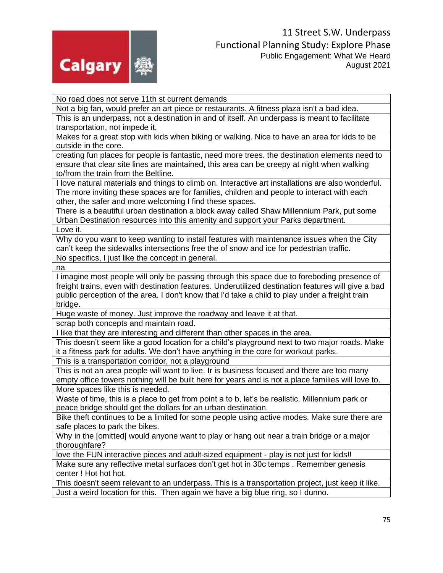

No road does not serve 11th st current demands

Not a big fan, would prefer an art piece or restaurants. A fitness plaza isn't a bad idea. This is an underpass, not a destination in and of itself. An underpass is meant to facilitate transportation, not impede it.

Makes for a great stop with kids when biking or walking. Nice to have an area for kids to be outside in the core.

creating fun places for people is fantastic, need more trees. the destination elements need to ensure that clear site lines are maintained, this area can be creepy at night when walking to/from the train from the Beltline.

I love natural materials and things to climb on. Interactive art installations are also wonderful. The more inviting these spaces are for families, children and people to interact with each other, the safer and more welcoming I find these spaces.

There is a beautiful urban destination a block away called Shaw Millennium Park, put some Urban Destination resources into this amenity and support your Parks department. Love it.

Why do you want to keep wanting to install features with maintenance issues when the City can't keep the sidewalks intersections free the of snow and ice for pedestrian traffic. No specifics, I just like the concept in general.

na

I imagine most people will only be passing through this space due to foreboding presence of freight trains, even with destination features. Underutilized destination features will give a bad public perception of the area. I don't know that I'd take a child to play under a freight train bridge.

Huge waste of money. Just improve the roadway and leave it at that.

scrap both concepts and maintain road.

I like that they are interesting and different than other spaces in the area.

This doesn't seem like a good location for a child's playground next to two major roads. Make it a fitness park for adults. We don't have anything in the core for workout parks.

This is a transportation corridor, not a playground

This is not an area people will want to live. Ir is business focused and there are too many empty office towers nothing will be built here for years and is not a place families will love to. More spaces like this is needed.

Waste of time, this is a place to get from point a to b, let's be realistic. Millennium park or peace bridge should get the dollars for an urban destination.

Bike theft continues to be a limited for some people using active modes. Make sure there are safe places to park the bikes.

Why in the [omitted] would anyone want to play or hang out near a train bridge or a major thoroughfare?

love the FUN interactive pieces and adult-sized equipment - play is not just for kids!!

Make sure any reflective metal surfaces don't get hot in 30c temps . Remember genesis center ! Hot hot hot.

This doesn't seem relevant to an underpass. This is a transportation project, just keep it like. Just a weird location for this. Then again we have a big blue ring, so I dunno.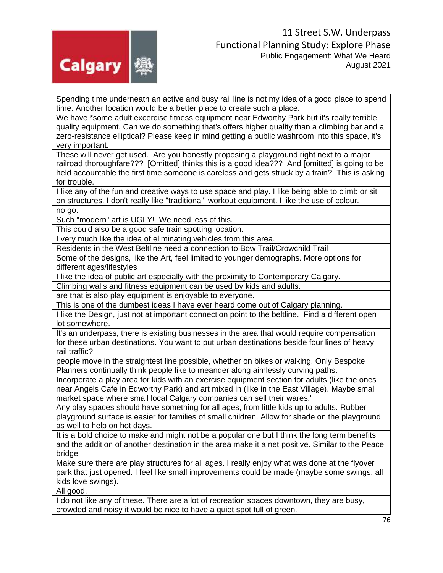

Spending time underneath an active and busy rail line is not my idea of a good place to spend time. Another location would be a better place to create such a place.

We have \*some adult excercise fitness equipment near Edworthy Park but it's really terrible quality equipment. Can we do something that's offers higher quality than a climbing bar and a zero-resistance elliptical? Please keep in mind getting a public washroom into this space, it's very important.

These will never get used. Are you honestly proposing a playground right next to a major railroad thoroughfare??? [Omitted] thinks this is a good idea??? And [omitted] is going to be held accountable the first time someone is careless and gets struck by a train? This is asking for trouble.

I like any of the fun and creative ways to use space and play. I like being able to climb or sit on structures. I don't really like "traditional" workout equipment. I like the use of colour. no go.

Such "modern" art is UGLY! We need less of this.

This could also be a good safe train spotting location.

I very much like the idea of eliminating vehicles from this area.

Residents in the West Beltline need a connection to Bow Trail/Crowchild Trail

Some of the designs, like the Art, feel limited to younger demographs. More options for different ages/lifestyles

I like the idea of public art especially with the proximity to Contemporary Calgary.

Climbing walls and fitness equipment can be used by kids and adults.

are that is also play equipment is enjoyable to everyone.

This is one of the dumbest ideas I have ever heard come out of Calgary planning.

I like the Design, just not at important connection point to the beltline. Find a different open lot somewhere.

It's an underpass, there is existing businesses in the area that would require compensation for these urban destinations. You want to put urban destinations beside four lines of heavy rail traffic?

people move in the straightest line possible, whether on bikes or walking. Only Bespoke Planners continually think people like to meander along aimlessly curving paths.

Incorporate a play area for kids with an exercise equipment section for adults (like the ones near Angels Cafe in Edworthy Park) and art mixed in (like in the East Village). Maybe small market space where small local Calgary companies can sell their wares."

Any play spaces should have something for all ages, from little kids up to adults. Rubber playground surface is easier for families of small children. Allow for shade on the playground as well to help on hot days.

It is a bold choice to make and might not be a popular one but I think the long term benefits and the addition of another destination in the area make it a net positive. Similar to the Peace bridge

Make sure there are play structures for all ages. I really enjoy what was done at the flyover park that just opened. I feel like small improvements could be made (maybe some swings, all kids love swings).

All good.

I do not like any of these. There are a lot of recreation spaces downtown, they are busy, crowded and noisy it would be nice to have a quiet spot full of green.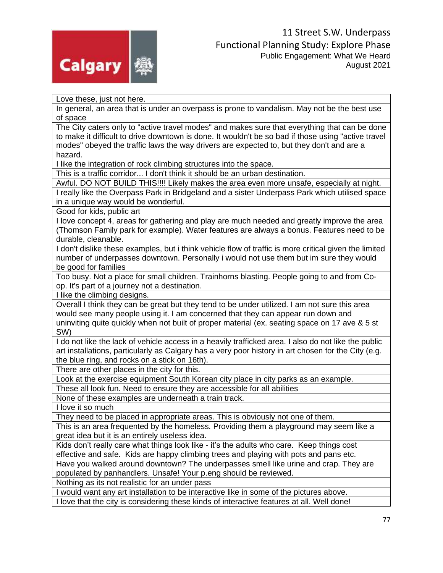

Love these, just not here.

In general, an area that is under an overpass is prone to vandalism. May not be the best use of space

The City caters only to "active travel modes" and makes sure that everything that can be done to make it difficult to drive downtown is done. It wouldn't be so bad if those using "active travel modes" obeyed the traffic laws the way drivers are expected to, but they don't and are a hazard.

I like the integration of rock climbing structures into the space.

This is a traffic corridor... I don't think it should be an urban destination.

Awful. DO NOT BUILD THIS!!!! Likely makes the area even more unsafe, especially at night. I really like the Overpass Park in Bridgeland and a sister Underpass Park which utilised space in a unique way would be wonderful.

Good for kids, public art

I love concept 4, areas for gathering and play are much needed and greatly improve the area (Thomson Family park for example). Water features are always a bonus. Features need to be durable, cleanable.

I don't dislike these examples, but i think vehicle flow of traffic is more critical given the limited number of underpasses downtown. Personally i would not use them but im sure they would be good for families

Too busy. Not a place for small children. Trainhorns blasting. People going to and from Coop. It's part of a journey not a destination.

I like the climbing designs.

Overall I think they can be great but they tend to be under utilized. I am not sure this area would see many people using it. I am concerned that they can appear run down and uninviting quite quickly when not built of proper material (ex. seating space on 17 ave & 5 st SW)

I do not like the lack of vehicle access in a heavily trafficked area. I also do not like the public art installations, particularly as Calgary has a very poor history in art chosen for the City (e.g. the blue ring, and rocks on a stick on 16th).

There are other places in the city for this.

Look at the exercise equipment South Korean city place in city parks as an example.

These all look fun. Need to ensure they are accessible for all abilities

None of these examples are underneath a train track.

I love it so much

They need to be placed in appropriate areas. This is obviously not one of them.

This is an area frequented by the homeless. Providing them a playground may seem like a great idea but it is an entirely useless idea.

Kids don't really care what things look like - it's the adults who care. Keep things cost effective and safe. Kids are happy climbing trees and playing with pots and pans etc.

Have you walked around downtown? The underpasses smell like urine and crap. They are populated by panhandlers. Unsafe! Your p.eng should be reviewed.

Nothing as its not realistic for an under pass

I would want any art installation to be interactive like in some of the pictures above. I love that the city is considering these kinds of interactive features at all. Well done!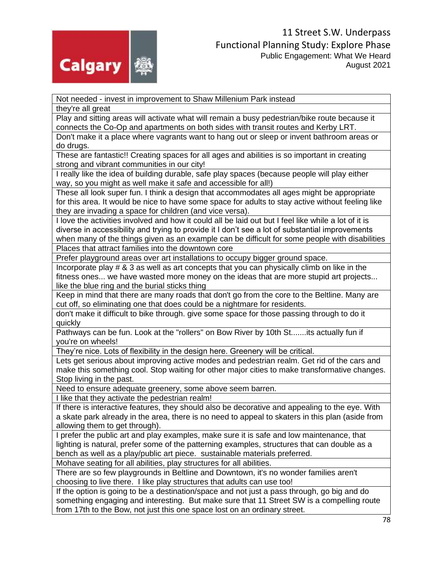

Not needed - invest in improvement to Shaw Millenium Park instead

they're all great

Play and sitting areas will activate what will remain a busy pedestrian/bike route because it connects the Co-Op and apartments on both sides with transit routes and Kerby LRT.

Don't make it a place where vagrants want to hang out or sleep or invent bathroom areas or do drugs.

These are fantastic!! Creating spaces for all ages and abilities is so important in creating strong and vibrant communities in our city!

I really like the idea of building durable, safe play spaces (because people will play either way, so you might as well make it safe and accessible for all!)

These all look super fun. I think a design that accommodates all ages might be appropriate for this area. It would be nice to have some space for adults to stay active without feeling like they are invading a space for children (and vice versa).

I love the activities involved and how it could all be laid out but I feel like while a lot of it is diverse in accessibility and trying to provide it I don't see a lot of substantial improvements when many of the things given as an example can be difficult for some people with disabilities

Places that attract families into the downtown core

Prefer playground areas over art installations to occupy bigger ground space.

Incorporate play # & 3 as well as art concepts that you can physically climb on like in the fitness ones... we have wasted more money on the ideas that are more stupid art projects... like the blue ring and the burial sticks thing

Keep in mind that there are many roads that don't go from the core to the Beltline. Many are cut off, so eliminating one that does could be a nightmare for residents.

don't make it difficult to bike through. give some space for those passing through to do it quickly

Pathways can be fun. Look at the "rollers" on Bow River by 10th St.......its actually fun if you're on wheels!

They're nice. Lots of flexibility in the design here. Greenery will be critical.

Lets get serious about improving active modes and pedestrian realm. Get rid of the cars and make this something cool. Stop waiting for other major cities to make transformative changes. Stop living in the past.

Need to ensure adequate greenery, some above seem barren.

I like that they activate the pedestrian realm!

If there is interactive features, they should also be decorative and appealing to the eye. With a skate park already in the area, there is no need to appeal to skaters in this plan (aside from allowing them to get through).

I prefer the public art and play examples, make sure it is safe and low maintenance, that lighting is natural, prefer some of the patterning examples, structures that can double as a bench as well as a play/public art piece. sustainable materials preferred.

Mohave seating for all abilities, play structures for all abilities.

There are so few playgrounds in Beltline and Downtown, it's no wonder families aren't choosing to live there. I like play structures that adults can use too!

If the option is going to be a destination/space and not just a pass through, go big and do something engaging and interesting. But make sure that 11 Street SW is a compelling route from 17th to the Bow, not just this one space lost on an ordinary street.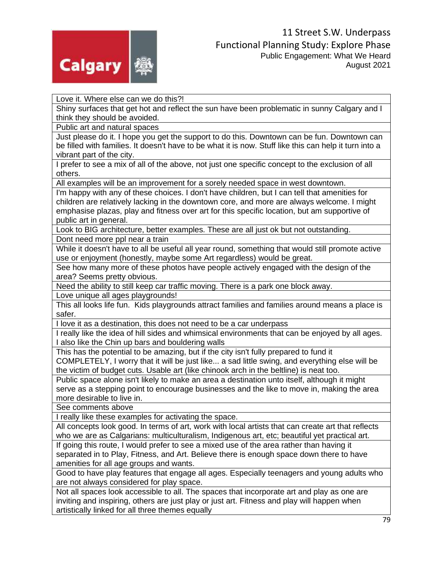

Love it. Where else can we do this?!

Shiny surfaces that get hot and reflect the sun have been problematic in sunny Calgary and I think they should be avoided.

Public art and natural spaces

Just please do it. I hope you get the support to do this. Downtown can be fun. Downtown can be filled with families. It doesn't have to be what it is now. Stuff like this can help it turn into a vibrant part of the city.

I prefer to see a mix of all of the above, not just one specific concept to the exclusion of all others.

All examples will be an improvement for a sorely needed space in west downtown.

I'm happy with any of these choices. I don't have children, but I can tell that amenities for children are relatively lacking in the downtown core, and more are always welcome. I might emphasise plazas, play and fitness over art for this specific location, but am supportive of public art in general.

Look to BIG architecture, better examples. These are all just ok but not outstanding.

Dont need more ppl near a train

While it doesn't have to all be useful all year round, something that would still promote active use or enjoyment (honestly, maybe some Art regardless) would be great.

See how many more of these photos have people actively engaged with the design of the area? Seems pretty obvious.

Need the ability to still keep car traffic moving. There is a park one block away.

Love unique all ages playgrounds!

This all looks life fun. Kids playgrounds attract families and families around means a place is safer.

I love it as a destination, this does not need to be a car underpass

I really like the idea of hill sides and whimsical environments that can be enjoyed by all ages. I also like the Chin up bars and bouldering walls

This has the potential to be amazing, but if the city isn't fully prepared to fund it

COMPLETELY, I worry that it will be just like... a sad little swing, and everything else will be the victim of budget cuts. Usable art (like chinook arch in the beltline) is neat too.

Public space alone isn't likely to make an area a destination unto itself, although it might serve as a stepping point to encourage businesses and the like to move in, making the area more desirable to live in.

See comments above

I really like these examples for activating the space.

All concepts look good. In terms of art, work with local artists that can create art that reflects who we are as Calgarians: multiculturalism, Indigenous art, etc; beautiful yet practical art.

If going this route, I would prefer to see a mixed use of the area rather than having it separated in to Play, Fitness, and Art. Believe there is enough space down there to have amenities for all age groups and wants.

Good to have play features that engage all ages. Especially teenagers and young adults who are not always considered for play space.

Not all spaces look accessible to all. The spaces that incorporate art and play as one are inviting and inspiring, others are just play or just art. Fitness and play will happen when artistically linked for all three themes equally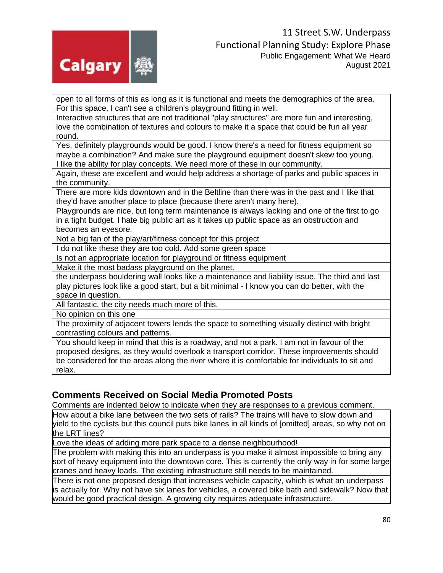

open to all forms of this as long as it is functional and meets the demographics of the area. For this space, I can't see a children's playground fitting in well.

Interactive structures that are not traditional "play structures" are more fun and interesting, love the combination of textures and colours to make it a space that could be fun all year round.

Yes, definitely playgrounds would be good. I know there's a need for fitness equipment so maybe a combination? And make sure the playground equipment doesn't skew too young.

I like the ability for play concepts. We need more of these in our community.

Again, these are excellent and would help address a shortage of parks and public spaces in the community.

There are more kids downtown and in the Beltline than there was in the past and I like that they'd have another place to place (because there aren't many here).

Playgrounds are nice, but long term maintenance is always lacking and one of the first to go in a tight budget. I hate big public art as it takes up public space as an obstruction and becomes an eyesore.

Not a big fan of the play/art/fitness concept for this project

I do not like these they are too cold. Add some green space

Is not an appropriate location for playground or fitness equipment

Make it the most badass playground on the planet.

the underpass bouldering wall looks like a maintenance and liability issue. The third and last play pictures look like a good start, but a bit minimal - I know you can do better, with the space in question.

All fantastic, the city needs much more of this.

No opinion on this one

The proximity of adjacent towers lends the space to something visually distinct with bright contrasting colours and patterns.

You should keep in mind that this is a roadway, and not a park. I am not in favour of the proposed designs, as they would overlook a transport corridor. These improvements should be considered for the areas along the river where it is comfortable for individuals to sit and relax.

## **Comments Received on Social Media Promoted Posts**

Comments are indented below to indicate when they are responses to a previous comment.

How about a bike lane between the two sets of rails? The trains will have to slow down and yield to the cyclists but this council puts bike lanes in all kinds of [omitted] areas, so why not on the LRT lines?

Love the ideas of adding more park space to a dense neighbourhood!

The problem with making this into an underpass is you make it almost impossible to bring any sort of heavy equipment into the downtown core. This is currently the only way in for some large cranes and heavy loads. The existing infrastructure still needs to be maintained.

There is not one proposed design that increases vehicle capacity, which is what an underpass is actually for. Why not have six lanes for vehicles, a covered bike bath and sidewalk? Now that would be good practical design. A growing city requires adequate infrastructure.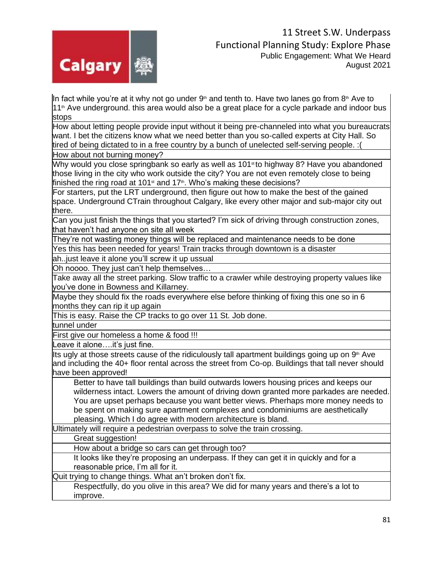

In fact while you're at it why not go under  $9<sup>th</sup>$  and tenth to. Have two lanes go from  $8<sup>th</sup>$  Ave to 11<sup>th</sup> Ave underground. this area would also be a great place for a cycle parkade and indoor bus stops

How about letting people provide input without it being pre-channeled into what you bureaucrats want. I bet the citizens know what we need better than you so-called experts at City Hall. So tired of being dictated to in a free country by a bunch of unelected self-serving people. :(

How about not burning money?

Why would you close springbank so early as well as 101<sup>st</sup> to highway 8? Have you abandoned those living in the city who work outside the city? You are not even remotely close to being finished the ring road at 101 $\text{st}$  and 17 $\text{th}$ . Who's making these decisions?

For starters, put the LRT underground, then figure out how to make the best of the gained space. Underground CTrain throughout Calgary, like every other major and sub-major city out there.

Can you just finish the things that you started? I'm sick of driving through construction zones, that haven't had anyone on site all week

They're not wasting money things will be replaced and maintenance needs to be done

Yes this has been needed for years! Train tracks through downtown is a disaster

ah..just leave it alone you'll screw it up ussual

Oh noooo. They just can't help themselves…

Take away all the street parking. Slow traffic to a crawler while destroying property values like you've done in Bowness and Killarney.

Maybe they should fix the roads everywhere else before thinking of fixing this one so in 6 months they can rip it up again

This is easy. Raise the CP tracks to go over 11 St. Job done.

tunnel under

First give our homeless a home & food !!!

Leave it alone….it's just fine.

Its ugly at those streets cause of the ridiculously tall apartment buildings going up on  $9<sup>th</sup>$  Ave and including the 40+ floor rental across the street from Co-op. Buildings that tall never should have been approved!

Better to have tall buildings than build outwards lowers housing prices and keeps our wilderness intact. Lowers the amount of driving down granted more parkades are needed. You are upset perhaps because you want better views. Pherhaps more money needs to be spent on making sure apartment complexes and condominiums are aesthetically pleasing. Which I do agree with modern architecture is bland.

Ultimately will require a pedestrian overpass to solve the train crossing.

Great suggestion!

How about a bridge so cars can get through too?

It looks like they're proposing an underpass. If they can get it in quickly and for a reasonable price, I'm all for it.

Quit trying to change things. What an't broken don't fix.

Respectfully, do you olive in this area? We did for many years and there's a lot to improve.